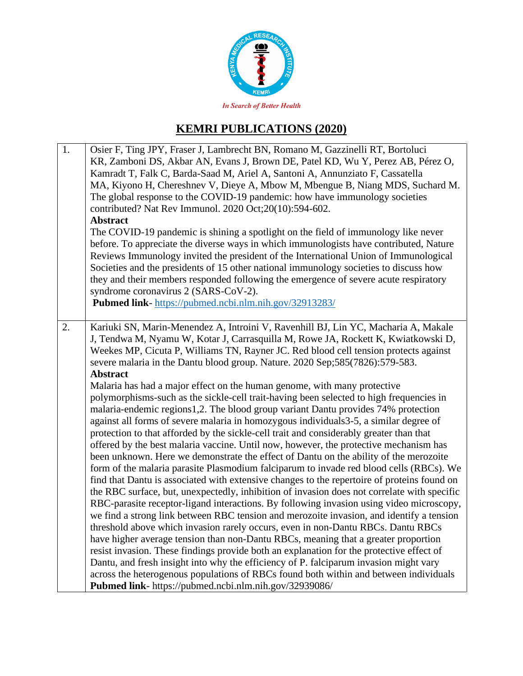

# **KEMRI PUBLICATIONS (2020)**

| 1. | Osier F, Ting JPY, Fraser J, Lambrecht BN, Romano M, Gazzinelli RT, Bortoluci<br>KR, Zamboni DS, Akbar AN, Evans J, Brown DE, Patel KD, Wu Y, Perez AB, Pérez O,<br>Kamradt T, Falk C, Barda-Saad M, Ariel A, Santoni A, Annunziato F, Cassatella<br>MA, Kiyono H, Chereshnev V, Dieye A, Mbow M, Mbengue B, Niang MDS, Suchard M.<br>The global response to the COVID-19 pandemic: how have immunology societies<br>contributed? Nat Rev Immunol. 2020 Oct;20(10):594-602.<br><b>Abstract</b><br>The COVID-19 pandemic is shining a spotlight on the field of immunology like never<br>before. To appreciate the diverse ways in which immunologists have contributed, Nature<br>Reviews Immunology invited the president of the International Union of Immunological<br>Societies and the presidents of 15 other national immunology societies to discuss how<br>they and their members responded following the emergence of severe acute respiratory<br>syndrome coronavirus 2 (SARS-CoV-2).<br>Pubmed link-https://pubmed.ncbi.nlm.nih.gov/32913283/                                        |
|----|-------------------------------------------------------------------------------------------------------------------------------------------------------------------------------------------------------------------------------------------------------------------------------------------------------------------------------------------------------------------------------------------------------------------------------------------------------------------------------------------------------------------------------------------------------------------------------------------------------------------------------------------------------------------------------------------------------------------------------------------------------------------------------------------------------------------------------------------------------------------------------------------------------------------------------------------------------------------------------------------------------------------------------------------------------------------------------------------------|
| 2. | Kariuki SN, Marin-Menendez A, Introini V, Ravenhill BJ, Lin YC, Macharia A, Makale<br>J, Tendwa M, Nyamu W, Kotar J, Carrasquilla M, Rowe JA, Rockett K, Kwiatkowski D,<br>Weekes MP, Cicuta P, Williams TN, Rayner JC. Red blood cell tension protects against<br>severe malaria in the Dantu blood group. Nature. 2020 Sep;585(7826):579-583.<br><b>Abstract</b><br>Malaria has had a major effect on the human genome, with many protective<br>polymorphisms-such as the sickle-cell trait-having been selected to high frequencies in<br>malaria-endemic regions1,2. The blood group variant Dantu provides 74% protection<br>against all forms of severe malaria in homozygous individuals3-5, a similar degree of<br>protection to that afforded by the sickle-cell trait and considerably greater than that<br>offered by the best malaria vaccine. Until now, however, the protective mechanism has<br>been unknown. Here we demonstrate the effect of Dantu on the ability of the merozoite<br>form of the malaria parasite Plasmodium falciparum to invade red blood cells (RBCs). We |
|    | find that Dantu is associated with extensive changes to the repertoire of proteins found on<br>the RBC surface, but, unexpectedly, inhibition of invasion does not correlate with specific<br>RBC-parasite receptor-ligand interactions. By following invasion using video microscopy,<br>we find a strong link between RBC tension and merozoite invasion, and identify a tension<br>threshold above which invasion rarely occurs, even in non-Dantu RBCs. Dantu RBCs<br>have higher average tension than non-Dantu RBCs, meaning that a greater proportion<br>resist invasion. These findings provide both an explanation for the protective effect of<br>Dantu, and fresh insight into why the efficiency of P. falciparum invasion might vary<br>across the heterogenous populations of RBCs found both within and between individuals<br>Pubmed link- https://pubmed.ncbi.nlm.nih.gov/32939086/                                                                                                                                                                                            |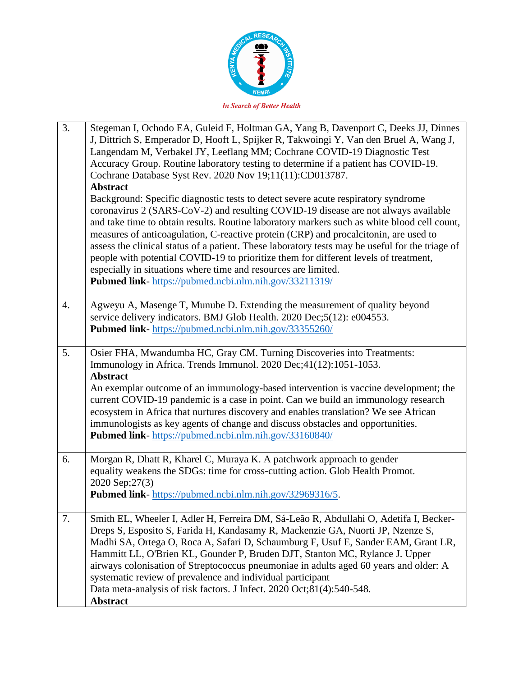

| 3. | Stegeman I, Ochodo EA, Guleid F, Holtman GA, Yang B, Davenport C, Deeks JJ, Dinnes<br>J, Dittrich S, Emperador D, Hooft L, Spijker R, Takwoingi Y, Van den Bruel A, Wang J,<br>Langendam M, Verbakel JY, Leeflang MM; Cochrane COVID-19 Diagnostic Test<br>Accuracy Group. Routine laboratory testing to determine if a patient has COVID-19.<br>Cochrane Database Syst Rev. 2020 Nov 19;11(11):CD013787.<br><b>Abstract</b><br>Background: Specific diagnostic tests to detect severe acute respiratory syndrome<br>coronavirus 2 (SARS-CoV-2) and resulting COVID-19 disease are not always available<br>and take time to obtain results. Routine laboratory markers such as white blood cell count,<br>measures of anticoagulation, C-reactive protein (CRP) and procalcitonin, are used to<br>assess the clinical status of a patient. These laboratory tests may be useful for the triage of |
|----|---------------------------------------------------------------------------------------------------------------------------------------------------------------------------------------------------------------------------------------------------------------------------------------------------------------------------------------------------------------------------------------------------------------------------------------------------------------------------------------------------------------------------------------------------------------------------------------------------------------------------------------------------------------------------------------------------------------------------------------------------------------------------------------------------------------------------------------------------------------------------------------------------|
|    | people with potential COVID-19 to prioritize them for different levels of treatment,<br>especially in situations where time and resources are limited.<br>Pubmed link-https://pubmed.ncbi.nlm.nih.gov/33211319/                                                                                                                                                                                                                                                                                                                                                                                                                                                                                                                                                                                                                                                                                   |
| 4. | Agweyu A, Masenge T, Munube D. Extending the measurement of quality beyond<br>service delivery indicators. BMJ Glob Health. 2020 Dec;5(12): e004553.<br>Pubmed link- https://pubmed.ncbi.nlm.nih.gov/33355260/                                                                                                                                                                                                                                                                                                                                                                                                                                                                                                                                                                                                                                                                                    |
| 5. | Osier FHA, Mwandumba HC, Gray CM. Turning Discoveries into Treatments:<br>Immunology in Africa. Trends Immunol. 2020 Dec;41(12):1051-1053.<br><b>Abstract</b><br>An exemplar outcome of an immunology-based intervention is vaccine development; the<br>current COVID-19 pandemic is a case in point. Can we build an immunology research<br>ecosystem in Africa that nurtures discovery and enables translation? We see African<br>immunologists as key agents of change and discuss obstacles and opportunities.<br>Pubmed link-https://pubmed.ncbi.nlm.nih.gov/33160840/                                                                                                                                                                                                                                                                                                                       |
| 6. | Morgan R, Dhatt R, Kharel C, Muraya K. A patchwork approach to gender<br>equality weakens the SDGs: time for cross-cutting action. Glob Health Promot.<br>2020 Sep;27(3)<br>Pubmed link-https://pubmed.ncbi.nlm.nih.gov/32969316/5.                                                                                                                                                                                                                                                                                                                                                                                                                                                                                                                                                                                                                                                               |
| 7. | Smith EL, Wheeler I, Adler H, Ferreira DM, Sá-Leão R, Abdullahi O, Adetifa I, Becker-<br>Dreps S, Esposito S, Farida H, Kandasamy R, Mackenzie GA, Nuorti JP, Nzenze S,<br>Madhi SA, Ortega O, Roca A, Safari D, Schaumburg F, Usuf E, Sander EAM, Grant LR,<br>Hammitt LL, O'Brien KL, Gounder P, Bruden DJT, Stanton MC, Rylance J. Upper<br>airways colonisation of Streptococcus pneumoniae in adults aged 60 years and older: A<br>systematic review of prevalence and individual participant<br>Data meta-analysis of risk factors. J Infect. 2020 Oct;81(4):540-548.<br><b>Abstract</b>                                                                                                                                                                                                                                                                                                    |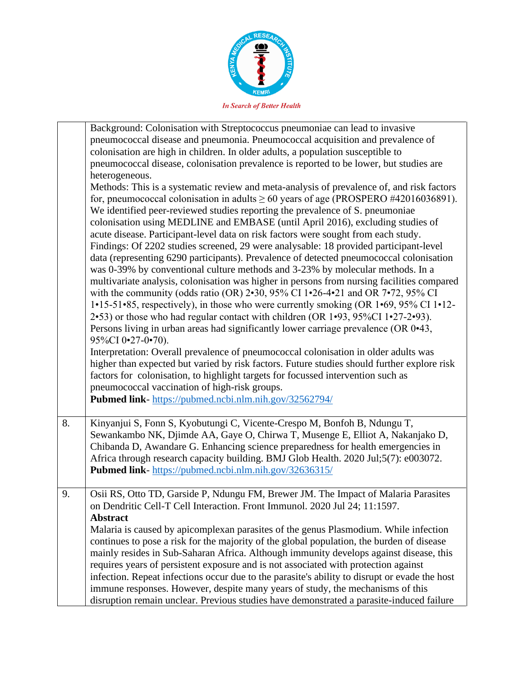

|    | Background: Colonisation with Streptococcus pneumoniae can lead to invasive                                                                                                                                                                                                                                                                                                                                                                                                                                                                                                                                                                                                                                                                                                                                                                                                                                                                                                                                                                                                                                                                                                                                                                        |
|----|----------------------------------------------------------------------------------------------------------------------------------------------------------------------------------------------------------------------------------------------------------------------------------------------------------------------------------------------------------------------------------------------------------------------------------------------------------------------------------------------------------------------------------------------------------------------------------------------------------------------------------------------------------------------------------------------------------------------------------------------------------------------------------------------------------------------------------------------------------------------------------------------------------------------------------------------------------------------------------------------------------------------------------------------------------------------------------------------------------------------------------------------------------------------------------------------------------------------------------------------------|
|    | pneumococcal disease and pneumonia. Pneumococcal acquisition and prevalence of                                                                                                                                                                                                                                                                                                                                                                                                                                                                                                                                                                                                                                                                                                                                                                                                                                                                                                                                                                                                                                                                                                                                                                     |
|    | colonisation are high in children. In older adults, a population susceptible to                                                                                                                                                                                                                                                                                                                                                                                                                                                                                                                                                                                                                                                                                                                                                                                                                                                                                                                                                                                                                                                                                                                                                                    |
|    | pneumococcal disease, colonisation prevalence is reported to be lower, but studies are                                                                                                                                                                                                                                                                                                                                                                                                                                                                                                                                                                                                                                                                                                                                                                                                                                                                                                                                                                                                                                                                                                                                                             |
|    | heterogeneous.                                                                                                                                                                                                                                                                                                                                                                                                                                                                                                                                                                                                                                                                                                                                                                                                                                                                                                                                                                                                                                                                                                                                                                                                                                     |
|    | Methods: This is a systematic review and meta-analysis of prevalence of, and risk factors<br>for, pneumococcal colonisation in adults $\geq 60$ years of age (PROSPERO #42016036891).<br>We identified peer-reviewed studies reporting the prevalence of S. pneumoniae<br>colonisation using MEDLINE and EMBASE (until April 2016), excluding studies of<br>acute disease. Participant-level data on risk factors were sought from each study.<br>Findings: Of 2202 studies screened, 29 were analysable: 18 provided participant-level<br>data (representing 6290 participants). Prevalence of detected pneumococcal colonisation<br>was 0-39% by conventional culture methods and 3-23% by molecular methods. In a<br>multivariate analysis, colonisation was higher in persons from nursing facilities compared<br>with the community (odds ratio (OR) $2 \cdot 30$ , $95\%$ CI 1 $\cdot 26 - 4 \cdot 21$ and OR 7 $\cdot 72$ , $95\%$ CI<br>$1\cdot 15\cdot 51\cdot 85$ , respectively), in those who were currently smoking (OR $1\cdot 69$ , 95% CI $1\cdot 12$ -<br>2.53) or those who had regular contact with children (OR 1.93, 95%CI 1.27-2.93).<br>Persons living in urban areas had significantly lower carriage prevalence (OR 0.43, |
|    | 95%CI 0.27-0.70).<br>Interpretation: Overall prevalence of pneumococcal colonisation in older adults was<br>higher than expected but varied by risk factors. Future studies should further explore risk<br>factors for colonisation, to highlight targets for focussed intervention such as<br>pneumococcal vaccination of high-risk groups.                                                                                                                                                                                                                                                                                                                                                                                                                                                                                                                                                                                                                                                                                                                                                                                                                                                                                                       |
|    | Pubmed link-https://pubmed.ncbi.nlm.nih.gov/32562794/                                                                                                                                                                                                                                                                                                                                                                                                                                                                                                                                                                                                                                                                                                                                                                                                                                                                                                                                                                                                                                                                                                                                                                                              |
| 8. | Kinyanjui S, Fonn S, Kyobutungi C, Vicente-Crespo M, Bonfoh B, Ndungu T,<br>Sewankambo NK, Djimde AA, Gaye O, Chirwa T, Musenge E, Elliot A, Nakanjako D,<br>Chibanda D, Awandare G. Enhancing science preparedness for health emergencies in<br>Africa through research capacity building. BMJ Glob Health. 2020 Jul;5(7): e003072.<br>Pubmed link-https://pubmed.ncbi.nlm.nih.gov/32636315/                                                                                                                                                                                                                                                                                                                                                                                                                                                                                                                                                                                                                                                                                                                                                                                                                                                      |
| 9. | Osii RS, Otto TD, Garside P, Ndungu FM, Brewer JM. The Impact of Malaria Parasites<br>on Dendritic Cell-T Cell Interaction. Front Immunol. 2020 Jul 24; 11:1597.<br><b>Abstract</b>                                                                                                                                                                                                                                                                                                                                                                                                                                                                                                                                                                                                                                                                                                                                                                                                                                                                                                                                                                                                                                                                |
|    | Malaria is caused by apicomplexan parasites of the genus Plasmodium. While infection<br>continues to pose a risk for the majority of the global population, the burden of disease<br>mainly resides in Sub-Saharan Africa. Although immunity develops against disease, this<br>requires years of persistent exposure and is not associated with protection against<br>infection. Repeat infections occur due to the parasite's ability to disrupt or evade the host<br>immune responses. However, despite many years of study, the mechanisms of this                                                                                                                                                                                                                                                                                                                                                                                                                                                                                                                                                                                                                                                                                              |
|    | disruption remain unclear. Previous studies have demonstrated a parasite-induced failure                                                                                                                                                                                                                                                                                                                                                                                                                                                                                                                                                                                                                                                                                                                                                                                                                                                                                                                                                                                                                                                                                                                                                           |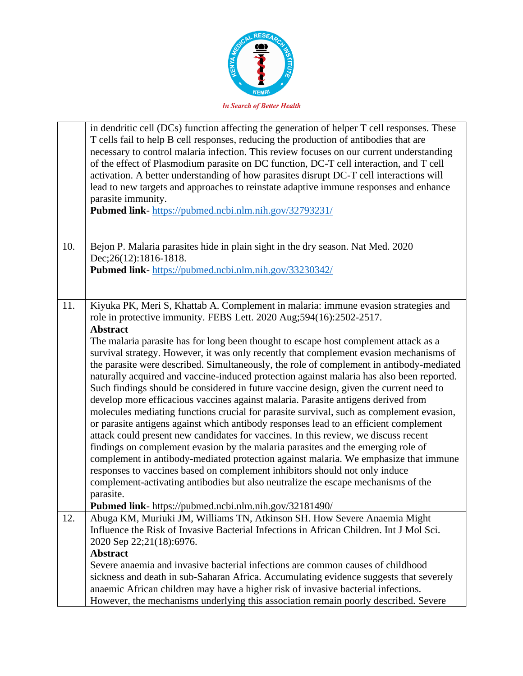

| in dendritic cell (DCs) function affecting the generation of helper T cell responses. These<br>T cells fail to help B cell responses, reducing the production of antibodies that are<br>necessary to control malaria infection. This review focuses on our current understanding<br>of the effect of Plasmodium parasite on DC function, DC-T cell interaction, and T cell<br>activation. A better understanding of how parasites disrupt DC-T cell interactions will<br>lead to new targets and approaches to reinstate adaptive immune responses and enhance<br>parasite immunity.<br>Pubmed link-https://pubmed.ncbi.nlm.nih.gov/32793231/                                                                                                                                                                                                                                                                                                                                                                                                                                                                                                                                                                                                                                                                                                                                                                                             |
|-------------------------------------------------------------------------------------------------------------------------------------------------------------------------------------------------------------------------------------------------------------------------------------------------------------------------------------------------------------------------------------------------------------------------------------------------------------------------------------------------------------------------------------------------------------------------------------------------------------------------------------------------------------------------------------------------------------------------------------------------------------------------------------------------------------------------------------------------------------------------------------------------------------------------------------------------------------------------------------------------------------------------------------------------------------------------------------------------------------------------------------------------------------------------------------------------------------------------------------------------------------------------------------------------------------------------------------------------------------------------------------------------------------------------------------------|
| Bejon P. Malaria parasites hide in plain sight in the dry season. Nat Med. 2020<br>Dec; 26(12): 1816-1818.<br>Pubmed link-https://pubmed.ncbi.nlm.nih.gov/33230342/                                                                                                                                                                                                                                                                                                                                                                                                                                                                                                                                                                                                                                                                                                                                                                                                                                                                                                                                                                                                                                                                                                                                                                                                                                                                       |
|                                                                                                                                                                                                                                                                                                                                                                                                                                                                                                                                                                                                                                                                                                                                                                                                                                                                                                                                                                                                                                                                                                                                                                                                                                                                                                                                                                                                                                           |
| Kiyuka PK, Meri S, Khattab A. Complement in malaria: immune evasion strategies and<br>role in protective immunity. FEBS Lett. 2020 Aug;594(16):2502-2517.<br><b>Abstract</b><br>The malaria parasite has for long been thought to escape host complement attack as a<br>survival strategy. However, it was only recently that complement evasion mechanisms of<br>the parasite were described. Simultaneously, the role of complement in antibody-mediated<br>naturally acquired and vaccine-induced protection against malaria has also been reported.<br>Such findings should be considered in future vaccine design, given the current need to<br>develop more efficacious vaccines against malaria. Parasite antigens derived from<br>molecules mediating functions crucial for parasite survival, such as complement evasion,<br>or parasite antigens against which antibody responses lead to an efficient complement<br>attack could present new candidates for vaccines. In this review, we discuss recent<br>findings on complement evasion by the malaria parasites and the emerging role of<br>complement in antibody-mediated protection against malaria. We emphasize that immune<br>responses to vaccines based on complement inhibitors should not only induce<br>complement-activating antibodies but also neutralize the escape mechanisms of the<br>parasite.<br>Pubmed link- https://pubmed.ncbi.nlm.nih.gov/32181490/ |
| Abuga KM, Muriuki JM, Williams TN, Atkinson SH. How Severe Anaemia Might<br>Influence the Risk of Invasive Bacterial Infections in African Children. Int J Mol Sci.<br>2020 Sep 22;21(18):6976.<br>Abstract<br>Severe anaemia and invasive bacterial infections are common causes of childhood<br>sickness and death in sub-Saharan Africa. Accumulating evidence suggests that severely<br>anaemic African children may have a higher risk of invasive bacterial infections.<br>However, the mechanisms underlying this association remain poorly described. Severe                                                                                                                                                                                                                                                                                                                                                                                                                                                                                                                                                                                                                                                                                                                                                                                                                                                                      |
|                                                                                                                                                                                                                                                                                                                                                                                                                                                                                                                                                                                                                                                                                                                                                                                                                                                                                                                                                                                                                                                                                                                                                                                                                                                                                                                                                                                                                                           |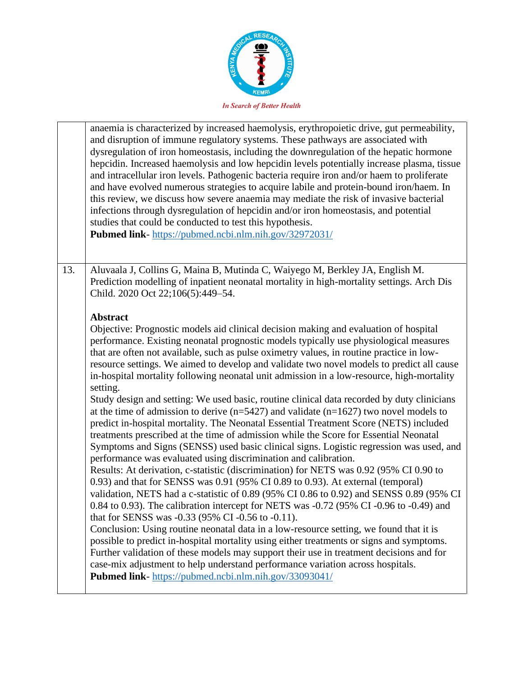

| anaemia is characterized by increased haemolysis, erythropoietic drive, gut permeability,<br>and disruption of immune regulatory systems. These pathways are associated with<br>dysregulation of iron homeostasis, including the downregulation of the hepatic hormone<br>hepcidin. Increased haemolysis and low hepcidin levels potentially increase plasma, tissue<br>and intracellular iron levels. Pathogenic bacteria require iron and/or haem to proliferate<br>and have evolved numerous strategies to acquire labile and protein-bound iron/haem. In<br>this review, we discuss how severe anaemia may mediate the risk of invasive bacterial<br>infections through dysregulation of hepcidin and/or iron homeostasis, and potential<br>studies that could be conducted to test this hypothesis.<br>Pubmed link- https://pubmed.ncbi.nlm.nih.gov/32972031/                                                                                                                                                                                                                                                                                                                                                                                                                                                                                                                                                                                                                                                                                                                                                                                                                                                                                                                                                                                                                                |  |
|---------------------------------------------------------------------------------------------------------------------------------------------------------------------------------------------------------------------------------------------------------------------------------------------------------------------------------------------------------------------------------------------------------------------------------------------------------------------------------------------------------------------------------------------------------------------------------------------------------------------------------------------------------------------------------------------------------------------------------------------------------------------------------------------------------------------------------------------------------------------------------------------------------------------------------------------------------------------------------------------------------------------------------------------------------------------------------------------------------------------------------------------------------------------------------------------------------------------------------------------------------------------------------------------------------------------------------------------------------------------------------------------------------------------------------------------------------------------------------------------------------------------------------------------------------------------------------------------------------------------------------------------------------------------------------------------------------------------------------------------------------------------------------------------------------------------------------------------------------------------------------------------------|--|
| 13.<br>Aluvaala J, Collins G, Maina B, Mutinda C, Waiyego M, Berkley JA, English M.<br>Prediction modelling of inpatient neonatal mortality in high-mortality settings. Arch Dis<br>Child. 2020 Oct 22;106(5):449-54.                                                                                                                                                                                                                                                                                                                                                                                                                                                                                                                                                                                                                                                                                                                                                                                                                                                                                                                                                                                                                                                                                                                                                                                                                                                                                                                                                                                                                                                                                                                                                                                                                                                                             |  |
| <b>Abstract</b><br>Objective: Prognostic models aid clinical decision making and evaluation of hospital<br>performance. Existing neonatal prognostic models typically use physiological measures<br>that are often not available, such as pulse oximetry values, in routine practice in low-<br>resource settings. We aimed to develop and validate two novel models to predict all cause<br>in-hospital mortality following neonatal unit admission in a low-resource, high-mortality<br>setting.<br>Study design and setting: We used basic, routine clinical data recorded by duty clinicians<br>at the time of admission to derive $(n=5427)$ and validate $(n=1627)$ two novel models to<br>predict in-hospital mortality. The Neonatal Essential Treatment Score (NETS) included<br>treatments prescribed at the time of admission while the Score for Essential Neonatal<br>Symptoms and Signs (SENSS) used basic clinical signs. Logistic regression was used, and<br>performance was evaluated using discrimination and calibration.<br>Results: At derivation, c-statistic (discrimination) for NETS was 0.92 (95% CI 0.90 to<br>0.93) and that for SENSS was 0.91 (95% CI 0.89 to 0.93). At external (temporal)<br>validation, NETS had a c-statistic of 0.89 (95% CI 0.86 to 0.92) and SENSS 0.89 (95% CI<br>0.84 to 0.93). The calibration intercept for NETS was -0.72 (95% CI -0.96 to -0.49) and<br>that for SENSS was -0.33 (95% CI -0.56 to -0.11).<br>Conclusion: Using routine neonatal data in a low-resource setting, we found that it is<br>possible to predict in-hospital mortality using either treatments or signs and symptoms.<br>Further validation of these models may support their use in treatment decisions and for<br>case-mix adjustment to help understand performance variation across hospitals.<br>Pubmed link-https://pubmed.ncbi.nlm.nih.gov/33093041/ |  |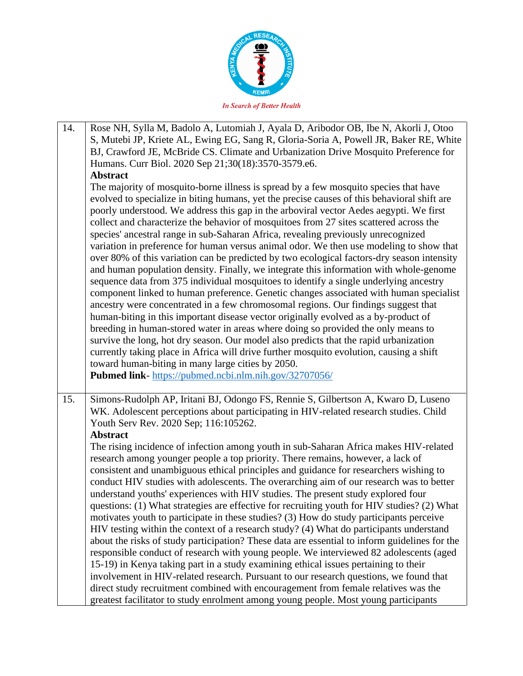

| 14. | Rose NH, Sylla M, Badolo A, Lutomiah J, Ayala D, Aribodor OB, Ibe N, Akorli J, Otoo                                                                                                                                                                                                                                                                                                                                                                                                                                                                                                                                                                                                                                                                                                                                                                                                                                                                                                                                                                                                                                                                                                                                                                                                                                                                                                                                                           |
|-----|-----------------------------------------------------------------------------------------------------------------------------------------------------------------------------------------------------------------------------------------------------------------------------------------------------------------------------------------------------------------------------------------------------------------------------------------------------------------------------------------------------------------------------------------------------------------------------------------------------------------------------------------------------------------------------------------------------------------------------------------------------------------------------------------------------------------------------------------------------------------------------------------------------------------------------------------------------------------------------------------------------------------------------------------------------------------------------------------------------------------------------------------------------------------------------------------------------------------------------------------------------------------------------------------------------------------------------------------------------------------------------------------------------------------------------------------------|
|     | S, Mutebi JP, Kriete AL, Ewing EG, Sang R, Gloria-Soria A, Powell JR, Baker RE, White                                                                                                                                                                                                                                                                                                                                                                                                                                                                                                                                                                                                                                                                                                                                                                                                                                                                                                                                                                                                                                                                                                                                                                                                                                                                                                                                                         |
|     | BJ, Crawford JE, McBride CS. Climate and Urbanization Drive Mosquito Preference for                                                                                                                                                                                                                                                                                                                                                                                                                                                                                                                                                                                                                                                                                                                                                                                                                                                                                                                                                                                                                                                                                                                                                                                                                                                                                                                                                           |
|     | Humans. Curr Biol. 2020 Sep 21;30(18):3570-3579.e6.                                                                                                                                                                                                                                                                                                                                                                                                                                                                                                                                                                                                                                                                                                                                                                                                                                                                                                                                                                                                                                                                                                                                                                                                                                                                                                                                                                                           |
|     | <b>Abstract</b>                                                                                                                                                                                                                                                                                                                                                                                                                                                                                                                                                                                                                                                                                                                                                                                                                                                                                                                                                                                                                                                                                                                                                                                                                                                                                                                                                                                                                               |
|     | The majority of mosquito-borne illness is spread by a few mosquito species that have<br>evolved to specialize in biting humans, yet the precise causes of this behavioral shift are<br>poorly understood. We address this gap in the arboviral vector Aedes aegypti. We first<br>collect and characterize the behavior of mosquitoes from 27 sites scattered across the<br>species' ancestral range in sub-Saharan Africa, revealing previously unrecognized<br>variation in preference for human versus animal odor. We then use modeling to show that<br>over 80% of this variation can be predicted by two ecological factors-dry season intensity<br>and human population density. Finally, we integrate this information with whole-genome<br>sequence data from 375 individual mosquitoes to identify a single underlying ancestry<br>component linked to human preference. Genetic changes associated with human specialist<br>ancestry were concentrated in a few chromosomal regions. Our findings suggest that<br>human-biting in this important disease vector originally evolved as a by-product of<br>breeding in human-stored water in areas where doing so provided the only means to<br>survive the long, hot dry season. Our model also predicts that the rapid urbanization<br>currently taking place in Africa will drive further mosquito evolution, causing a shift<br>toward human-biting in many large cities by 2050. |
|     |                                                                                                                                                                                                                                                                                                                                                                                                                                                                                                                                                                                                                                                                                                                                                                                                                                                                                                                                                                                                                                                                                                                                                                                                                                                                                                                                                                                                                                               |
|     | Pubmed link- https://pubmed.ncbi.nlm.nih.gov/32707056/                                                                                                                                                                                                                                                                                                                                                                                                                                                                                                                                                                                                                                                                                                                                                                                                                                                                                                                                                                                                                                                                                                                                                                                                                                                                                                                                                                                        |
|     |                                                                                                                                                                                                                                                                                                                                                                                                                                                                                                                                                                                                                                                                                                                                                                                                                                                                                                                                                                                                                                                                                                                                                                                                                                                                                                                                                                                                                                               |
| 15. | Simons-Rudolph AP, Iritani BJ, Odongo FS, Rennie S, Gilbertson A, Kwaro D, Luseno<br>WK. Adolescent perceptions about participating in HIV-related research studies. Child<br>Youth Serv Rev. 2020 Sep; 116:105262.<br>Abstract                                                                                                                                                                                                                                                                                                                                                                                                                                                                                                                                                                                                                                                                                                                                                                                                                                                                                                                                                                                                                                                                                                                                                                                                               |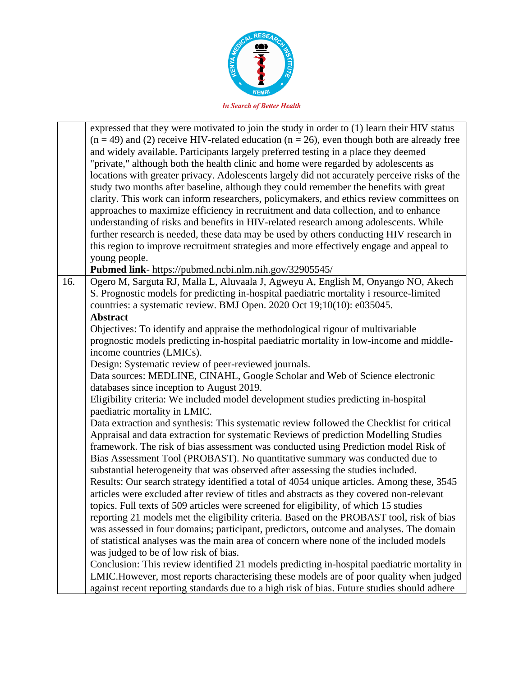

|     | expressed that they were motivated to join the study in order to (1) learn their HIV status<br>$(n = 49)$ and (2) receive HIV-related education $(n = 26)$ , even though both are already free<br>and widely available. Participants largely preferred testing in a place they deemed<br>"private," although both the health clinic and home were regarded by adolescents as<br>locations with greater privacy. Adolescents largely did not accurately perceive risks of the<br>study two months after baseline, although they could remember the benefits with great<br>clarity. This work can inform researchers, policymakers, and ethics review committees on<br>approaches to maximize efficiency in recruitment and data collection, and to enhance<br>understanding of risks and benefits in HIV-related research among adolescents. While<br>further research is needed, these data may be used by others conducting HIV research in<br>this region to improve recruitment strategies and more effectively engage and appeal to<br>young people.<br>Pubmed link- https://pubmed.ncbi.nlm.nih.gov/32905545/ |
|-----|--------------------------------------------------------------------------------------------------------------------------------------------------------------------------------------------------------------------------------------------------------------------------------------------------------------------------------------------------------------------------------------------------------------------------------------------------------------------------------------------------------------------------------------------------------------------------------------------------------------------------------------------------------------------------------------------------------------------------------------------------------------------------------------------------------------------------------------------------------------------------------------------------------------------------------------------------------------------------------------------------------------------------------------------------------------------------------------------------------------------|
| 16. | Ogero M, Sarguta RJ, Malla L, Aluvaala J, Agweyu A, English M, Onyango NO, Akech                                                                                                                                                                                                                                                                                                                                                                                                                                                                                                                                                                                                                                                                                                                                                                                                                                                                                                                                                                                                                                   |
|     | S. Prognostic models for predicting in-hospital paediatric mortality i resource-limited                                                                                                                                                                                                                                                                                                                                                                                                                                                                                                                                                                                                                                                                                                                                                                                                                                                                                                                                                                                                                            |
|     | countries: a systematic review. BMJ Open. 2020 Oct 19;10(10): e035045.                                                                                                                                                                                                                                                                                                                                                                                                                                                                                                                                                                                                                                                                                                                                                                                                                                                                                                                                                                                                                                             |
|     | <b>Abstract</b>                                                                                                                                                                                                                                                                                                                                                                                                                                                                                                                                                                                                                                                                                                                                                                                                                                                                                                                                                                                                                                                                                                    |
|     | Objectives: To identify and appraise the methodological rigour of multivariable                                                                                                                                                                                                                                                                                                                                                                                                                                                                                                                                                                                                                                                                                                                                                                                                                                                                                                                                                                                                                                    |
|     | prognostic models predicting in-hospital paediatric mortality in low-income and middle-                                                                                                                                                                                                                                                                                                                                                                                                                                                                                                                                                                                                                                                                                                                                                                                                                                                                                                                                                                                                                            |
|     | income countries (LMICs).                                                                                                                                                                                                                                                                                                                                                                                                                                                                                                                                                                                                                                                                                                                                                                                                                                                                                                                                                                                                                                                                                          |
|     | Design: Systematic review of peer-reviewed journals.                                                                                                                                                                                                                                                                                                                                                                                                                                                                                                                                                                                                                                                                                                                                                                                                                                                                                                                                                                                                                                                               |
|     | Data sources: MEDLINE, CINAHL, Google Scholar and Web of Science electronic                                                                                                                                                                                                                                                                                                                                                                                                                                                                                                                                                                                                                                                                                                                                                                                                                                                                                                                                                                                                                                        |
|     | databases since inception to August 2019.                                                                                                                                                                                                                                                                                                                                                                                                                                                                                                                                                                                                                                                                                                                                                                                                                                                                                                                                                                                                                                                                          |
|     | Eligibility criteria: We included model development studies predicting in-hospital                                                                                                                                                                                                                                                                                                                                                                                                                                                                                                                                                                                                                                                                                                                                                                                                                                                                                                                                                                                                                                 |
|     | paediatric mortality in LMIC.                                                                                                                                                                                                                                                                                                                                                                                                                                                                                                                                                                                                                                                                                                                                                                                                                                                                                                                                                                                                                                                                                      |
|     | Data extraction and synthesis: This systematic review followed the Checklist for critical<br>Appraisal and data extraction for systematic Reviews of prediction Modelling Studies                                                                                                                                                                                                                                                                                                                                                                                                                                                                                                                                                                                                                                                                                                                                                                                                                                                                                                                                  |
|     | framework. The risk of bias assessment was conducted using Prediction model Risk of                                                                                                                                                                                                                                                                                                                                                                                                                                                                                                                                                                                                                                                                                                                                                                                                                                                                                                                                                                                                                                |
|     | Bias Assessment Tool (PROBAST). No quantitative summary was conducted due to                                                                                                                                                                                                                                                                                                                                                                                                                                                                                                                                                                                                                                                                                                                                                                                                                                                                                                                                                                                                                                       |
|     | substantial heterogeneity that was observed after assessing the studies included.                                                                                                                                                                                                                                                                                                                                                                                                                                                                                                                                                                                                                                                                                                                                                                                                                                                                                                                                                                                                                                  |
|     | Results: Our search strategy identified a total of 4054 unique articles. Among these, 3545                                                                                                                                                                                                                                                                                                                                                                                                                                                                                                                                                                                                                                                                                                                                                                                                                                                                                                                                                                                                                         |
|     | articles were excluded after review of titles and abstracts as they covered non-relevant                                                                                                                                                                                                                                                                                                                                                                                                                                                                                                                                                                                                                                                                                                                                                                                                                                                                                                                                                                                                                           |
|     | topics. Full texts of 509 articles were screened for eligibility, of which 15 studies                                                                                                                                                                                                                                                                                                                                                                                                                                                                                                                                                                                                                                                                                                                                                                                                                                                                                                                                                                                                                              |
|     | reporting 21 models met the eligibility criteria. Based on the PROBAST tool, risk of bias                                                                                                                                                                                                                                                                                                                                                                                                                                                                                                                                                                                                                                                                                                                                                                                                                                                                                                                                                                                                                          |
|     | was assessed in four domains; participant, predictors, outcome and analyses. The domain                                                                                                                                                                                                                                                                                                                                                                                                                                                                                                                                                                                                                                                                                                                                                                                                                                                                                                                                                                                                                            |
|     | of statistical analyses was the main area of concern where none of the included models                                                                                                                                                                                                                                                                                                                                                                                                                                                                                                                                                                                                                                                                                                                                                                                                                                                                                                                                                                                                                             |
|     | was judged to be of low risk of bias.                                                                                                                                                                                                                                                                                                                                                                                                                                                                                                                                                                                                                                                                                                                                                                                                                                                                                                                                                                                                                                                                              |
|     | Conclusion: This review identified 21 models predicting in-hospital paediatric mortality in                                                                                                                                                                                                                                                                                                                                                                                                                                                                                                                                                                                                                                                                                                                                                                                                                                                                                                                                                                                                                        |
|     | LMIC.However, most reports characterising these models are of poor quality when judged                                                                                                                                                                                                                                                                                                                                                                                                                                                                                                                                                                                                                                                                                                                                                                                                                                                                                                                                                                                                                             |
|     | against recent reporting standards due to a high risk of bias. Future studies should adhere                                                                                                                                                                                                                                                                                                                                                                                                                                                                                                                                                                                                                                                                                                                                                                                                                                                                                                                                                                                                                        |
|     |                                                                                                                                                                                                                                                                                                                                                                                                                                                                                                                                                                                                                                                                                                                                                                                                                                                                                                                                                                                                                                                                                                                    |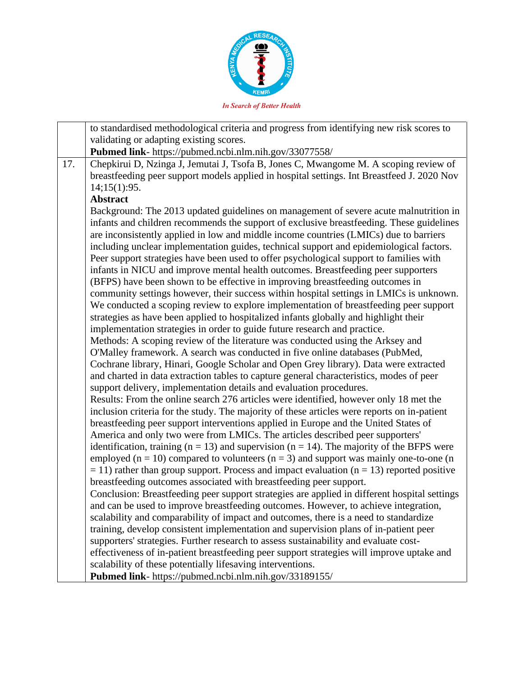

to standardised methodological criteria and progress from identifying new risk scores to validating or adapting existing scores. **Pubmed link**- https://pubmed.ncbi.nlm.nih.gov/33077558/ 17. Chepkirui D, Nzinga J, Jemutai J, Tsofa B, Jones C, Mwangome M. A scoping review of breastfeeding peer support models applied in hospital settings. Int Breastfeed J. 2020 Nov 14;15(1):95. **Abstract** Background: The 2013 updated guidelines on management of severe acute malnutrition in infants and children recommends the support of exclusive breastfeeding. These guidelines are inconsistently applied in low and middle income countries (LMICs) due to barriers including unclear implementation guides, technical support and epidemiological factors. Peer support strategies have been used to offer psychological support to families with infants in NICU and improve mental health outcomes. Breastfeeding peer supporters (BFPS) have been shown to be effective in improving breastfeeding outcomes in community settings however, their success within hospital settings in LMICs is unknown. We conducted a scoping review to explore implementation of breastfeeding peer support strategies as have been applied to hospitalized infants globally and highlight their implementation strategies in order to guide future research and practice. Methods: A scoping review of the literature was conducted using the Arksey and O'Malley framework. A search was conducted in five online databases (PubMed, Cochrane library, Hinari, Google Scholar and Open Grey library). Data were extracted and charted in data extraction tables to capture general characteristics, modes of peer support delivery, implementation details and evaluation procedures. Results: From the online search 276 articles were identified, however only 18 met the inclusion criteria for the study. The majority of these articles were reports on in-patient breastfeeding peer support interventions applied in Europe and the United States of America and only two were from LMICs. The articles described peer supporters' identification, training ( $n = 13$ ) and supervision ( $n = 14$ ). The majority of the BFPS were employed ( $n = 10$ ) compared to volunteers ( $n = 3$ ) and support was mainly one-to-one (n  $= 11$ ) rather than group support. Process and impact evaluation (n = 13) reported positive breastfeeding outcomes associated with breastfeeding peer support. Conclusion: Breastfeeding peer support strategies are applied in different hospital settings and can be used to improve breastfeeding outcomes. However, to achieve integration, scalability and comparability of impact and outcomes, there is a need to standardize training, develop consistent implementation and supervision plans of in-patient peer supporters' strategies. Further research to assess sustainability and evaluate costeffectiveness of in-patient breastfeeding peer support strategies will improve uptake and scalability of these potentially lifesaving interventions. **Pubmed link**- https://pubmed.ncbi.nlm.nih.gov/33189155/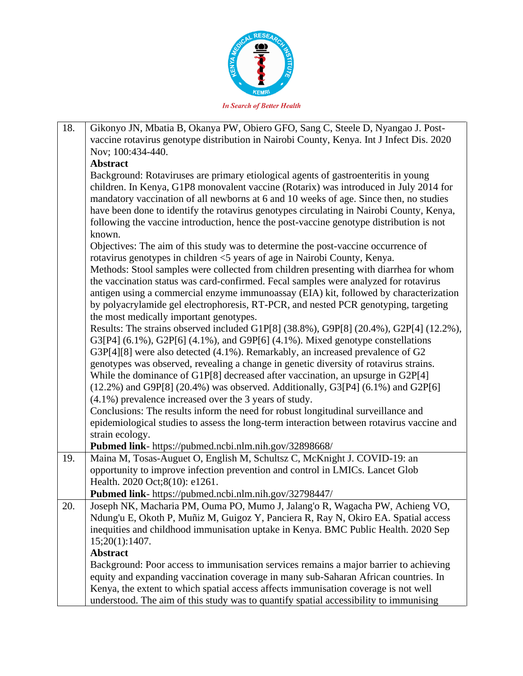

| 18. | Gikonyo JN, Mbatia B, Okanya PW, Obiero GFO, Sang C, Steele D, Nyangao J. Post-<br>vaccine rotavirus genotype distribution in Nairobi County, Kenya. Int J Infect Dis. 2020 |
|-----|-----------------------------------------------------------------------------------------------------------------------------------------------------------------------------|
|     | Nov; 100:434-440.                                                                                                                                                           |
|     | <b>Abstract</b>                                                                                                                                                             |
|     | Background: Rotaviruses are primary etiological agents of gastroenteritis in young                                                                                          |
|     | children. In Kenya, G1P8 monovalent vaccine (Rotarix) was introduced in July 2014 for                                                                                       |
|     | mandatory vaccination of all newborns at 6 and 10 weeks of age. Since then, no studies                                                                                      |
|     | have been done to identify the rotavirus genotypes circulating in Nairobi County, Kenya,                                                                                    |
|     | following the vaccine introduction, hence the post-vaccine genotype distribution is not                                                                                     |
|     | known.                                                                                                                                                                      |
|     | Objectives: The aim of this study was to determine the post-vaccine occurrence of                                                                                           |
|     | rotavirus genotypes in children <5 years of age in Nairobi County, Kenya.                                                                                                   |
|     | Methods: Stool samples were collected from children presenting with diarrhea for whom                                                                                       |
|     | the vaccination status was card-confirmed. Fecal samples were analyzed for rotavirus                                                                                        |
|     | antigen using a commercial enzyme immunoassay (EIA) kit, followed by characterization                                                                                       |
|     | by polyacrylamide gel electrophoresis, RT-PCR, and nested PCR genotyping, targeting                                                                                         |
|     | the most medically important genotypes.<br>Results: The strains observed included G1P[8] (38.8%), G9P[8] (20.4%), G2P[4] (12.2%),                                           |
|     | G3[P4] $(6.1\%)$ , G2P[6] $(4.1\%)$ , and G9P[6] $(4.1\%)$ . Mixed genotype constellations                                                                                  |
|     | G3P[4][8] were also detected (4.1%). Remarkably, an increased prevalence of G2                                                                                              |
|     | genotypes was observed, revealing a change in genetic diversity of rotavirus strains.                                                                                       |
|     | While the dominance of G1P[8] decreased after vaccination, an upsurge in G2P[4]                                                                                             |
|     | $(12.2%)$ and G9P[8] $(20.4%)$ was observed. Additionally, G3[P4] $(6.1%)$ and G2P[6]                                                                                       |
|     | $(4.1\%)$ prevalence increased over the 3 years of study.                                                                                                                   |
|     | Conclusions: The results inform the need for robust longitudinal surveillance and                                                                                           |
|     | epidemiological studies to assess the long-term interaction between rotavirus vaccine and                                                                                   |
|     | strain ecology.                                                                                                                                                             |
|     | Pubmed link- https://pubmed.ncbi.nlm.nih.gov/32898668/                                                                                                                      |
| 19. | Maina M, Tosas-Auguet O, English M, Schultsz C, McKnight J. COVID-19: an                                                                                                    |
|     | opportunity to improve infection prevention and control in LMICs. Lancet Glob                                                                                               |
|     | Health. 2020 Oct;8(10): e1261.                                                                                                                                              |
|     | Pubmed link- https://pubmed.ncbi.nlm.nih.gov/32798447/                                                                                                                      |
| 20. | Joseph NK, Macharia PM, Ouma PO, Mumo J, Jalang'o R, Wagacha PW, Achieng VO,                                                                                                |
|     | Ndung'u E, Okoth P, Muñiz M, Guigoz Y, Panciera R, Ray N, Okiro EA. Spatial access<br>inequities and childhood immunisation uptake in Kenya. BMC Public Health. 2020 Sep    |
|     | 15;20(1):1407.                                                                                                                                                              |
|     | <b>Abstract</b>                                                                                                                                                             |
|     | Background: Poor access to immunisation services remains a major barrier to achieving                                                                                       |
|     | equity and expanding vaccination coverage in many sub-Saharan African countries. In                                                                                         |
|     | Kenya, the extent to which spatial access affects immunisation coverage is not well                                                                                         |
|     | understood. The aim of this study was to quantify spatial accessibility to immunising                                                                                       |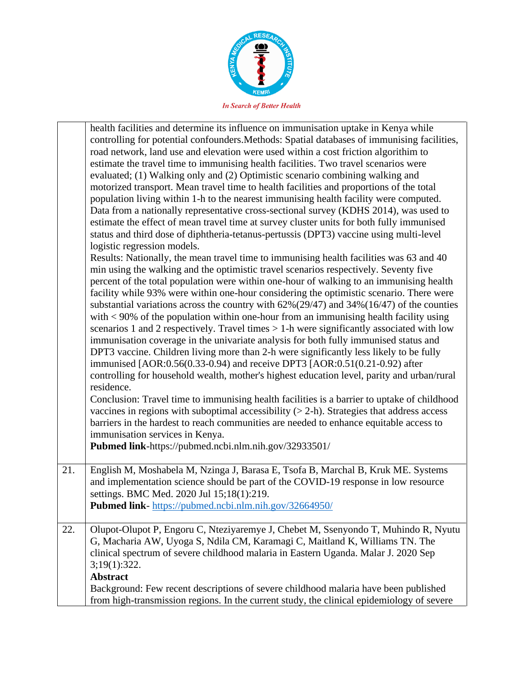

|     | health facilities and determine its influence on immunisation uptake in Kenya while<br>controlling for potential confounders. Methods: Spatial databases of immunising facilities,<br>road network, land use and elevation were used within a cost friction algorithim to<br>estimate the travel time to immunising health facilities. Two travel scenarios were<br>evaluated; (1) Walking only and (2) Optimistic scenario combining walking and<br>motorized transport. Mean travel time to health facilities and proportions of the total<br>population living within 1-h to the nearest immunising health facility were computed.<br>Data from a nationally representative cross-sectional survey (KDHS 2014), was used to<br>estimate the effect of mean travel time at survey cluster units for both fully immunised<br>status and third dose of diphtheria-tetanus-pertussis (DPT3) vaccine using multi-level<br>logistic regression models.<br>Results: Nationally, the mean travel time to immunising health facilities was 63 and 40<br>min using the walking and the optimistic travel scenarios respectively. Seventy five<br>percent of the total population were within one-hour of walking to an immunising health<br>facility while 93% were within one-hour considering the optimistic scenario. There were<br>substantial variations across the country with $62\%(29/47)$ and $34\%(16/47)$ of the counties<br>with $\lt 90\%$ of the population within one-hour from an immunising health facility using<br>scenarios 1 and 2 respectively. Travel times $> 1$ -h were significantly associated with low<br>immunisation coverage in the univariate analysis for both fully immunised status and<br>DPT3 vaccine. Children living more than 2-h were significantly less likely to be fully<br>immunised [AOR:0.56(0.33-0.94) and receive DPT3 [AOR:0.51(0.21-0.92) after<br>controlling for household wealth, mother's highest education level, parity and urban/rural<br>residence.<br>Conclusion: Travel time to immunising health facilities is a barrier to uptake of childhood<br>vaccines in regions with suboptimal accessibility $(> 2-h)$ . Strategies that address access<br>barriers in the hardest to reach communities are needed to enhance equitable access to<br>immunisation services in Kenya.<br>Pubmed link-https://pubmed.ncbi.nlm.nih.gov/32933501/ |
|-----|-----------------------------------------------------------------------------------------------------------------------------------------------------------------------------------------------------------------------------------------------------------------------------------------------------------------------------------------------------------------------------------------------------------------------------------------------------------------------------------------------------------------------------------------------------------------------------------------------------------------------------------------------------------------------------------------------------------------------------------------------------------------------------------------------------------------------------------------------------------------------------------------------------------------------------------------------------------------------------------------------------------------------------------------------------------------------------------------------------------------------------------------------------------------------------------------------------------------------------------------------------------------------------------------------------------------------------------------------------------------------------------------------------------------------------------------------------------------------------------------------------------------------------------------------------------------------------------------------------------------------------------------------------------------------------------------------------------------------------------------------------------------------------------------------------------------------------------------------------------------------------------------------------------------------------------------------------------------------------------------------------------------------------------------------------------------------------------------------------------------------------------------------------------------------------------------------------------------------------------------------------------------------------------------------------------------------------------------------------------------------------------------------|
| 21. | English M, Moshabela M, Nzinga J, Barasa E, Tsofa B, Marchal B, Kruk ME. Systems<br>and implementation science should be part of the COVID-19 response in low resource<br>settings. BMC Med. 2020 Jul 15;18(1):219.<br>Pubmed link-https://pubmed.ncbi.nlm.nih.gov/32664950/                                                                                                                                                                                                                                                                                                                                                                                                                                                                                                                                                                                                                                                                                                                                                                                                                                                                                                                                                                                                                                                                                                                                                                                                                                                                                                                                                                                                                                                                                                                                                                                                                                                                                                                                                                                                                                                                                                                                                                                                                                                                                                                  |
| 22. | Olupot-Olupot P, Engoru C, Nteziyaremye J, Chebet M, Ssenyondo T, Muhindo R, Nyutu<br>G, Macharia AW, Uyoga S, Ndila CM, Karamagi C, Maitland K, Williams TN. The<br>clinical spectrum of severe childhood malaria in Eastern Uganda. Malar J. 2020 Sep<br>3;19(1):322.<br><b>Abstract</b><br>Background: Few recent descriptions of severe childhood malaria have been published                                                                                                                                                                                                                                                                                                                                                                                                                                                                                                                                                                                                                                                                                                                                                                                                                                                                                                                                                                                                                                                                                                                                                                                                                                                                                                                                                                                                                                                                                                                                                                                                                                                                                                                                                                                                                                                                                                                                                                                                             |
|     | from high-transmission regions. In the current study, the clinical epidemiology of severe                                                                                                                                                                                                                                                                                                                                                                                                                                                                                                                                                                                                                                                                                                                                                                                                                                                                                                                                                                                                                                                                                                                                                                                                                                                                                                                                                                                                                                                                                                                                                                                                                                                                                                                                                                                                                                                                                                                                                                                                                                                                                                                                                                                                                                                                                                     |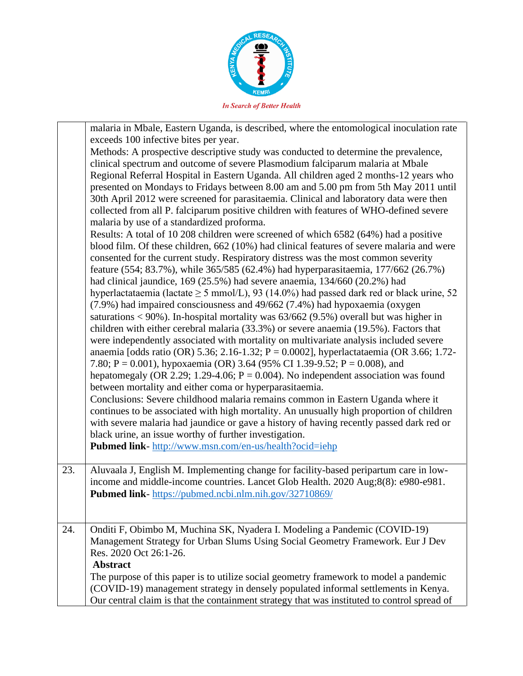

|     | malaria in Mbale, Eastern Uganda, is described, where the entomological inoculation rate<br>exceeds 100 infective bites per year.<br>Methods: A prospective descriptive study was conducted to determine the prevalence,<br>clinical spectrum and outcome of severe Plasmodium falciparum malaria at Mbale<br>Regional Referral Hospital in Eastern Uganda. All children aged 2 months-12 years who<br>presented on Mondays to Fridays between 8.00 am and 5.00 pm from 5th May 2011 until<br>30th April 2012 were screened for parasitaemia. Clinical and laboratory data were then<br>collected from all P. falciparum positive children with features of WHO-defined severe<br>malaria by use of a standardized proforma.<br>Results: A total of 10 208 children were screened of which 6582 (64%) had a positive<br>blood film. Of these children, 662 (10%) had clinical features of severe malaria and were<br>consented for the current study. Respiratory distress was the most common severity<br>feature (554; 83.7%), while 365/585 (62.4%) had hyperparasitaemia, 177/662 (26.7%)<br>had clinical jaundice, 169 (25.5%) had severe anaemia, 134/660 (20.2%) had<br>hyperlactataemia (lactate $\geq$ 5 mmol/L), 93 (14.0%) had passed dark red or black urine, 52<br>(7.9%) had impaired consciousness and 49/662 (7.4%) had hypoxaemia (oxygen<br>saturations < 90%). In-hospital mortality was $63/662$ (9.5%) overall but was higher in<br>children with either cerebral malaria (33.3%) or severe anaemia (19.5%). Factors that<br>were independently associated with mortality on multivariate analysis included severe<br>anaemia [odds ratio (OR) 5.36; 2.16-1.32; P = 0.0002], hyperlactataemia (OR 3.66; 1.72-<br>7.80; P = 0.001), hypoxaemia (OR) 3.64 (95% CI 1.39-9.52; P = 0.008), and<br>hepatomegaly (OR 2.29; 1.29-4.06; $P = 0.004$ ). No independent association was found<br>between mortality and either coma or hyperparasitaemia.<br>Conclusions: Severe childhood malaria remains common in Eastern Uganda where it<br>continues to be associated with high mortality. An unusually high proportion of children<br>with severe malaria had jaundice or gave a history of having recently passed dark red or<br>black urine, an issue worthy of further investigation.<br>Pubmed link- http://www.msn.com/en-us/health?ocid=iehp |
|-----|--------------------------------------------------------------------------------------------------------------------------------------------------------------------------------------------------------------------------------------------------------------------------------------------------------------------------------------------------------------------------------------------------------------------------------------------------------------------------------------------------------------------------------------------------------------------------------------------------------------------------------------------------------------------------------------------------------------------------------------------------------------------------------------------------------------------------------------------------------------------------------------------------------------------------------------------------------------------------------------------------------------------------------------------------------------------------------------------------------------------------------------------------------------------------------------------------------------------------------------------------------------------------------------------------------------------------------------------------------------------------------------------------------------------------------------------------------------------------------------------------------------------------------------------------------------------------------------------------------------------------------------------------------------------------------------------------------------------------------------------------------------------------------------------------------------------------------------------------------------------------------------------------------------------------------------------------------------------------------------------------------------------------------------------------------------------------------------------------------------------------------------------------------------------------------------------------------------------------------------------------------------------------------------------------------------------------------------------------------------------|
| 23. | Aluvaala J, English M. Implementing change for facility-based peripartum care in low-<br>income and middle-income countries. Lancet Glob Health. 2020 Aug;8(8): e980-e981.<br>Pubmed link-https://pubmed.ncbi.nlm.nih.gov/32710869/                                                                                                                                                                                                                                                                                                                                                                                                                                                                                                                                                                                                                                                                                                                                                                                                                                                                                                                                                                                                                                                                                                                                                                                                                                                                                                                                                                                                                                                                                                                                                                                                                                                                                                                                                                                                                                                                                                                                                                                                                                                                                                                                |
| 24. | Onditi F, Obimbo M, Muchina SK, Nyadera I. Modeling a Pandemic (COVID-19)<br>Management Strategy for Urban Slums Using Social Geometry Framework. Eur J Dev<br>Res. 2020 Oct 26:1-26.<br><b>Abstract</b><br>The purpose of this paper is to utilize social geometry framework to model a pandemic<br>(COVID-19) management strategy in densely populated informal settlements in Kenya.<br>Our central claim is that the containment strategy that was instituted to control spread of                                                                                                                                                                                                                                                                                                                                                                                                                                                                                                                                                                                                                                                                                                                                                                                                                                                                                                                                                                                                                                                                                                                                                                                                                                                                                                                                                                                                                                                                                                                                                                                                                                                                                                                                                                                                                                                                             |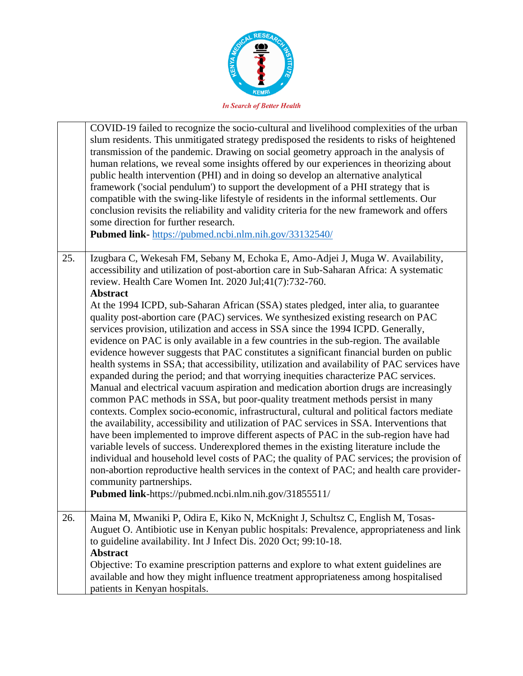

|     | COVID-19 failed to recognize the socio-cultural and livelihood complexities of the urban<br>slum residents. This unmitigated strategy predisposed the residents to risks of heightened<br>transmission of the pandemic. Drawing on social geometry approach in the analysis of<br>human relations, we reveal some insights offered by our experiences in theorizing about<br>public health intervention (PHI) and in doing so develop an alternative analytical<br>framework ('social pendulum') to support the development of a PHI strategy that is<br>compatible with the swing-like lifestyle of residents in the informal settlements. Our<br>conclusion revisits the reliability and validity criteria for the new framework and offers<br>some direction for further research.<br>Pubmed link- https://pubmed.ncbi.nlm.nih.gov/33132540/                                                                                                                                                                                                                                                                                                                                                                                                                                                                                                                                                                                                                                     |
|-----|-------------------------------------------------------------------------------------------------------------------------------------------------------------------------------------------------------------------------------------------------------------------------------------------------------------------------------------------------------------------------------------------------------------------------------------------------------------------------------------------------------------------------------------------------------------------------------------------------------------------------------------------------------------------------------------------------------------------------------------------------------------------------------------------------------------------------------------------------------------------------------------------------------------------------------------------------------------------------------------------------------------------------------------------------------------------------------------------------------------------------------------------------------------------------------------------------------------------------------------------------------------------------------------------------------------------------------------------------------------------------------------------------------------------------------------------------------------------------------------|
| 25. | Izugbara C, Wekesah FM, Sebany M, Echoka E, Amo-Adjei J, Muga W. Availability,<br>accessibility and utilization of post-abortion care in Sub-Saharan Africa: A systematic<br>review. Health Care Women Int. 2020 Jul;41(7):732-760.<br><b>Abstract</b>                                                                                                                                                                                                                                                                                                                                                                                                                                                                                                                                                                                                                                                                                                                                                                                                                                                                                                                                                                                                                                                                                                                                                                                                                              |
|     | At the 1994 ICPD, sub-Saharan African (SSA) states pledged, inter alia, to guarantee<br>quality post-abortion care (PAC) services. We synthesized existing research on PAC<br>services provision, utilization and access in SSA since the 1994 ICPD. Generally,<br>evidence on PAC is only available in a few countries in the sub-region. The available<br>evidence however suggests that PAC constitutes a significant financial burden on public<br>health systems in SSA; that accessibility, utilization and availability of PAC services have<br>expanded during the period; and that worrying inequities characterize PAC services.<br>Manual and electrical vacuum aspiration and medication abortion drugs are increasingly<br>common PAC methods in SSA, but poor-quality treatment methods persist in many<br>contexts. Complex socio-economic, infrastructural, cultural and political factors mediate<br>the availability, accessibility and utilization of PAC services in SSA. Interventions that<br>have been implemented to improve different aspects of PAC in the sub-region have had<br>variable levels of success. Underexplored themes in the existing literature include the<br>individual and household level costs of PAC; the quality of PAC services; the provision of<br>non-abortion reproductive health services in the context of PAC; and health care provider-<br>community partnerships.<br>Pubmed link-https://pubmed.ncbi.nlm.nih.gov/31855511/ |
| 26. | Maina M, Mwaniki P, Odira E, Kiko N, McKnight J, Schultsz C, English M, Tosas-<br>Auguet O. Antibiotic use in Kenyan public hospitals: Prevalence, appropriateness and link<br>to guideline availability. Int J Infect Dis. 2020 Oct; 99:10-18.<br><b>Abstract</b>                                                                                                                                                                                                                                                                                                                                                                                                                                                                                                                                                                                                                                                                                                                                                                                                                                                                                                                                                                                                                                                                                                                                                                                                                  |
|     | Objective: To examine prescription patterns and explore to what extent guidelines are<br>available and how they might influence treatment appropriateness among hospitalised<br>patients in Kenyan hospitals.                                                                                                                                                                                                                                                                                                                                                                                                                                                                                                                                                                                                                                                                                                                                                                                                                                                                                                                                                                                                                                                                                                                                                                                                                                                                       |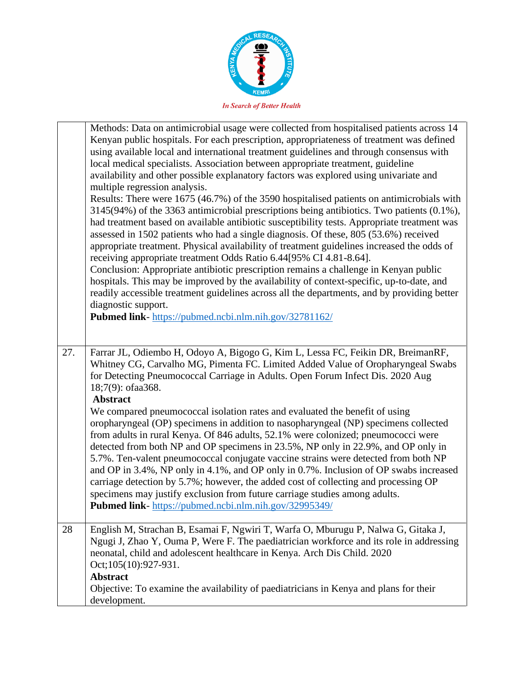

|     | Methods: Data on antimicrobial usage were collected from hospitalised patients across 14<br>Kenyan public hospitals. For each prescription, appropriateness of treatment was defined<br>using available local and international treatment guidelines and through consensus with<br>local medical specialists. Association between appropriate treatment, guideline<br>availability and other possible explanatory factors was explored using univariate and<br>multiple regression analysis.<br>Results: There were 1675 (46.7%) of the 3590 hospitalised patients on antimicrobials with<br>3145(94%) of the 3363 antimicrobial prescriptions being antibiotics. Two patients (0.1%),<br>had treatment based on available antibiotic susceptibility tests. Appropriate treatment was<br>assessed in 1502 patients who had a single diagnosis. Of these, 805 (53.6%) received<br>appropriate treatment. Physical availability of treatment guidelines increased the odds of<br>receiving appropriate treatment Odds Ratio 6.44[95% CI 4.81-8.64].<br>Conclusion: Appropriate antibiotic prescription remains a challenge in Kenyan public<br>hospitals. This may be improved by the availability of context-specific, up-to-date, and<br>readily accessible treatment guidelines across all the departments, and by providing better<br>diagnostic support.<br>Pubmed link-https://pubmed.ncbi.nlm.nih.gov/32781162/ |
|-----|----------------------------------------------------------------------------------------------------------------------------------------------------------------------------------------------------------------------------------------------------------------------------------------------------------------------------------------------------------------------------------------------------------------------------------------------------------------------------------------------------------------------------------------------------------------------------------------------------------------------------------------------------------------------------------------------------------------------------------------------------------------------------------------------------------------------------------------------------------------------------------------------------------------------------------------------------------------------------------------------------------------------------------------------------------------------------------------------------------------------------------------------------------------------------------------------------------------------------------------------------------------------------------------------------------------------------------------------------------------------------------------------------------------------|
| 27. | Farrar JL, Odiembo H, Odoyo A, Bigogo G, Kim L, Lessa FC, Feikin DR, BreimanRF,<br>Whitney CG, Carvalho MG, Pimenta FC. Limited Added Value of Oropharyngeal Swabs<br>for Detecting Pneumococcal Carriage in Adults. Open Forum Infect Dis. 2020 Aug<br>18;7(9): ofaa368.<br><b>Abstract</b><br>We compared pneumococcal isolation rates and evaluated the benefit of using<br>oropharyngeal (OP) specimens in addition to nasopharyngeal (NP) specimens collected<br>from adults in rural Kenya. Of 846 adults, 52.1% were colonized; pneumococci were<br>detected from both NP and OP specimens in 23.5%, NP only in 22.9%, and OP only in<br>5.7%. Ten-valent pneumococcal conjugate vaccine strains were detected from both NP<br>and OP in 3.4%, NP only in 4.1%, and OP only in 0.7%. Inclusion of OP swabs increased<br>carriage detection by 5.7%; however, the added cost of collecting and processing OP<br>specimens may justify exclusion from future carriage studies among adults.<br><b>Pubmed link-</b> https://pubmed.ncbi.nlm.nih.gov/32995349/                                                                                                                                                                                                                                                                                                                                                    |
| 28  | English M, Strachan B, Esamai F, Ngwiri T, Warfa O, Mburugu P, Nalwa G, Gitaka J,<br>Ngugi J, Zhao Y, Ouma P, Were F. The paediatrician workforce and its role in addressing<br>neonatal, child and adolescent healthcare in Kenya. Arch Dis Child. 2020<br>Oct;105(10):927-931.<br><b>Abstract</b>                                                                                                                                                                                                                                                                                                                                                                                                                                                                                                                                                                                                                                                                                                                                                                                                                                                                                                                                                                                                                                                                                                                  |
|     | Objective: To examine the availability of paediatricians in Kenya and plans for their<br>development.                                                                                                                                                                                                                                                                                                                                                                                                                                                                                                                                                                                                                                                                                                                                                                                                                                                                                                                                                                                                                                                                                                                                                                                                                                                                                                                |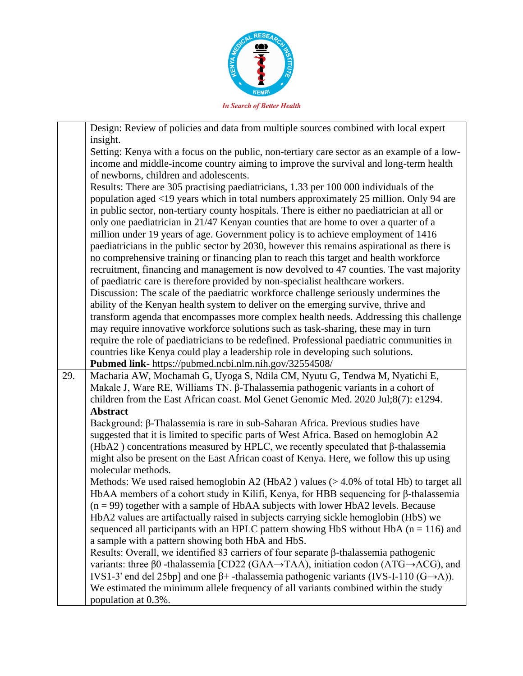

|     | Design: Review of policies and data from multiple sources combined with local expert                                |  |
|-----|---------------------------------------------------------------------------------------------------------------------|--|
|     | insight.                                                                                                            |  |
|     | Setting: Kenya with a focus on the public, non-tertiary care sector as an example of a low-                         |  |
|     | income and middle-income country aiming to improve the survival and long-term health                                |  |
|     | of newborns, children and adolescents.                                                                              |  |
|     | Results: There are 305 practising paediatricians, 1.33 per 100 000 individuals of the                               |  |
|     | population aged <19 years which in total numbers approximately 25 million. Only 94 are                              |  |
|     | in public sector, non-tertiary county hospitals. There is either no paediatrician at all or                         |  |
|     | only one paediatrician in 21/47 Kenyan counties that are home to over a quarter of a                                |  |
|     | million under 19 years of age. Government policy is to achieve employment of 1416                                   |  |
|     | paediatricians in the public sector by 2030, however this remains aspirational as there is                          |  |
|     | no comprehensive training or financing plan to reach this target and health workforce                               |  |
|     | recruitment, financing and management is now devolved to 47 counties. The vast majority                             |  |
|     | of paediatric care is therefore provided by non-specialist healthcare workers.                                      |  |
|     | Discussion: The scale of the paediatric workforce challenge seriously undermines the                                |  |
|     | ability of the Kenyan health system to deliver on the emerging survive, thrive and                                  |  |
|     | transform agenda that encompasses more complex health needs. Addressing this challenge                              |  |
|     | may require innovative workforce solutions such as task-sharing, these may in turn                                  |  |
|     | require the role of paediatricians to be redefined. Professional paediatric communities in                          |  |
|     | countries like Kenya could play a leadership role in developing such solutions.                                     |  |
|     | Pubmed link- https://pubmed.ncbi.nlm.nih.gov/32554508/                                                              |  |
| 29. | Macharia AW, Mochamah G, Uyoga S, Ndila CM, Nyutu G, Tendwa M, Nyatichi E,                                          |  |
|     | Makale J, Ware RE, Williams TN. β-Thalassemia pathogenic variants in a cohort of                                    |  |
|     | children from the East African coast. Mol Genet Genomic Med. 2020 Jul;8(7): e1294.                                  |  |
|     | <b>Abstract</b>                                                                                                     |  |
|     | Background: β-Thalassemia is rare in sub-Saharan Africa. Previous studies have                                      |  |
|     | suggested that it is limited to specific parts of West Africa. Based on hemoglobin A2                               |  |
|     | (HbA2) concentrations measured by HPLC, we recently speculated that $\beta$ -thalassemia                            |  |
|     | might also be present on the East African coast of Kenya. Here, we follow this up using                             |  |
|     | molecular methods.                                                                                                  |  |
|     | Methods: We used raised hemoglobin A2 (HbA2) values $(>4.0\%$ of total Hb) to target all                            |  |
|     | HbAA members of a cohort study in Kilifi, Kenya, for HBB sequencing for β-thalassemia                               |  |
|     | $(n = 99)$ together with a sample of HbAA subjects with lower HbA2 levels. Because                                  |  |
|     | HbA2 values are artifactually raised in subjects carrying sickle hemoglobin (HbS) we                                |  |
|     | sequenced all participants with an HPLC pattern showing HbS without HbA ( $n = 116$ ) and                           |  |
|     | a sample with a pattern showing both HbA and HbS.                                                                   |  |
|     | Results: Overall, we identified 83 carriers of four separate β-thalassemia pathogenic                               |  |
|     | variants: three $\beta$ 0 -thalassemia [CD22 (GAA $\rightarrow$ TAA), initiation codon (ATG $\rightarrow$ ACG), and |  |
|     | IVS1-3' end del 25bp] and one $\beta$ + -thalassemia pathogenic variants (IVS-I-110 (G->A)).                        |  |
|     | We estimated the minimum allele frequency of all variants combined within the study                                 |  |
|     | population at 0.3%.                                                                                                 |  |
|     |                                                                                                                     |  |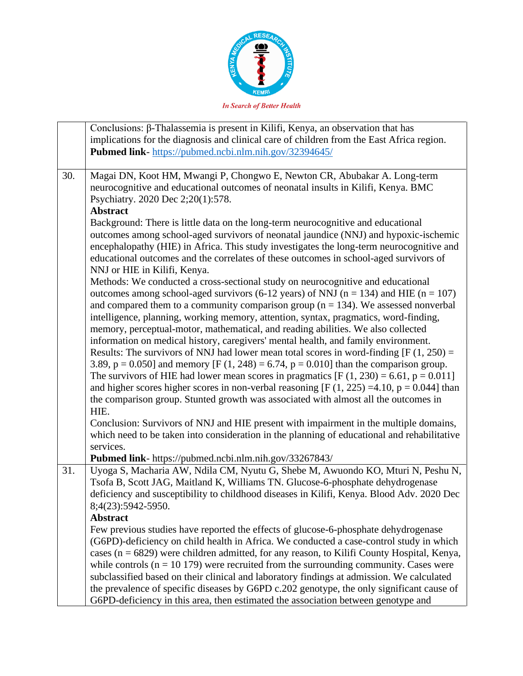

|     | Conclusions: β-Thalassemia is present in Kilifi, Kenya, an observation that has<br>implications for the diagnosis and clinical care of children from the East Africa region.                                                                                                                                                                                                                                                                                                                                                                                                                                                                                                                                                                                                                                                                                                                                                                                                                                                                                                                                                                                                                                                             |  |
|-----|------------------------------------------------------------------------------------------------------------------------------------------------------------------------------------------------------------------------------------------------------------------------------------------------------------------------------------------------------------------------------------------------------------------------------------------------------------------------------------------------------------------------------------------------------------------------------------------------------------------------------------------------------------------------------------------------------------------------------------------------------------------------------------------------------------------------------------------------------------------------------------------------------------------------------------------------------------------------------------------------------------------------------------------------------------------------------------------------------------------------------------------------------------------------------------------------------------------------------------------|--|
|     | Pubmed link-https://pubmed.ncbi.nlm.nih.gov/32394645/                                                                                                                                                                                                                                                                                                                                                                                                                                                                                                                                                                                                                                                                                                                                                                                                                                                                                                                                                                                                                                                                                                                                                                                    |  |
| 30. | Magai DN, Koot HM, Mwangi P, Chongwo E, Newton CR, Abubakar A. Long-term<br>neurocognitive and educational outcomes of neonatal insults in Kilifi, Kenya. BMC<br>Psychiatry. 2020 Dec 2;20(1):578.<br><b>Abstract</b>                                                                                                                                                                                                                                                                                                                                                                                                                                                                                                                                                                                                                                                                                                                                                                                                                                                                                                                                                                                                                    |  |
|     | Background: There is little data on the long-term neurocognitive and educational<br>outcomes among school-aged survivors of neonatal jaundice (NNJ) and hypoxic-ischemic<br>encephalopathy (HIE) in Africa. This study investigates the long-term neurocognitive and<br>educational outcomes and the correlates of these outcomes in school-aged survivors of<br>NNJ or HIE in Kilifi, Kenya.                                                                                                                                                                                                                                                                                                                                                                                                                                                                                                                                                                                                                                                                                                                                                                                                                                            |  |
|     | Methods: We conducted a cross-sectional study on neurocognitive and educational<br>outcomes among school-aged survivors (6-12 years) of NNJ ( $n = 134$ ) and HIE ( $n = 107$ )<br>and compared them to a community comparison group ( $n = 134$ ). We assessed nonverbal<br>intelligence, planning, working memory, attention, syntax, pragmatics, word-finding,<br>memory, perceptual-motor, mathematical, and reading abilities. We also collected<br>information on medical history, caregivers' mental health, and family environment.<br>Results: The survivors of NNJ had lower mean total scores in word-finding $[F(1, 250) =$<br>3.89, $p = 0.050$ ] and memory [F (1, 248) = 6.74, $p = 0.010$ ] than the comparison group.<br>The survivors of HIE had lower mean scores in pragmatics $[F(1, 230) = 6.61, p = 0.011]$<br>and higher scores higher scores in non-verbal reasoning [F $(1, 225) = 4.10$ , p = 0.044] than<br>the comparison group. Stunted growth was associated with almost all the outcomes in<br>HIE.<br>Conclusion: Survivors of NNJ and HIE present with impairment in the multiple domains,<br>which need to be taken into consideration in the planning of educational and rehabilitative<br>services. |  |
|     | Pubmed link- https://pubmed.ncbi.nlm.nih.gov/33267843/                                                                                                                                                                                                                                                                                                                                                                                                                                                                                                                                                                                                                                                                                                                                                                                                                                                                                                                                                                                                                                                                                                                                                                                   |  |
| 31. | Uyoga S, Macharia AW, Ndila CM, Nyutu G, Shebe M, Awuondo KO, Mturi N, Peshu N,<br>Tsofa B, Scott JAG, Maitland K, Williams TN. Glucose-6-phosphate dehydrogenase<br>deficiency and susceptibility to childhood diseases in Kilifi, Kenya. Blood Adv. 2020 Dec<br>8;4(23):5942-5950.<br><b>Abstract</b>                                                                                                                                                                                                                                                                                                                                                                                                                                                                                                                                                                                                                                                                                                                                                                                                                                                                                                                                  |  |
|     | Few previous studies have reported the effects of glucose-6-phosphate dehydrogenase<br>(G6PD)-deficiency on child health in Africa. We conducted a case-control study in which<br>cases ( $n = 6829$ ) were children admitted, for any reason, to Kilifi County Hospital, Kenya,<br>while controls ( $n = 10$ 179) were recruited from the surrounding community. Cases were<br>subclassified based on their clinical and laboratory findings at admission. We calculated<br>the prevalence of specific diseases by G6PD c.202 genotype, the only significant cause of<br>G6PD-deficiency in this area, then estimated the association between genotype and                                                                                                                                                                                                                                                                                                                                                                                                                                                                                                                                                                              |  |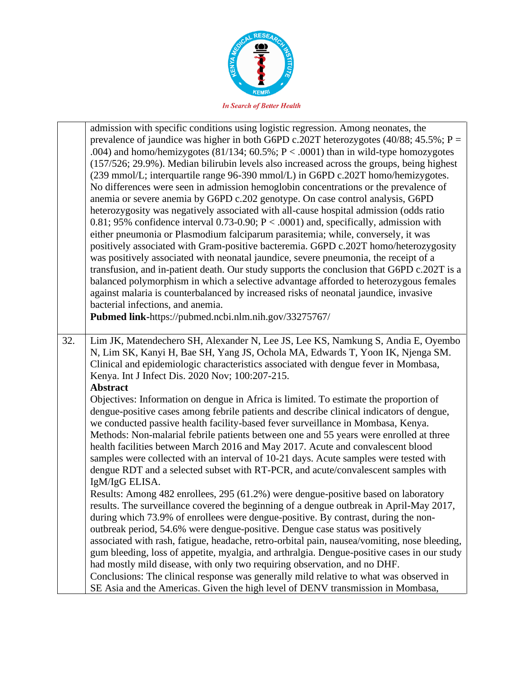

|     | admission with specific conditions using logistic regression. Among neonates, the<br>prevalence of jaundice was higher in both G6PD c.202T heterozygotes (40/88; 45.5%; $P =$<br>.004) and homo/hemizygotes (81/134; $60.5\%$ ; $P < .0001$ ) than in wild-type homozygotes<br>(157/526; 29.9%). Median bilirubin levels also increased across the groups, being highest<br>(239 mmol/L; interquartile range 96-390 mmol/L) in G6PD c.202T homo/hemizygotes.<br>No differences were seen in admission hemoglobin concentrations or the prevalence of<br>anemia or severe anemia by G6PD c.202 genotype. On case control analysis, G6PD<br>heterozygosity was negatively associated with all-cause hospital admission (odds ratio<br>0.81; 95% confidence interval 0.73-0.90; $P < .0001$ ) and, specifically, admission with<br>either pneumonia or Plasmodium falciparum parasitemia; while, conversely, it was<br>positively associated with Gram-positive bacteremia. G6PD c.202T homo/heterozygosity<br>was positively associated with neonatal jaundice, severe pneumonia, the receipt of a<br>transfusion, and in-patient death. Our study supports the conclusion that G6PD c.202T is a<br>balanced polymorphism in which a selective advantage afforded to heterozygous females<br>against malaria is counterbalanced by increased risks of neonatal jaundice, invasive<br>bacterial infections, and anemia.<br>Pubmed link-https://pubmed.ncbi.nlm.nih.gov/33275767/                                                                                                                                                                                                                                                                                                                           |
|-----|---------------------------------------------------------------------------------------------------------------------------------------------------------------------------------------------------------------------------------------------------------------------------------------------------------------------------------------------------------------------------------------------------------------------------------------------------------------------------------------------------------------------------------------------------------------------------------------------------------------------------------------------------------------------------------------------------------------------------------------------------------------------------------------------------------------------------------------------------------------------------------------------------------------------------------------------------------------------------------------------------------------------------------------------------------------------------------------------------------------------------------------------------------------------------------------------------------------------------------------------------------------------------------------------------------------------------------------------------------------------------------------------------------------------------------------------------------------------------------------------------------------------------------------------------------------------------------------------------------------------------------------------------------------------------------------------------------------------------------------------------------------------------------------------------------|
| 32. | Lim JK, Matendechero SH, Alexander N, Lee JS, Lee KS, Namkung S, Andia E, Oyembo<br>N, Lim SK, Kanyi H, Bae SH, Yang JS, Ochola MA, Edwards T, Yoon IK, Njenga SM.<br>Clinical and epidemiologic characteristics associated with dengue fever in Mombasa,<br>Kenya. Int J Infect Dis. 2020 Nov; 100:207-215.<br><b>Abstract</b><br>Objectives: Information on dengue in Africa is limited. To estimate the proportion of<br>dengue-positive cases among febrile patients and describe clinical indicators of dengue,<br>we conducted passive health facility-based fever surveillance in Mombasa, Kenya.<br>Methods: Non-malarial febrile patients between one and 55 years were enrolled at three<br>health facilities between March 2016 and May 2017. Acute and convalescent blood<br>samples were collected with an interval of 10-21 days. Acute samples were tested with<br>dengue RDT and a selected subset with RT-PCR, and acute/convalescent samples with<br>IgM/IgG ELISA.<br>Results: Among 482 enrollees, 295 (61.2%) were dengue-positive based on laboratory<br>results. The surveillance covered the beginning of a dengue outbreak in April-May 2017,<br>during which 73.9% of enrollees were dengue-positive. By contrast, during the non-<br>outbreak period, 54.6% were dengue-positive. Dengue case status was positively<br>associated with rash, fatigue, headache, retro-orbital pain, nausea/vomiting, nose bleeding,<br>gum bleeding, loss of appetite, myalgia, and arthralgia. Dengue-positive cases in our study<br>had mostly mild disease, with only two requiring observation, and no DHF.<br>Conclusions: The clinical response was generally mild relative to what was observed in<br>SE Asia and the Americas. Given the high level of DENV transmission in Mombasa, |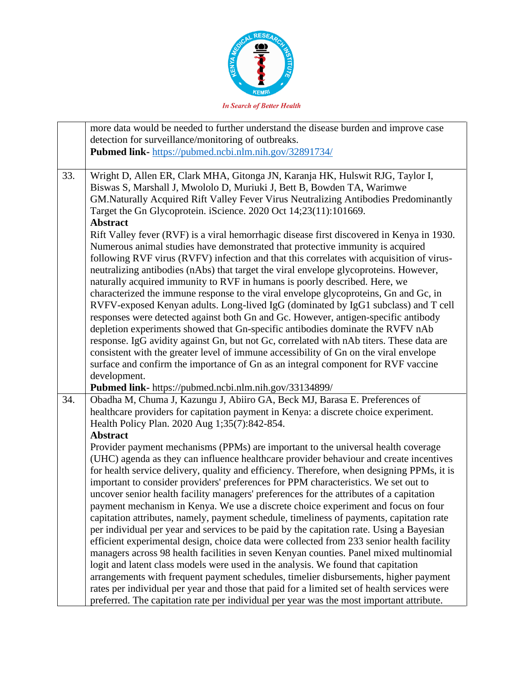

|     | more data would be needed to further understand the disease burden and improve case<br>detection for surveillance/monitoring of outbreaks.<br>Pubmed link- https://pubmed.ncbi.nlm.nih.gov/32891734/                                                                                                                                                                                                                                                                                                                                                                                                                                                                                                                                                                                                                                                                                                                                                                                                                                                                                                                                                                                                                                                                                                                                                                                                                                                                                                                                                                                                       |
|-----|------------------------------------------------------------------------------------------------------------------------------------------------------------------------------------------------------------------------------------------------------------------------------------------------------------------------------------------------------------------------------------------------------------------------------------------------------------------------------------------------------------------------------------------------------------------------------------------------------------------------------------------------------------------------------------------------------------------------------------------------------------------------------------------------------------------------------------------------------------------------------------------------------------------------------------------------------------------------------------------------------------------------------------------------------------------------------------------------------------------------------------------------------------------------------------------------------------------------------------------------------------------------------------------------------------------------------------------------------------------------------------------------------------------------------------------------------------------------------------------------------------------------------------------------------------------------------------------------------------|
| 33. | Wright D, Allen ER, Clark MHA, Gitonga JN, Karanja HK, Hulswit RJG, Taylor I,<br>Biswas S, Marshall J, Mwololo D, Muriuki J, Bett B, Bowden TA, Warimwe<br>GM. Naturally Acquired Rift Valley Fever Virus Neutralizing Antibodies Predominantly<br>Target the Gn Glycoprotein. iScience. 2020 Oct 14;23(11):101669.<br><b>Abstract</b><br>Rift Valley fever (RVF) is a viral hemorrhagic disease first discovered in Kenya in 1930.<br>Numerous animal studies have demonstrated that protective immunity is acquired<br>following RVF virus (RVFV) infection and that this correlates with acquisition of virus-<br>neutralizing antibodies (nAbs) that target the viral envelope glycoproteins. However,<br>naturally acquired immunity to RVF in humans is poorly described. Here, we<br>characterized the immune response to the viral envelope glycoproteins, Gn and Gc, in<br>RVFV-exposed Kenyan adults. Long-lived IgG (dominated by IgG1 subclass) and T cell<br>responses were detected against both Gn and Gc. However, antigen-specific antibody<br>depletion experiments showed that Gn-specific antibodies dominate the RVFV nAb<br>response. IgG avidity against Gn, but not Gc, correlated with nAb titers. These data are<br>consistent with the greater level of immune accessibility of Gn on the viral envelope<br>surface and confirm the importance of Gn as an integral component for RVF vaccine<br>development.                                                                                                                                                                   |
| 34. | Pubmed link- https://pubmed.ncbi.nlm.nih.gov/33134899/<br>Obadha M, Chuma J, Kazungu J, Abiiro GA, Beck MJ, Barasa E. Preferences of<br>healthcare providers for capitation payment in Kenya: a discrete choice experiment.<br>Health Policy Plan. 2020 Aug 1;35(7):842-854.<br><b>Abstract</b><br>Provider payment mechanisms (PPMs) are important to the universal health coverage<br>(UHC) agenda as they can influence healthcare provider behaviour and create incentives<br>for health service delivery, quality and efficiency. Therefore, when designing PPMs, it is<br>important to consider providers' preferences for PPM characteristics. We set out to<br>uncover senior health facility managers' preferences for the attributes of a capitation<br>payment mechanism in Kenya. We use a discrete choice experiment and focus on four<br>capitation attributes, namely, payment schedule, timeliness of payments, capitation rate<br>per individual per year and services to be paid by the capitation rate. Using a Bayesian<br>efficient experimental design, choice data were collected from 233 senior health facility<br>managers across 98 health facilities in seven Kenyan counties. Panel mixed multinomial<br>logit and latent class models were used in the analysis. We found that capitation<br>arrangements with frequent payment schedules, timelier disbursements, higher payment<br>rates per individual per year and those that paid for a limited set of health services were<br>preferred. The capitation rate per individual per year was the most important attribute. |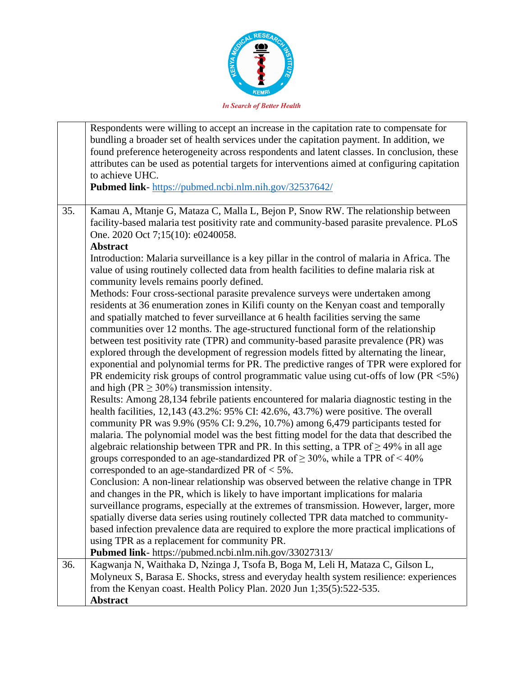

|                                                                                                                                                                                                                           | Respondents were willing to accept an increase in the capitation rate to compensate for<br>bundling a broader set of health services under the capitation payment. In addition, we<br>found preference heterogeneity across respondents and latent classes. In conclusion, these<br>attributes can be used as potential targets for interventions aimed at configuring capitation<br>to achieve UHC.<br>Pubmed link-https://pubmed.ncbi.nlm.nih.gov/32537642/                                                                                                                                                                                                                                                                                                                                                                                                                                                                                                                                                                                                                                                                                                                                                                                                                                                                                                                          |  |
|---------------------------------------------------------------------------------------------------------------------------------------------------------------------------------------------------------------------------|----------------------------------------------------------------------------------------------------------------------------------------------------------------------------------------------------------------------------------------------------------------------------------------------------------------------------------------------------------------------------------------------------------------------------------------------------------------------------------------------------------------------------------------------------------------------------------------------------------------------------------------------------------------------------------------------------------------------------------------------------------------------------------------------------------------------------------------------------------------------------------------------------------------------------------------------------------------------------------------------------------------------------------------------------------------------------------------------------------------------------------------------------------------------------------------------------------------------------------------------------------------------------------------------------------------------------------------------------------------------------------------|--|
| 35.<br>Kamau A, Mtanje G, Mataza C, Malla L, Bejon P, Snow RW. The relationship between<br>facility-based malaria test positivity rate and community-based parasite prevalence. PLoS<br>One. 2020 Oct 7;15(10): e0240058. |                                                                                                                                                                                                                                                                                                                                                                                                                                                                                                                                                                                                                                                                                                                                                                                                                                                                                                                                                                                                                                                                                                                                                                                                                                                                                                                                                                                        |  |
|                                                                                                                                                                                                                           | <b>Abstract</b>                                                                                                                                                                                                                                                                                                                                                                                                                                                                                                                                                                                                                                                                                                                                                                                                                                                                                                                                                                                                                                                                                                                                                                                                                                                                                                                                                                        |  |
|                                                                                                                                                                                                                           | Introduction: Malaria surveillance is a key pillar in the control of malaria in Africa. The<br>value of using routinely collected data from health facilities to define malaria risk at                                                                                                                                                                                                                                                                                                                                                                                                                                                                                                                                                                                                                                                                                                                                                                                                                                                                                                                                                                                                                                                                                                                                                                                                |  |
|                                                                                                                                                                                                                           | community levels remains poorly defined.<br>Methods: Four cross-sectional parasite prevalence surveys were undertaken among<br>residents at 36 enumeration zones in Kilifi county on the Kenyan coast and temporally<br>and spatially matched to fever surveillance at 6 health facilities serving the same<br>communities over 12 months. The age-structured functional form of the relationship<br>between test positivity rate (TPR) and community-based parasite prevalence (PR) was<br>explored through the development of regression models fitted by alternating the linear,<br>exponential and polynomial terms for PR. The predictive ranges of TPR were explored for<br>PR endemicity risk groups of control programmatic value using cut-offs of low (PR $<5\%$ )<br>and high ( $PR \ge 30\%$ ) transmission intensity.<br>Results: Among 28,134 febrile patients encountered for malaria diagnostic testing in the<br>health facilities, 12,143 (43.2%: 95% CI: 42.6%, 43.7%) were positive. The overall<br>community PR was 9.9% (95% CI: 9.2%, 10.7%) among 6,479 participants tested for<br>malaria. The polynomial model was the best fitting model for the data that described the<br>algebraic relationship between TPR and PR. In this setting, a TPR of $\geq$ 49% in all age<br>groups corresponded to an age-standardized PR of $\geq$ 30%, while a TPR of < 40% |  |
|                                                                                                                                                                                                                           | corresponded to an age-standardized PR of $<$ 5%.<br>Conclusion: A non-linear relationship was observed between the relative change in TPR<br>and changes in the PR, which is likely to have important implications for malaria                                                                                                                                                                                                                                                                                                                                                                                                                                                                                                                                                                                                                                                                                                                                                                                                                                                                                                                                                                                                                                                                                                                                                        |  |
|                                                                                                                                                                                                                           | surveillance programs, especially at the extremes of transmission. However, larger, more<br>spatially diverse data series using routinely collected TPR data matched to community-                                                                                                                                                                                                                                                                                                                                                                                                                                                                                                                                                                                                                                                                                                                                                                                                                                                                                                                                                                                                                                                                                                                                                                                                     |  |
|                                                                                                                                                                                                                           | based infection prevalence data are required to explore the more practical implications of<br>using TPR as a replacement for community PR.                                                                                                                                                                                                                                                                                                                                                                                                                                                                                                                                                                                                                                                                                                                                                                                                                                                                                                                                                                                                                                                                                                                                                                                                                                             |  |
|                                                                                                                                                                                                                           | Pubmed link- https://pubmed.ncbi.nlm.nih.gov/33027313/                                                                                                                                                                                                                                                                                                                                                                                                                                                                                                                                                                                                                                                                                                                                                                                                                                                                                                                                                                                                                                                                                                                                                                                                                                                                                                                                 |  |
| 36.                                                                                                                                                                                                                       | Kagwanja N, Waithaka D, Nzinga J, Tsofa B, Boga M, Leli H, Mataza C, Gilson L,                                                                                                                                                                                                                                                                                                                                                                                                                                                                                                                                                                                                                                                                                                                                                                                                                                                                                                                                                                                                                                                                                                                                                                                                                                                                                                         |  |
|                                                                                                                                                                                                                           | Molyneux S, Barasa E. Shocks, stress and everyday health system resilience: experiences                                                                                                                                                                                                                                                                                                                                                                                                                                                                                                                                                                                                                                                                                                                                                                                                                                                                                                                                                                                                                                                                                                                                                                                                                                                                                                |  |
|                                                                                                                                                                                                                           | from the Kenyan coast. Health Policy Plan. 2020 Jun 1;35(5):522-535.                                                                                                                                                                                                                                                                                                                                                                                                                                                                                                                                                                                                                                                                                                                                                                                                                                                                                                                                                                                                                                                                                                                                                                                                                                                                                                                   |  |
|                                                                                                                                                                                                                           | <b>Abstract</b>                                                                                                                                                                                                                                                                                                                                                                                                                                                                                                                                                                                                                                                                                                                                                                                                                                                                                                                                                                                                                                                                                                                                                                                                                                                                                                                                                                        |  |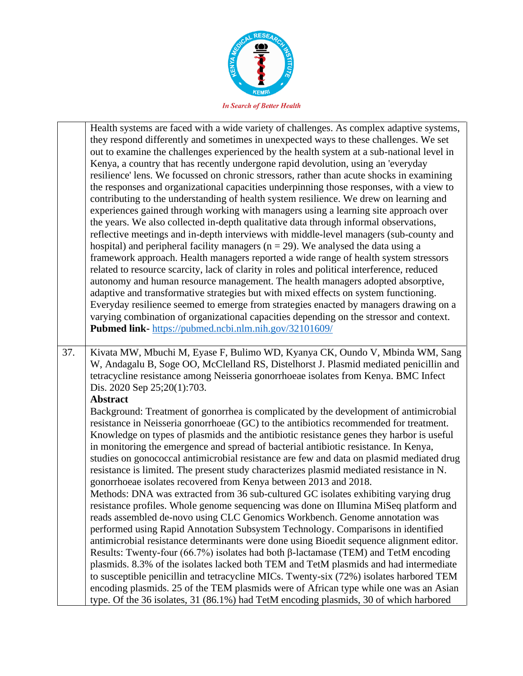

|     | Health systems are faced with a wide variety of challenges. As complex adaptive systems,<br>they respond differently and sometimes in unexpected ways to these challenges. We set<br>out to examine the challenges experienced by the health system at a sub-national level in<br>Kenya, a country that has recently undergone rapid devolution, using an 'everyday<br>resilience' lens. We focussed on chronic stressors, rather than acute shocks in examining<br>the responses and organizational capacities underpinning those responses, with a view to<br>contributing to the understanding of health system resilience. We drew on learning and<br>experiences gained through working with managers using a learning site approach over<br>the years. We also collected in-depth qualitative data through informal observations,<br>reflective meetings and in-depth interviews with middle-level managers (sub-county and<br>hospital) and peripheral facility managers ( $n = 29$ ). We analysed the data using a<br>framework approach. Health managers reported a wide range of health system stressors<br>related to resource scarcity, lack of clarity in roles and political interference, reduced<br>autonomy and human resource management. The health managers adopted absorptive,<br>adaptive and transformative strategies but with mixed effects on system functioning.<br>Everyday resilience seemed to emerge from strategies enacted by managers drawing on a<br>varying combination of organizational capacities depending on the stressor and context.<br>Pubmed link- https://pubmed.ncbi.nlm.nih.gov/32101609/ |
|-----|-------------------------------------------------------------------------------------------------------------------------------------------------------------------------------------------------------------------------------------------------------------------------------------------------------------------------------------------------------------------------------------------------------------------------------------------------------------------------------------------------------------------------------------------------------------------------------------------------------------------------------------------------------------------------------------------------------------------------------------------------------------------------------------------------------------------------------------------------------------------------------------------------------------------------------------------------------------------------------------------------------------------------------------------------------------------------------------------------------------------------------------------------------------------------------------------------------------------------------------------------------------------------------------------------------------------------------------------------------------------------------------------------------------------------------------------------------------------------------------------------------------------------------------------------------------------------------------------------------------------------------------------|
| 37. | Kivata MW, Mbuchi M, Eyase F, Bulimo WD, Kyanya CK, Oundo V, Mbinda WM, Sang<br>W, Andagalu B, Soge OO, McClelland RS, Distelhorst J. Plasmid mediated penicillin and<br>tetracycline resistance among Neisseria gonorrhoeae isolates from Kenya. BMC Infect<br>Dis. 2020 Sep 25;20(1):703.<br><b>Abstract</b>                                                                                                                                                                                                                                                                                                                                                                                                                                                                                                                                                                                                                                                                                                                                                                                                                                                                                                                                                                                                                                                                                                                                                                                                                                                                                                                            |
|     | Background: Treatment of gonorrhea is complicated by the development of antimicrobial<br>resistance in Neisseria gonorrhoeae (GC) to the antibiotics recommended for treatment.<br>Knowledge on types of plasmids and the antibiotic resistance genes they harbor is useful<br>in monitoring the emergence and spread of bacterial antibiotic resistance. In Kenya,<br>studies on gonococcal antimicrobial resistance are few and data on plasmid mediated drug<br>resistance is limited. The present study characterizes plasmid mediated resistance in N.<br>gonorrhoeae isolates recovered from Kenya between 2013 and 2018.<br>Methods: DNA was extracted from 36 sub-cultured GC isolates exhibiting varying drug<br>resistance profiles. Whole genome sequencing was done on Illumina MiSeq platform and<br>reads assembled de-novo using CLC Genomics Workbench. Genome annotation was<br>performed using Rapid Annotation Subsystem Technology. Comparisons in identified<br>antimicrobial resistance determinants were done using Bioedit sequence alignment editor.<br>Results: Twenty-four (66.7%) isolates had both $\beta$ -lactamase (TEM) and TetM encoding<br>plasmids. 8.3% of the isolates lacked both TEM and TetM plasmids and had intermediate<br>to susceptible penicillin and tetracycline MICs. Twenty-six (72%) isolates harbored TEM<br>encoding plasmids. 25 of the TEM plasmids were of African type while one was an Asian<br>type. Of the 36 isolates, 31 (86.1%) had TetM encoding plasmids, 30 of which harbored                                                                                          |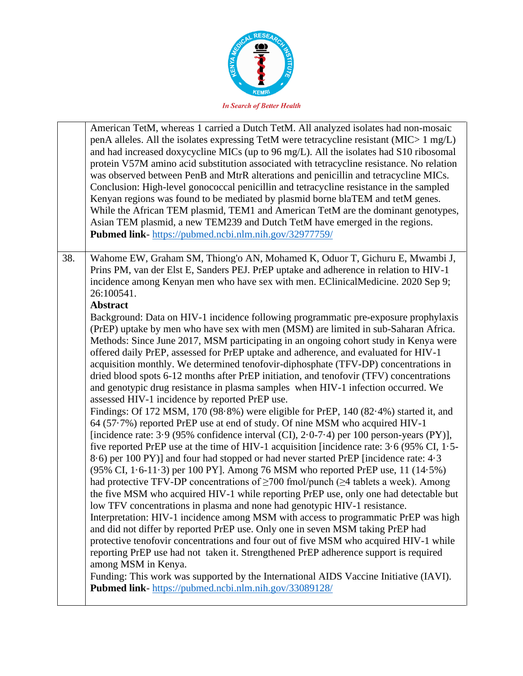

|     | American TetM, whereas 1 carried a Dutch TetM. All analyzed isolates had non-mosaic<br>penA alleles. All the isolates expressing TetM were tetracycline resistant ( $MIC>1 mg/L$ )<br>and had increased doxycycline MICs (up to 96 mg/L). All the isolates had S10 ribosomal<br>protein V57M amino acid substitution associated with tetracycline resistance. No relation<br>was observed between PenB and MtrR alterations and penicillin and tetracycline MICs.<br>Conclusion: High-level gonococcal penicillin and tetracycline resistance in the sampled<br>Kenyan regions was found to be mediated by plasmid borne blaTEM and tetM genes.<br>While the African TEM plasmid, TEM1 and American TetM are the dominant genotypes,<br>Asian TEM plasmid, a new TEM239 and Dutch TetM have emerged in the regions.<br>Pubmed link-https://pubmed.ncbi.nlm.nih.gov/32977759/                                                                                                                                                                                                                                                                                                                                                                                                                                                                                                                                                                                                                                                                                                                                                                                                                                                                                                                                                                                                                                                                                                                                                                                                                                                                                                          |
|-----|---------------------------------------------------------------------------------------------------------------------------------------------------------------------------------------------------------------------------------------------------------------------------------------------------------------------------------------------------------------------------------------------------------------------------------------------------------------------------------------------------------------------------------------------------------------------------------------------------------------------------------------------------------------------------------------------------------------------------------------------------------------------------------------------------------------------------------------------------------------------------------------------------------------------------------------------------------------------------------------------------------------------------------------------------------------------------------------------------------------------------------------------------------------------------------------------------------------------------------------------------------------------------------------------------------------------------------------------------------------------------------------------------------------------------------------------------------------------------------------------------------------------------------------------------------------------------------------------------------------------------------------------------------------------------------------------------------------------------------------------------------------------------------------------------------------------------------------------------------------------------------------------------------------------------------------------------------------------------------------------------------------------------------------------------------------------------------------------------------------------------------------------------------------------------------------|
| 38. | Wahome EW, Graham SM, Thiong'o AN, Mohamed K, Oduor T, Gichuru E, Mwambi J,<br>Prins PM, van der Elst E, Sanders PEJ. PrEP uptake and adherence in relation to HIV-1<br>incidence among Kenyan men who have sex with men. EClinicalMedicine. 2020 Sep 9;<br>26:100541.<br>Abstract<br>Background: Data on HIV-1 incidence following programmatic pre-exposure prophylaxis<br>(PrEP) uptake by men who have sex with men (MSM) are limited in sub-Saharan Africa.<br>Methods: Since June 2017, MSM participating in an ongoing cohort study in Kenya were<br>offered daily PrEP, assessed for PrEP uptake and adherence, and evaluated for HIV-1<br>acquisition monthly. We determined tenofovir-diphosphate (TFV-DP) concentrations in<br>dried blood spots 6-12 months after PrEP initiation, and tenofovir (TFV) concentrations<br>and genotypic drug resistance in plasma samples when HIV-1 infection occurred. We<br>assessed HIV-1 incidence by reported PrEP use.<br>Findings: Of 172 MSM, 170 (98.8%) were eligible for PrEP, 140 (82.4%) started it, and<br>64 (57.7%) reported PrEP use at end of study. Of nine MSM who acquired HIV-1<br>[incidence rate: 3.9 (95% confidence interval (CI), $2.0$ -7.4) per 100 person-years (PY)],<br>five reported PrEP use at the time of HIV-1 acquisition [incidence rate: $3.6$ (95% CI, 1.5-<br>8.6) per 100 PY)] and four had stopped or had never started PrEP [incidence rate: 4.3<br>(95% CI, 1.6-11.3) per 100 PY]. Among 76 MSM who reported PrEP use, 11 (14.5%)<br>had protective TFV-DP concentrations of $\geq$ 700 fmol/punch ( $\geq$ 4 tablets a week). Among<br>the five MSM who acquired HIV-1 while reporting PrEP use, only one had detectable but<br>low TFV concentrations in plasma and none had genotypic HIV-1 resistance.<br>Interpretation: HIV-1 incidence among MSM with access to programmatic PrEP was high<br>and did not differ by reported PrEP use. Only one in seven MSM taking PrEP had<br>protective tenofovir concentrations and four out of five MSM who acquired HIV-1 while<br>reporting PrEP use had not taken it. Strengthened PrEP adherence support is required<br>among MSM in Kenya. |
|     | Funding: This work was supported by the International AIDS Vaccine Initiative (IAVI).<br>Pubmed link-https://pubmed.ncbi.nlm.nih.gov/33089128/                                                                                                                                                                                                                                                                                                                                                                                                                                                                                                                                                                                                                                                                                                                                                                                                                                                                                                                                                                                                                                                                                                                                                                                                                                                                                                                                                                                                                                                                                                                                                                                                                                                                                                                                                                                                                                                                                                                                                                                                                                        |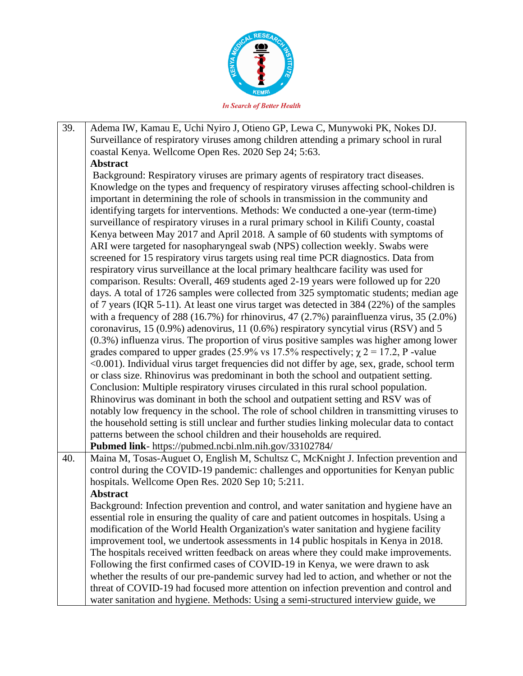

39. Adema IW, Kamau E, Uchi Nyiro J, Otieno GP, Lewa C, Munywoki PK, Nokes DJ. Surveillance of respiratory viruses among children attending a primary school in rural coastal Kenya. Wellcome Open Res. 2020 Sep 24; 5:63. **Abstract** Background: Respiratory viruses are primary agents of respiratory tract diseases. Knowledge on the types and frequency of respiratory viruses affecting school-children is important in determining the role of schools in transmission in the community and identifying targets for interventions. Methods: We conducted a one-year (term-time) surveillance of respiratory viruses in a rural primary school in Kilifi County, coastal Kenya between May 2017 and April 2018. A sample of 60 students with symptoms of ARI were targeted for nasopharyngeal swab (NPS) collection weekly. Swabs were screened for 15 respiratory virus targets using real time PCR diagnostics. Data from respiratory virus surveillance at the local primary healthcare facility was used for comparison. Results: Overall, 469 students aged 2-19 years were followed up for 220 days. A total of 1726 samples were collected from 325 symptomatic students; median age of 7 years (IQR 5-11). At least one virus target was detected in 384 (22%) of the samples with a frequency of 288 (16.7%) for rhinovirus, 47 (2.7%) parainfluenza virus,  $35$  (2.0%) coronavirus, 15 (0.9%) adenovirus, 11 (0.6%) respiratory syncytial virus (RSV) and 5 (0.3%) influenza virus. The proportion of virus positive samples was higher among lower grades compared to upper grades (25.9% vs 17.5% respectively;  $\chi$  2 = 17.2, P -value <0.001). Individual virus target frequencies did not differ by age, sex, grade, school term or class size. Rhinovirus was predominant in both the school and outpatient setting. Conclusion: Multiple respiratory viruses circulated in this rural school population. Rhinovirus was dominant in both the school and outpatient setting and RSV was of notably low frequency in the school. The role of school children in transmitting viruses to the household setting is still unclear and further studies linking molecular data to contact patterns between the school children and their households are required. **Pubmed link**- https://pubmed.ncbi.nlm.nih.gov/33102784/ 40. Maina M, Tosas-Auguet O, English M, Schultsz C, McKnight J. Infection prevention and control during the COVID-19 pandemic: challenges and opportunities for Kenyan public hospitals. Wellcome Open Res. 2020 Sep 10; 5:211. **Abstract** Background: Infection prevention and control, and water sanitation and hygiene have an essential role in ensuring the quality of care and patient outcomes in hospitals. Using a modification of the World Health Organization's water sanitation and hygiene facility improvement tool, we undertook assessments in 14 public hospitals in Kenya in 2018. The hospitals received written feedback on areas where they could make improvements. Following the first confirmed cases of COVID-19 in Kenya, we were drawn to ask whether the results of our pre-pandemic survey had led to action, and whether or not the threat of COVID-19 had focused more attention on infection prevention and control and water sanitation and hygiene. Methods: Using a semi-structured interview guide, we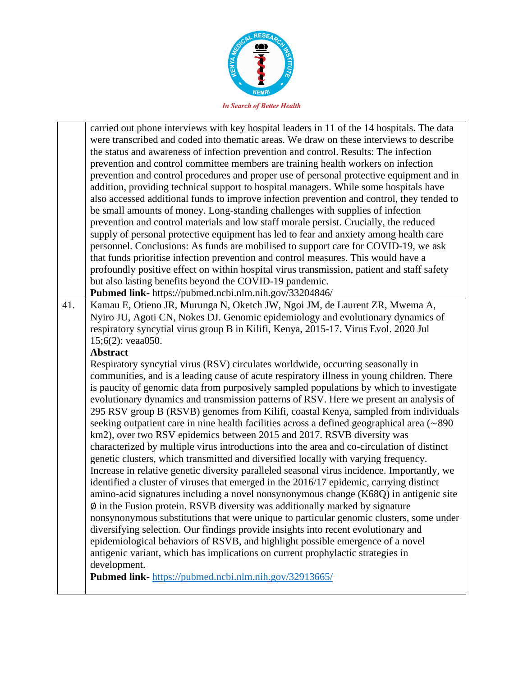

|                                                                                   | carried out phone interviews with key hospital leaders in 11 of the 14 hospitals. The data  |  |  |
|-----------------------------------------------------------------------------------|---------------------------------------------------------------------------------------------|--|--|
|                                                                                   | were transcribed and coded into thematic areas. We draw on these interviews to describe     |  |  |
|                                                                                   | the status and awareness of infection prevention and control. Results: The infection        |  |  |
| prevention and control committee members are training health workers on infection |                                                                                             |  |  |
|                                                                                   | prevention and control procedures and proper use of personal protective equipment and in    |  |  |
|                                                                                   | addition, providing technical support to hospital managers. While some hospitals have       |  |  |
|                                                                                   | also accessed additional funds to improve infection prevention and control, they tended to  |  |  |
|                                                                                   | be small amounts of money. Long-standing challenges with supplies of infection              |  |  |
|                                                                                   | prevention and control materials and low staff morale persist. Crucially, the reduced       |  |  |
|                                                                                   | supply of personal protective equipment has led to fear and anxiety among health care       |  |  |
|                                                                                   | personnel. Conclusions: As funds are mobilised to support care for COVID-19, we ask         |  |  |
|                                                                                   | that funds prioritise infection prevention and control measures. This would have a          |  |  |
|                                                                                   | profoundly positive effect on within hospital virus transmission, patient and staff safety  |  |  |
|                                                                                   | but also lasting benefits beyond the COVID-19 pandemic.                                     |  |  |
|                                                                                   | Pubmed link- https://pubmed.ncbi.nlm.nih.gov/33204846/                                      |  |  |
| 41.                                                                               | Kamau E, Otieno JR, Murunga N, Oketch JW, Ngoi JM, de Laurent ZR, Mwema A,                  |  |  |
|                                                                                   | Nyiro JU, Agoti CN, Nokes DJ. Genomic epidemiology and evolutionary dynamics of             |  |  |
|                                                                                   | respiratory syncytial virus group B in Kilifi, Kenya, 2015-17. Virus Evol. 2020 Jul         |  |  |
|                                                                                   | 15;6(2): veaa050.                                                                           |  |  |
|                                                                                   | <b>Abstract</b>                                                                             |  |  |
|                                                                                   | Respiratory syncytial virus (RSV) circulates worldwide, occurring seasonally in             |  |  |
|                                                                                   | communities, and is a leading cause of acute respiratory illness in young children. There   |  |  |
|                                                                                   | is paucity of genomic data from purposively sampled populations by which to investigate     |  |  |
|                                                                                   | evolutionary dynamics and transmission patterns of RSV. Here we present an analysis of      |  |  |
|                                                                                   | 295 RSV group B (RSVB) genomes from Kilifi, coastal Kenya, sampled from individuals         |  |  |
|                                                                                   | seeking outpatient care in nine health facilities across a defined geographical area (~890) |  |  |
|                                                                                   | km2), over two RSV epidemics between 2015 and 2017. RSVB diversity was                      |  |  |
|                                                                                   | characterized by multiple virus introductions into the area and co-circulation of distinct  |  |  |
|                                                                                   | genetic clusters, which transmitted and diversified locally with varying frequency.         |  |  |
|                                                                                   | Increase in relative genetic diversity paralleled seasonal virus incidence. Importantly, we |  |  |
|                                                                                   | identified a cluster of viruses that emerged in the 2016/17 epidemic, carrying distinct     |  |  |
|                                                                                   | amino-acid signatures including a novel nonsynonymous change (K68Q) in antigenic site       |  |  |
|                                                                                   | $\emptyset$ in the Fusion protein. RSVB diversity was additionally marked by signature      |  |  |
|                                                                                   | nonsynonymous substitutions that were unique to particular genomic clusters, some under     |  |  |
|                                                                                   | diversifying selection. Our findings provide insights into recent evolutionary and          |  |  |
|                                                                                   | epidemiological behaviors of RSVB, and highlight possible emergence of a novel              |  |  |
|                                                                                   |                                                                                             |  |  |
|                                                                                   | antigenic variant, which has implications on current prophylactic strategies in             |  |  |
|                                                                                   | development.                                                                                |  |  |
|                                                                                   | Pubmed link- https://pubmed.ncbi.nlm.nih.gov/32913665/                                      |  |  |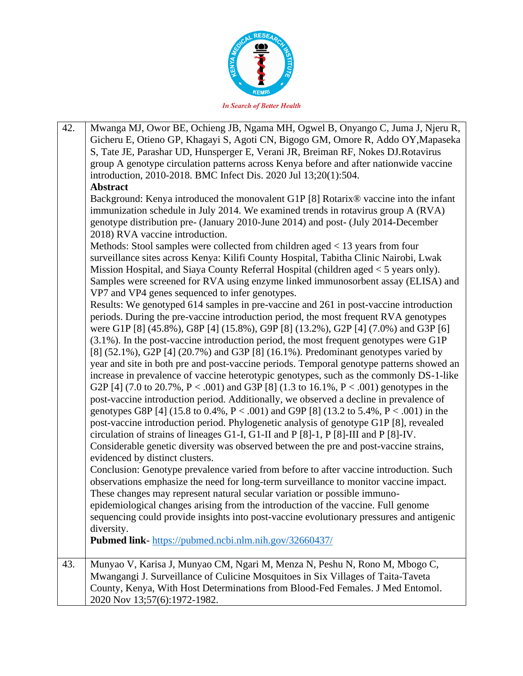

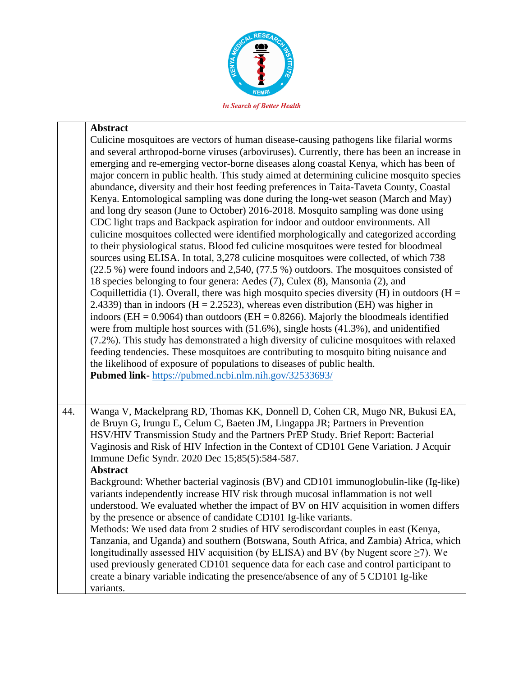

## **Abstract**

|     | Culicine mosquitoes are vectors of human disease-causing pathogens like filarial worms<br>and several arthropod-borne viruses (arboviruses). Currently, there has been an increase in<br>emerging and re-emerging vector-borne diseases along coastal Kenya, which has been of<br>major concern in public health. This study aimed at determining culicine mosquito species<br>abundance, diversity and their host feeding preferences in Taita-Taveta County, Coastal<br>Kenya. Entomological sampling was done during the long-wet season (March and May)<br>and long dry season (June to October) 2016-2018. Mosquito sampling was done using<br>CDC light traps and Backpack aspiration for indoor and outdoor environments. All<br>culicine mosquitoes collected were identified morphologically and categorized according<br>to their physiological status. Blood fed culicine mosquitoes were tested for bloodmeal<br>sources using ELISA. In total, 3,278 culicine mosquitoes were collected, of which 738<br>$(22.5\%)$ were found indoors and 2,540, $(77.5\%)$ outdoors. The mosquitoes consisted of<br>18 species belonging to four genera: Aedes (7), Culex (8), Mansonia (2), and<br>Coquillettidia (1). Overall, there was high mosquito species diversity (H) in outdoors ( $H =$<br>2.4339) than in indoors ( $H = 2.2523$ ), whereas even distribution (EH) was higher in<br>indoors (EH = $0.9064$ ) than outdoors (EH = $0.8266$ ). Majorly the bloodmeals identified<br>were from multiple host sources with $(51.6\%)$ , single hosts $(41.3\%)$ , and unidentified<br>(7.2%). This study has demonstrated a high diversity of culicine mosquitoes with relaxed<br>feeding tendencies. These mosquitoes are contributing to mosquito biting nuisance and<br>the likelihood of exposure of populations to diseases of public health.<br>Pubmed link-https://pubmed.ncbi.nlm.nih.gov/32533693/ |
|-----|--------------------------------------------------------------------------------------------------------------------------------------------------------------------------------------------------------------------------------------------------------------------------------------------------------------------------------------------------------------------------------------------------------------------------------------------------------------------------------------------------------------------------------------------------------------------------------------------------------------------------------------------------------------------------------------------------------------------------------------------------------------------------------------------------------------------------------------------------------------------------------------------------------------------------------------------------------------------------------------------------------------------------------------------------------------------------------------------------------------------------------------------------------------------------------------------------------------------------------------------------------------------------------------------------------------------------------------------------------------------------------------------------------------------------------------------------------------------------------------------------------------------------------------------------------------------------------------------------------------------------------------------------------------------------------------------------------------------------------------------------------------------------------------------------------------------------------------------------------------------------------------------------------------------|
| 44. | Wanga V, Mackelprang RD, Thomas KK, Donnell D, Cohen CR, Mugo NR, Bukusi EA,<br>de Bruyn G, Irungu E, Celum C, Baeten JM, Lingappa JR; Partners in Prevention<br>HSV/HIV Transmission Study and the Partners PrEP Study. Brief Report: Bacterial<br>Vaginosis and Risk of HIV Infection in the Context of CD101 Gene Variation. J Acquir<br>Immune Defic Syndr. 2020 Dec 15;85(5):584-587.<br><b>Abstract</b>                                                                                                                                                                                                                                                                                                                                                                                                                                                                                                                                                                                                                                                                                                                                                                                                                                                                                                                                                                                                                                                                                                                                                                                                                                                                                                                                                                                                                                                                                                      |
|     | Background: Whether bacterial vaginosis (BV) and CD101 immunoglobulin-like (Ig-like)<br>variants independently increase HIV risk through mucosal inflammation is not well<br>understood. We evaluated whether the impact of BV on HIV acquisition in women differs<br>by the presence or absence of candidate CD101 Ig-like variants.<br>Methods: We used data from 2 studies of HIV serodiscordant couples in east (Kenya,<br>Tanzania, and Uganda) and southern (Botswana, South Africa, and Zambia) Africa, which<br>longitudinally assessed HIV acquisition (by ELISA) and BV (by Nugent score $\geq$ 7). We<br>used previously generated CD101 sequence data for each case and control participant to                                                                                                                                                                                                                                                                                                                                                                                                                                                                                                                                                                                                                                                                                                                                                                                                                                                                                                                                                                                                                                                                                                                                                                                                         |
|     | create a binary variable indicating the presence/absence of any of 5 CD101 Ig-like<br>variants.                                                                                                                                                                                                                                                                                                                                                                                                                                                                                                                                                                                                                                                                                                                                                                                                                                                                                                                                                                                                                                                                                                                                                                                                                                                                                                                                                                                                                                                                                                                                                                                                                                                                                                                                                                                                                    |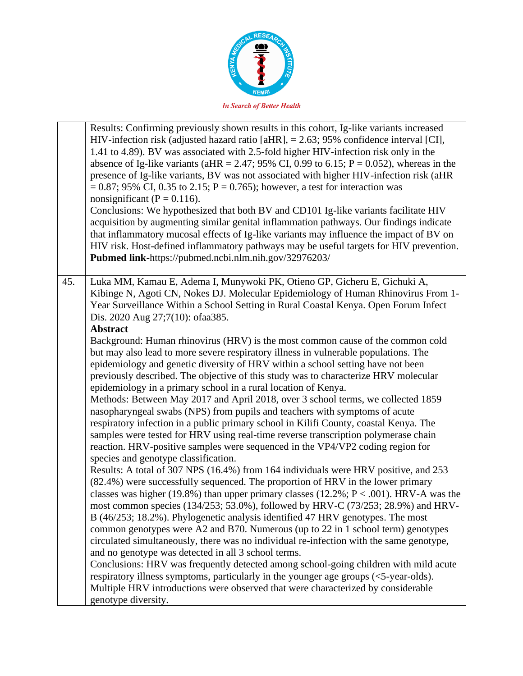

|     | Results: Confirming previously shown results in this cohort, Ig-like variants increased<br>HIV-infection risk (adjusted hazard ratio [aHR], $= 2.63$ ; 95% confidence interval [CI],<br>1.41 to 4.89). BV was associated with 2.5-fold higher HIV-infection risk only in the<br>absence of Ig-like variants (aHR = 2.47; 95% CI, 0.99 to 6.15; $P = 0.052$ ), whereas in the<br>presence of Ig-like variants, BV was not associated with higher HIV-infection risk (aHR<br>$= 0.87$ ; 95% CI, 0.35 to 2.15; P = 0.765); however, a test for interaction was<br>nonsignificant ( $P = 0.116$ ).<br>Conclusions: We hypothesized that both BV and CD101 Ig-like variants facilitate HIV<br>acquisition by augmenting similar genital inflammation pathways. Our findings indicate<br>that inflammatory mucosal effects of Ig-like variants may influence the impact of BV on<br>HIV risk. Host-defined inflammatory pathways may be useful targets for HIV prevention.<br>Pubmed link-https://pubmed.ncbi.nlm.nih.gov/32976203/                                                                                                                                                                                                                                                                                                                                                                                                                                                                                                                                                                                                                                                                                                                                                                                                                                                                 |
|-----|-----------------------------------------------------------------------------------------------------------------------------------------------------------------------------------------------------------------------------------------------------------------------------------------------------------------------------------------------------------------------------------------------------------------------------------------------------------------------------------------------------------------------------------------------------------------------------------------------------------------------------------------------------------------------------------------------------------------------------------------------------------------------------------------------------------------------------------------------------------------------------------------------------------------------------------------------------------------------------------------------------------------------------------------------------------------------------------------------------------------------------------------------------------------------------------------------------------------------------------------------------------------------------------------------------------------------------------------------------------------------------------------------------------------------------------------------------------------------------------------------------------------------------------------------------------------------------------------------------------------------------------------------------------------------------------------------------------------------------------------------------------------------------------------------------------------------------------------------------------------------------------------------|
| 45. | Luka MM, Kamau E, Adema I, Munywoki PK, Otieno GP, Gicheru E, Gichuki A,<br>Kibinge N, Agoti CN, Nokes DJ. Molecular Epidemiology of Human Rhinovirus From 1-<br>Year Surveillance Within a School Setting in Rural Coastal Kenya. Open Forum Infect<br>Dis. 2020 Aug 27;7(10): ofaa385.                                                                                                                                                                                                                                                                                                                                                                                                                                                                                                                                                                                                                                                                                                                                                                                                                                                                                                                                                                                                                                                                                                                                                                                                                                                                                                                                                                                                                                                                                                                                                                                                      |
|     | <b>Abstract</b><br>Background: Human rhinovirus (HRV) is the most common cause of the common cold<br>but may also lead to more severe respiratory illness in vulnerable populations. The<br>epidemiology and genetic diversity of HRV within a school setting have not been<br>previously described. The objective of this study was to characterize HRV molecular<br>epidemiology in a primary school in a rural location of Kenya.<br>Methods: Between May 2017 and April 2018, over 3 school terms, we collected 1859<br>nasopharyngeal swabs (NPS) from pupils and teachers with symptoms of acute<br>respiratory infection in a public primary school in Kilifi County, coastal Kenya. The<br>samples were tested for HRV using real-time reverse transcription polymerase chain<br>reaction. HRV-positive samples were sequenced in the VP4/VP2 coding region for<br>species and genotype classification.<br>Results: A total of 307 NPS (16.4%) from 164 individuals were HRV positive, and 253<br>(82.4%) were successfully sequenced. The proportion of HRV in the lower primary<br>classes was higher (19.8%) than upper primary classes (12.2%; $P < .001$ ). HRV-A was the<br>most common species (134/253; 53.0%), followed by HRV-C (73/253; 28.9%) and HRV-<br>B (46/253; 18.2%). Phylogenetic analysis identified 47 HRV genotypes. The most<br>common genotypes were A2 and B70. Numerous (up to 22 in 1 school term) genotypes<br>circulated simultaneously, there was no individual re-infection with the same genotype,<br>and no genotype was detected in all 3 school terms.<br>Conclusions: HRV was frequently detected among school-going children with mild acute<br>respiratory illness symptoms, particularly in the younger age groups (<5-year-olds).<br>Multiple HRV introductions were observed that were characterized by considerable<br>genotype diversity. |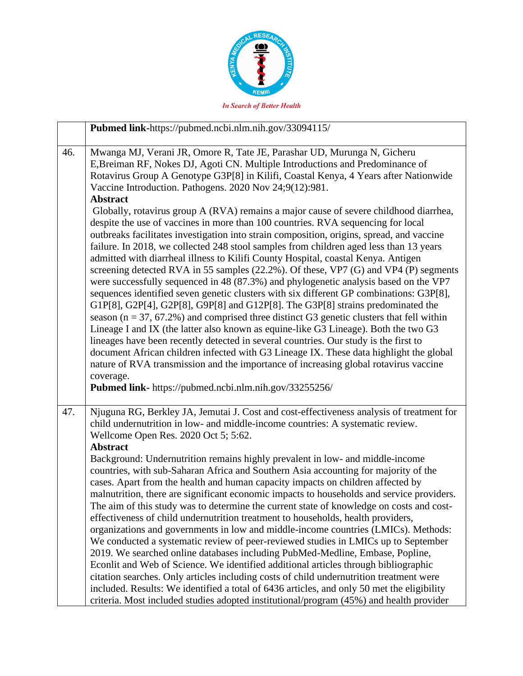

| <b>In Search of Better Health</b> |  |
|-----------------------------------|--|
|                                   |  |

| Pubmed link-https://pubmed.ncbi.nlm.nih.gov/33094115/                                                                                                                                                                                                                                                                                                                                                                                                                                                                                                                                                                                                                                                                                                                                                                                                                                                                                                                                                                                                                                                                                                                                                                                                                                                                                                                                                                 |  |
|-----------------------------------------------------------------------------------------------------------------------------------------------------------------------------------------------------------------------------------------------------------------------------------------------------------------------------------------------------------------------------------------------------------------------------------------------------------------------------------------------------------------------------------------------------------------------------------------------------------------------------------------------------------------------------------------------------------------------------------------------------------------------------------------------------------------------------------------------------------------------------------------------------------------------------------------------------------------------------------------------------------------------------------------------------------------------------------------------------------------------------------------------------------------------------------------------------------------------------------------------------------------------------------------------------------------------------------------------------------------------------------------------------------------------|--|
| Mwanga MJ, Verani JR, Omore R, Tate JE, Parashar UD, Murunga N, Gicheru<br>E, Breiman RF, Nokes DJ, Agoti CN. Multiple Introductions and Predominance of<br>Rotavirus Group A Genotype G3P[8] in Kilifi, Coastal Kenya, 4 Years after Nationwide<br>Vaccine Introduction. Pathogens. 2020 Nov 24;9(12):981.<br><b>Abstract</b>                                                                                                                                                                                                                                                                                                                                                                                                                                                                                                                                                                                                                                                                                                                                                                                                                                                                                                                                                                                                                                                                                        |  |
| Globally, rotavirus group A (RVA) remains a major cause of severe childhood diarrhea,<br>despite the use of vaccines in more than 100 countries. RVA sequencing for local<br>outbreaks facilitates investigation into strain composition, origins, spread, and vaccine<br>failure. In 2018, we collected 248 stool samples from children aged less than 13 years<br>admitted with diarrheal illness to Kilifi County Hospital, coastal Kenya. Antigen<br>screening detected RVA in 55 samples (22.2%). Of these, VP7 (G) and VP4 (P) segments<br>were successfully sequenced in 48 (87.3%) and phylogenetic analysis based on the VP7<br>sequences identified seven genetic clusters with six different GP combinations: G3P[8],<br>G1P[8], G2P[4], G2P[8], G9P[8] and G12P[8]. The G3P[8] strains predominated the<br>season ( $n = 37, 67.2\%$ ) and comprised three distinct G3 genetic clusters that fell within<br>Lineage I and IX (the latter also known as equine-like G3 Lineage). Both the two G3<br>lineages have been recently detected in several countries. Our study is the first to<br>document African children infected with G3 Lineage IX. These data highlight the global<br>nature of RVA transmission and the importance of increasing global rotavirus vaccine<br>coverage.<br>Pubmed link- https://pubmed.ncbi.nlm.nih.gov/33255256/                                                          |  |
| Njuguna RG, Berkley JA, Jemutai J. Cost and cost-effectiveness analysis of treatment for<br>child undernutrition in low- and middle-income countries: A systematic review.<br>Wellcome Open Res. 2020 Oct 5; 5:62.<br><b>Abstract</b><br>Background: Undernutrition remains highly prevalent in low- and middle-income<br>countries, with sub-Saharan Africa and Southern Asia accounting for majority of the<br>cases. Apart from the health and human capacity impacts on children affected by<br>malnutrition, there are significant economic impacts to households and service providers.<br>The aim of this study was to determine the current state of knowledge on costs and cost-<br>effectiveness of child undernutrition treatment to households, health providers,<br>organizations and governments in low and middle-income countries (LMICs). Methods:<br>We conducted a systematic review of peer-reviewed studies in LMICs up to September<br>2019. We searched online databases including PubMed-Medline, Embase, Popline,<br>Econlit and Web of Science. We identified additional articles through bibliographic<br>citation searches. Only articles including costs of child undernutrition treatment were<br>included. Results: We identified a total of 6436 articles, and only 50 met the eligibility<br>criteria. Most included studies adopted institutional/program (45%) and health provider |  |
|                                                                                                                                                                                                                                                                                                                                                                                                                                                                                                                                                                                                                                                                                                                                                                                                                                                                                                                                                                                                                                                                                                                                                                                                                                                                                                                                                                                                                       |  |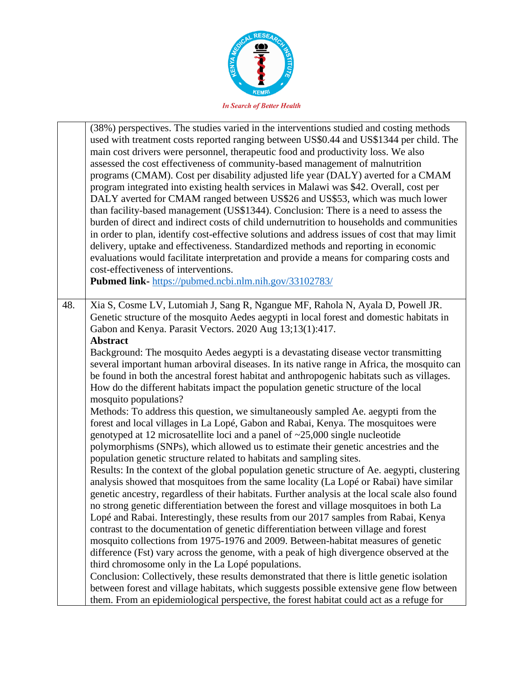

|     | (38%) perspectives. The studies varied in the interventions studied and costing methods<br>used with treatment costs reported ranging between US\$0.44 and US\$1344 per child. The<br>main cost drivers were personnel, therapeutic food and productivity loss. We also<br>assessed the cost effectiveness of community-based management of malnutrition<br>programs (CMAM). Cost per disability adjusted life year (DALY) averted for a CMAM<br>program integrated into existing health services in Malawi was \$42. Overall, cost per<br>DALY averted for CMAM ranged between US\$26 and US\$53, which was much lower<br>than facility-based management (US\$1344). Conclusion: There is a need to assess the<br>burden of direct and indirect costs of child undernutrition to households and communities<br>in order to plan, identify cost-effective solutions and address issues of cost that may limit<br>delivery, uptake and effectiveness. Standardized methods and reporting in economic<br>evaluations would facilitate interpretation and provide a means for comparing costs and<br>cost-effectiveness of interventions.<br>Pubmed link-https://pubmed.ncbi.nlm.nih.gov/33102783/ |
|-----|-------------------------------------------------------------------------------------------------------------------------------------------------------------------------------------------------------------------------------------------------------------------------------------------------------------------------------------------------------------------------------------------------------------------------------------------------------------------------------------------------------------------------------------------------------------------------------------------------------------------------------------------------------------------------------------------------------------------------------------------------------------------------------------------------------------------------------------------------------------------------------------------------------------------------------------------------------------------------------------------------------------------------------------------------------------------------------------------------------------------------------------------------------------------------------------------------|
| 48. | Xia S, Cosme LV, Lutomiah J, Sang R, Ngangue MF, Rahola N, Ayala D, Powell JR.<br>Genetic structure of the mosquito Aedes aegypti in local forest and domestic habitats in<br>Gabon and Kenya. Parasit Vectors. 2020 Aug 13;13(1):417.<br><b>Abstract</b>                                                                                                                                                                                                                                                                                                                                                                                                                                                                                                                                                                                                                                                                                                                                                                                                                                                                                                                                       |
|     | Background: The mosquito Aedes aegypti is a devastating disease vector transmitting<br>several important human arboviral diseases. In its native range in Africa, the mosquito can<br>be found in both the ancestral forest habitat and anthropogenic habitats such as villages.<br>How do the different habitats impact the population genetic structure of the local<br>mosquito populations?                                                                                                                                                                                                                                                                                                                                                                                                                                                                                                                                                                                                                                                                                                                                                                                                 |
|     | Methods: To address this question, we simultaneously sampled Ae. aegypti from the<br>forest and local villages in La Lopé, Gabon and Rabai, Kenya. The mosquitoes were<br>genotyped at 12 microsatellite loci and a panel of $\approx$ 25,000 single nucleotide                                                                                                                                                                                                                                                                                                                                                                                                                                                                                                                                                                                                                                                                                                                                                                                                                                                                                                                                 |
|     | polymorphisms (SNPs), which allowed us to estimate their genetic ancestries and the<br>population genetic structure related to habitats and sampling sites.                                                                                                                                                                                                                                                                                                                                                                                                                                                                                                                                                                                                                                                                                                                                                                                                                                                                                                                                                                                                                                     |
|     | Results: In the context of the global population genetic structure of Ae. aegypti, clustering<br>analysis showed that mosquitoes from the same locality (La Lopé or Rabai) have similar<br>genetic ancestry, regardless of their habitats. Further analysis at the local scale also found<br>no strong genetic differentiation between the forest and village mosquitoes in both La                                                                                                                                                                                                                                                                                                                                                                                                                                                                                                                                                                                                                                                                                                                                                                                                             |
|     | Lopé and Rabai. Interestingly, these results from our 2017 samples from Rabai, Kenya<br>contrast to the documentation of genetic differentiation between village and forest<br>mosquito collections from 1975-1976 and 2009. Between-habitat measures of genetic                                                                                                                                                                                                                                                                                                                                                                                                                                                                                                                                                                                                                                                                                                                                                                                                                                                                                                                                |
|     | difference (Fst) vary across the genome, with a peak of high divergence observed at the<br>third chromosome only in the La Lopé populations.                                                                                                                                                                                                                                                                                                                                                                                                                                                                                                                                                                                                                                                                                                                                                                                                                                                                                                                                                                                                                                                    |
|     | Conclusion: Collectively, these results demonstrated that there is little genetic isolation                                                                                                                                                                                                                                                                                                                                                                                                                                                                                                                                                                                                                                                                                                                                                                                                                                                                                                                                                                                                                                                                                                     |
|     | between forest and village habitats, which suggests possible extensive gene flow between<br>them. From an epidemiological perspective, the forest habitat could act as a refuge for                                                                                                                                                                                                                                                                                                                                                                                                                                                                                                                                                                                                                                                                                                                                                                                                                                                                                                                                                                                                             |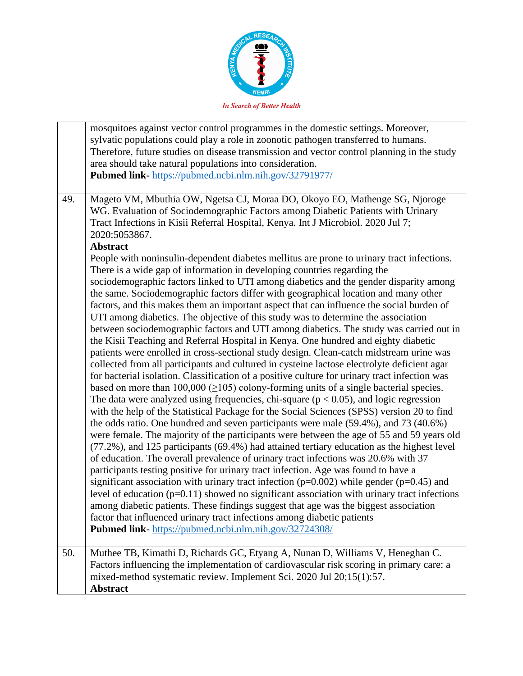

|     | mosquitoes against vector control programmes in the domestic settings. Moreover,<br>sylvatic populations could play a role in zoonotic pathogen transferred to humans.<br>Therefore, future studies on disease transmission and vector control planning in the study<br>area should take natural populations into consideration.<br>Pubmed link- https://pubmed.ncbi.nlm.nih.gov/32791977/                                                                                                                                                                                                                                                                                                                                                                                                                                                                                                                                                                                                                                                                                                                                                                                                                                                                                                                                                                                                                                                                                                                                                                                                                                                                                                                                                                                                                                                                                                                                                                                                                                                                                                                                                                                                                                                                                                                                                                                                                                                  |
|-----|---------------------------------------------------------------------------------------------------------------------------------------------------------------------------------------------------------------------------------------------------------------------------------------------------------------------------------------------------------------------------------------------------------------------------------------------------------------------------------------------------------------------------------------------------------------------------------------------------------------------------------------------------------------------------------------------------------------------------------------------------------------------------------------------------------------------------------------------------------------------------------------------------------------------------------------------------------------------------------------------------------------------------------------------------------------------------------------------------------------------------------------------------------------------------------------------------------------------------------------------------------------------------------------------------------------------------------------------------------------------------------------------------------------------------------------------------------------------------------------------------------------------------------------------------------------------------------------------------------------------------------------------------------------------------------------------------------------------------------------------------------------------------------------------------------------------------------------------------------------------------------------------------------------------------------------------------------------------------------------------------------------------------------------------------------------------------------------------------------------------------------------------------------------------------------------------------------------------------------------------------------------------------------------------------------------------------------------------------------------------------------------------------------------------------------------------|
| 49. | Mageto VM, Mbuthia OW, Ngetsa CJ, Moraa DO, Okoyo EO, Mathenge SG, Njoroge<br>WG. Evaluation of Sociodemographic Factors among Diabetic Patients with Urinary<br>Tract Infections in Kisii Referral Hospital, Kenya. Int J Microbiol. 2020 Jul 7;<br>2020:5053867.<br><b>Abstract</b><br>People with noninsulin-dependent diabetes mellitus are prone to urinary tract infections.<br>There is a wide gap of information in developing countries regarding the<br>sociodemographic factors linked to UTI among diabetics and the gender disparity among<br>the same. Sociodemographic factors differ with geographical location and many other<br>factors, and this makes them an important aspect that can influence the social burden of<br>UTI among diabetics. The objective of this study was to determine the association<br>between sociodemographic factors and UTI among diabetics. The study was carried out in<br>the Kisii Teaching and Referral Hospital in Kenya. One hundred and eighty diabetic<br>patients were enrolled in cross-sectional study design. Clean-catch midstream urine was<br>collected from all participants and cultured in cysteine lactose electrolyte deficient agar<br>for bacterial isolation. Classification of a positive culture for urinary tract infection was<br>based on more than $100,000 \ (\geq 105)$ colony-forming units of a single bacterial species.<br>The data were analyzed using frequencies, chi-square ( $p < 0.05$ ), and logic regression<br>with the help of the Statistical Package for the Social Sciences (SPSS) version 20 to find<br>the odds ratio. One hundred and seven participants were male (59.4%), and 73 (40.6%)<br>were female. The majority of the participants were between the age of 55 and 59 years old<br>(77.2%), and 125 participants (69.4%) had attained tertiary education as the highest level<br>of education. The overall prevalence of urinary tract infections was 20.6% with 37<br>participants testing positive for urinary tract infection. Age was found to have a<br>significant association with urinary tract infection ( $p=0.002$ ) while gender ( $p=0.45$ ) and<br>level of education (p=0.11) showed no significant association with urinary tract infections<br>among diabetic patients. These findings suggest that age was the biggest association<br>factor that influenced urinary tract infections among diabetic patients |
|     | Pubmed link-https://pubmed.ncbi.nlm.nih.gov/32724308/                                                                                                                                                                                                                                                                                                                                                                                                                                                                                                                                                                                                                                                                                                                                                                                                                                                                                                                                                                                                                                                                                                                                                                                                                                                                                                                                                                                                                                                                                                                                                                                                                                                                                                                                                                                                                                                                                                                                                                                                                                                                                                                                                                                                                                                                                                                                                                                       |
| 50. | Muthee TB, Kimathi D, Richards GC, Etyang A, Nunan D, Williams V, Heneghan C.<br>Factors influencing the implementation of cardiovascular risk scoring in primary care: a<br>mixed-method systematic review. Implement Sci. 2020 Jul 20;15(1):57.<br><b>Abstract</b>                                                                                                                                                                                                                                                                                                                                                                                                                                                                                                                                                                                                                                                                                                                                                                                                                                                                                                                                                                                                                                                                                                                                                                                                                                                                                                                                                                                                                                                                                                                                                                                                                                                                                                                                                                                                                                                                                                                                                                                                                                                                                                                                                                        |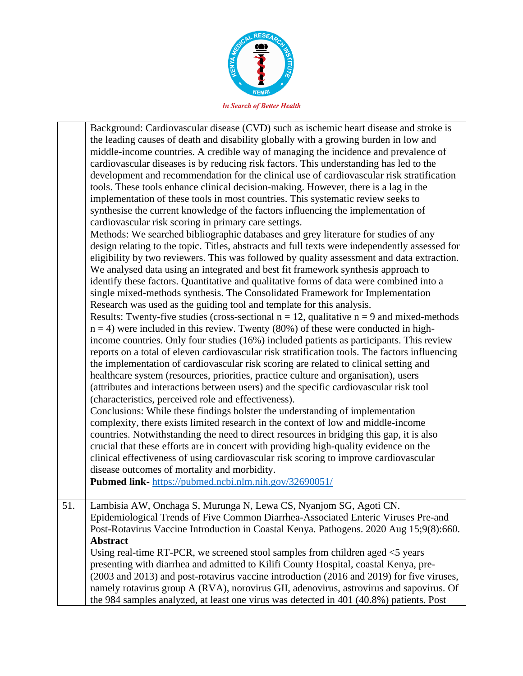

|     | Background: Cardiovascular disease (CVD) such as ischemic heart disease and stroke is<br>the leading causes of death and disability globally with a growing burden in low and<br>middle-income countries. A credible way of managing the incidence and prevalence of<br>cardiovascular diseases is by reducing risk factors. This understanding has led to the<br>development and recommendation for the clinical use of cardiovascular risk stratification<br>tools. These tools enhance clinical decision-making. However, there is a lag in the<br>implementation of these tools in most countries. This systematic review seeks to<br>synthesise the current knowledge of the factors influencing the implementation of<br>cardiovascular risk scoring in primary care settings.<br>Methods: We searched bibliographic databases and grey literature for studies of any<br>design relating to the topic. Titles, abstracts and full texts were independently assessed for<br>eligibility by two reviewers. This was followed by quality assessment and data extraction.<br>We analysed data using an integrated and best fit framework synthesis approach to<br>identify these factors. Quantitative and qualitative forms of data were combined into a<br>single mixed-methods synthesis. The Consolidated Framework for Implementation<br>Research was used as the guiding tool and template for this analysis.<br>Results: Twenty-five studies (cross-sectional $n = 12$ , qualitative $n = 9$ and mixed-methods<br>$n = 4$ ) were included in this review. Twenty (80%) of these were conducted in high-<br>income countries. Only four studies (16%) included patients as participants. This review<br>reports on a total of eleven cardiovascular risk stratification tools. The factors influencing<br>the implementation of cardiovascular risk scoring are related to clinical setting and<br>healthcare system (resources, priorities, practice culture and organisation), users<br>(attributes and interactions between users) and the specific cardiovascular risk tool<br>(characteristics, perceived role and effectiveness).<br>Conclusions: While these findings bolster the understanding of implementation<br>complexity, there exists limited research in the context of low and middle-income<br>countries. Notwithstanding the need to direct resources in bridging this gap, it is also<br>crucial that these efforts are in concert with providing high-quality evidence on the<br>clinical effectiveness of using cardiovascular risk scoring to improve cardiovascular<br>disease outcomes of mortality and morbidity.<br>Pubmed link-https://pubmed.ncbi.nlm.nih.gov/32690051/ |
|-----|--------------------------------------------------------------------------------------------------------------------------------------------------------------------------------------------------------------------------------------------------------------------------------------------------------------------------------------------------------------------------------------------------------------------------------------------------------------------------------------------------------------------------------------------------------------------------------------------------------------------------------------------------------------------------------------------------------------------------------------------------------------------------------------------------------------------------------------------------------------------------------------------------------------------------------------------------------------------------------------------------------------------------------------------------------------------------------------------------------------------------------------------------------------------------------------------------------------------------------------------------------------------------------------------------------------------------------------------------------------------------------------------------------------------------------------------------------------------------------------------------------------------------------------------------------------------------------------------------------------------------------------------------------------------------------------------------------------------------------------------------------------------------------------------------------------------------------------------------------------------------------------------------------------------------------------------------------------------------------------------------------------------------------------------------------------------------------------------------------------------------------------------------------------------------------------------------------------------------------------------------------------------------------------------------------------------------------------------------------------------------------------------------------------------------------------------------------------------------------------------------------------------------------------------------------------------------------------------------------------------------------------------------------------------------------------------------------------|
| 51. | Lambisia AW, Onchaga S, Murunga N, Lewa CS, Nyanjom SG, Agoti CN.<br>Epidemiological Trends of Five Common Diarrhea-Associated Enteric Viruses Pre-and<br>Post-Rotavirus Vaccine Introduction in Coastal Kenya. Pathogens. 2020 Aug 15;9(8):660.<br>Abstract<br>Using real-time RT-PCR, we screened stool samples from children aged $\leq$ years<br>presenting with diarrhea and admitted to Kilifi County Hospital, coastal Kenya, pre-<br>(2003 and 2013) and post-rotavirus vaccine introduction (2016 and 2019) for five viruses,<br>namely rotavirus group A (RVA), norovirus GII, adenovirus, astrovirus and sapovirus. Of<br>the 984 samples analyzed, at least one virus was detected in 401 (40.8%) patients. Post                                                                                                                                                                                                                                                                                                                                                                                                                                                                                                                                                                                                                                                                                                                                                                                                                                                                                                                                                                                                                                                                                                                                                                                                                                                                                                                                                                                                                                                                                                                                                                                                                                                                                                                                                                                                                                                                                                                                                                                 |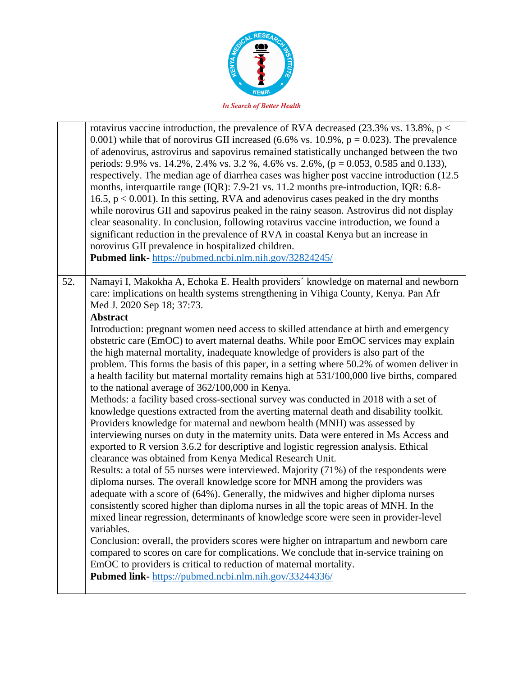

|     | rotavirus vaccine introduction, the prevalence of RVA decreased $(23.3\% \text{ vs. } 13.8\%, \text{ p}$ <<br>0.001) while that of norovirus GII increased (6.6% vs. 10.9%, $p = 0.023$ ). The prevalence<br>of adenovirus, astrovirus and sapovirus remained statistically unchanged between the two<br>periods: 9.9% vs. 14.2%, 2.4% vs. 3.2%, 4.6% vs. 2.6%, ( $p = 0.053$ , 0.585 and 0.133),<br>respectively. The median age of diarrhea cases was higher post vaccine introduction (12.5)<br>months, interquartile range (IQR): 7.9-21 vs. 11.2 months pre-introduction, IQR: 6.8-<br>16.5, $p < 0.001$ ). In this setting, RVA and adenovirus cases peaked in the dry months<br>while norovirus GII and sapovirus peaked in the rainy season. Astrovirus did not display<br>clear seasonality. In conclusion, following rotavirus vaccine introduction, we found a<br>significant reduction in the prevalence of RVA in coastal Kenya but an increase in<br>norovirus GII prevalence in hospitalized children.<br>Pubmed link-https://pubmed.ncbi.nlm.nih.gov/32824245/                                                                                                                                                                                                                                                                                                                                                                                                                                                                                                                                                                                                                                                                                                                                                                                                                                                                                                                                                               |
|-----|----------------------------------------------------------------------------------------------------------------------------------------------------------------------------------------------------------------------------------------------------------------------------------------------------------------------------------------------------------------------------------------------------------------------------------------------------------------------------------------------------------------------------------------------------------------------------------------------------------------------------------------------------------------------------------------------------------------------------------------------------------------------------------------------------------------------------------------------------------------------------------------------------------------------------------------------------------------------------------------------------------------------------------------------------------------------------------------------------------------------------------------------------------------------------------------------------------------------------------------------------------------------------------------------------------------------------------------------------------------------------------------------------------------------------------------------------------------------------------------------------------------------------------------------------------------------------------------------------------------------------------------------------------------------------------------------------------------------------------------------------------------------------------------------------------------------------------------------------------------------------------------------------------------------------------------------------------------------------------------------------------------------------------------------|
| 52. | Namayi I, Makokha A, Echoka E. Health providers' knowledge on maternal and newborn<br>care: implications on health systems strengthening in Vihiga County, Kenya. Pan Afr<br>Med J. 2020 Sep 18; 37:73.<br><b>Abstract</b><br>Introduction: pregnant women need access to skilled attendance at birth and emergency<br>obstetric care (EmOC) to avert maternal deaths. While poor EmOC services may explain<br>the high maternal mortality, inadequate knowledge of providers is also part of the<br>problem. This forms the basis of this paper, in a setting where 50.2% of women deliver in<br>a health facility but maternal mortality remains high at 531/100,000 live births, compared<br>to the national average of $362/100,000$ in Kenya.<br>Methods: a facility based cross-sectional survey was conducted in 2018 with a set of<br>knowledge questions extracted from the averting maternal death and disability toolkit.<br>Providers knowledge for maternal and newborn health (MNH) was assessed by<br>interviewing nurses on duty in the maternity units. Data were entered in Ms Access and<br>exported to R version 3.6.2 for descriptive and logistic regression analysis. Ethical<br>clearance was obtained from Kenya Medical Research Unit.<br>Results: a total of 55 nurses were interviewed. Majority (71%) of the respondents were<br>diploma nurses. The overall knowledge score for MNH among the providers was<br>adequate with a score of (64%). Generally, the midwives and higher diploma nurses<br>consistently scored higher than diploma nurses in all the topic areas of MNH. In the<br>mixed linear regression, determinants of knowledge score were seen in provider-level<br>variables.<br>Conclusion: overall, the providers scores were higher on intrapartum and newborn care<br>compared to scores on care for complications. We conclude that in-service training on<br>EmOC to providers is critical to reduction of maternal mortality.<br>Pubmed link-https://pubmed.ncbi.nlm.nih.gov/33244336/ |
|     |                                                                                                                                                                                                                                                                                                                                                                                                                                                                                                                                                                                                                                                                                                                                                                                                                                                                                                                                                                                                                                                                                                                                                                                                                                                                                                                                                                                                                                                                                                                                                                                                                                                                                                                                                                                                                                                                                                                                                                                                                                              |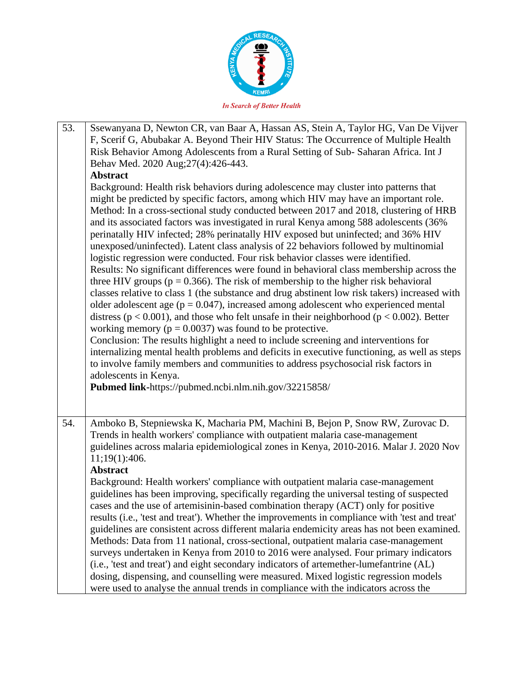

| 53. | Ssewanyana D, Newton CR, van Baar A, Hassan AS, Stein A, Taylor HG, Van De Vijver<br>F, Scerif G, Abubakar A. Beyond Their HIV Status: The Occurrence of Multiple Health<br>Risk Behavior Among Adolescents from a Rural Setting of Sub-Saharan Africa. Int J<br>Behav Med. 2020 Aug; 27(4): 426-443.<br><b>Abstract</b><br>Background: Health risk behaviors during adolescence may cluster into patterns that                                                                                                                                                                                                                                                                                                                                                                                                                                                                                                                                                                                                                                                                                                                                                                                                                                                                                                                                                                                                                                           |
|-----|-----------------------------------------------------------------------------------------------------------------------------------------------------------------------------------------------------------------------------------------------------------------------------------------------------------------------------------------------------------------------------------------------------------------------------------------------------------------------------------------------------------------------------------------------------------------------------------------------------------------------------------------------------------------------------------------------------------------------------------------------------------------------------------------------------------------------------------------------------------------------------------------------------------------------------------------------------------------------------------------------------------------------------------------------------------------------------------------------------------------------------------------------------------------------------------------------------------------------------------------------------------------------------------------------------------------------------------------------------------------------------------------------------------------------------------------------------------|
|     | might be predicted by specific factors, among which HIV may have an important role.<br>Method: In a cross-sectional study conducted between 2017 and 2018, clustering of HRB<br>and its associated factors was investigated in rural Kenya among 588 adolescents (36%<br>perinatally HIV infected; 28% perinatally HIV exposed but uninfected; and 36% HIV<br>unexposed/uninfected). Latent class analysis of 22 behaviors followed by multinomial<br>logistic regression were conducted. Four risk behavior classes were identified.<br>Results: No significant differences were found in behavioral class membership across the<br>three HIV groups ( $p = 0.366$ ). The risk of membership to the higher risk behavioral<br>classes relative to class 1 (the substance and drug abstinent low risk takers) increased with<br>older adolescent age ( $p = 0.047$ ), increased among adolescent who experienced mental<br>distress ( $p < 0.001$ ), and those who felt unsafe in their neighborhood ( $p < 0.002$ ). Better<br>working memory ( $p = 0.0037$ ) was found to be protective.<br>Conclusion: The results highlight a need to include screening and interventions for<br>internalizing mental health problems and deficits in executive functioning, as well as steps<br>to involve family members and communities to address psychosocial risk factors in<br>adolescents in Kenya.<br>Pubmed link-https://pubmed.ncbi.nlm.nih.gov/32215858/ |
| 54. | Amboko B, Stepniewska K, Macharia PM, Machini B, Bejon P, Snow RW, Zurovac D.<br>Trends in health workers' compliance with outpatient malaria case-management<br>guidelines across malaria epidemiological zones in Kenya, 2010-2016. Malar J. 2020 Nov<br>11;19(1):406.<br><b>Abstract</b><br>Background: Health workers' compliance with outpatient malaria case-management<br>guidelines has been improving, specifically regarding the universal testing of suspected<br>cases and the use of artemisinin-based combination therapy (ACT) only for positive<br>results (i.e., 'test and treat'). Whether the improvements in compliance with 'test and treat'<br>guidelines are consistent across different malaria endemicity areas has not been examined.<br>Methods: Data from 11 national, cross-sectional, outpatient malaria case-management<br>surveys undertaken in Kenya from 2010 to 2016 were analysed. Four primary indicators<br>(i.e., 'test and treat') and eight secondary indicators of artemether-lumefantrine (AL)<br>dosing, dispensing, and counselling were measured. Mixed logistic regression models<br>were used to analyse the annual trends in compliance with the indicators across the                                                                                                                                                                                                                                   |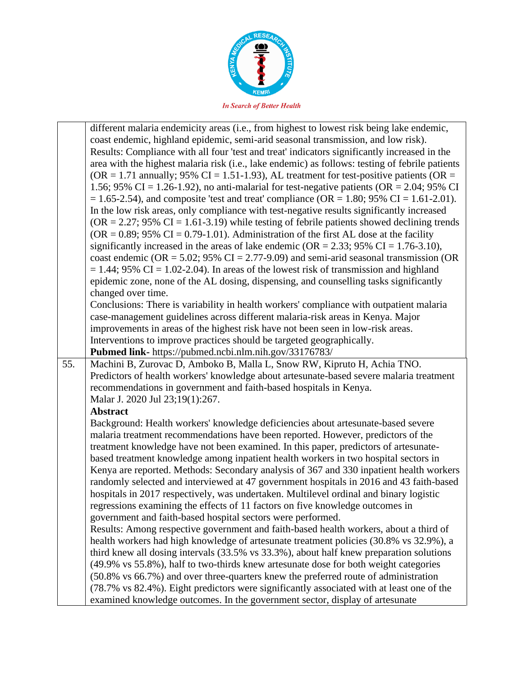

|     | different malaria endemicity areas (i.e., from highest to lowest risk being lake endemic,       |
|-----|-------------------------------------------------------------------------------------------------|
|     | coast endemic, highland epidemic, semi-arid seasonal transmission, and low risk).               |
|     | Results: Compliance with all four 'test and treat' indicators significantly increased in the    |
|     | area with the highest malaria risk (i.e., lake endemic) as follows: testing of febrile patients |
|     | (OR = 1.71 annually; 95% CI = 1.51-1.93), AL treatment for test-positive patients (OR =         |
|     | 1.56; 95% CI = 1.26-1.92), no anti-malarial for test-negative patients (OR = 2.04; 95% CI       |
|     | $= 1.65 - 2.54$ , and composite 'test and treat' compliance (OR = 1.80; 95% CI = 1.61-2.01).    |
|     | In the low risk areas, only compliance with test-negative results significantly increased       |
|     | $OR = 2.27$ ; 95% CI = 1.61-3.19) while testing of febrile patients showed declining trends     |
|     | $(OR = 0.89; 95\% CI = 0.79-1.01)$ . Administration of the first AL dose at the facility        |
|     |                                                                                                 |
|     | significantly increased in the areas of lake endemic ( $OR = 2.33$ ; 95% CI = 1.76-3.10),       |
|     | coast endemic (OR = $5.02$ ; 95% CI = $2.77$ -9.09) and semi-arid seasonal transmission (OR     |
|     | $= 1.44$ ; 95% CI = 1.02-2.04). In areas of the lowest risk of transmission and highland        |
|     | epidemic zone, none of the AL dosing, dispensing, and counselling tasks significantly           |
|     | changed over time.                                                                              |
|     | Conclusions: There is variability in health workers' compliance with outpatient malaria         |
|     | case-management guidelines across different malaria-risk areas in Kenya. Major                  |
|     | improvements in areas of the highest risk have not been seen in low-risk areas.                 |
|     | Interventions to improve practices should be targeted geographically.                           |
|     | Pubmed link- https://pubmed.ncbi.nlm.nih.gov/33176783/                                          |
| 55. | Machini B, Zurovac D, Amboko B, Malla L, Snow RW, Kipruto H, Achia TNO.                         |
|     | Predictors of health workers' knowledge about artesunate-based severe malaria treatment         |
|     | recommendations in government and faith-based hospitals in Kenya.                               |
|     | Malar J. 2020 Jul 23;19(1):267.                                                                 |
|     | <b>Abstract</b>                                                                                 |
|     | Background: Health workers' knowledge deficiencies about artesunate-based severe                |
|     | malaria treatment recommendations have been reported. However, predictors of the                |
|     | treatment knowledge have not been examined. In this paper, predictors of artesunate-            |
|     | based treatment knowledge among inpatient health workers in two hospital sectors in             |
|     | Kenya are reported. Methods: Secondary analysis of 367 and 330 inpatient health workers         |
|     | randomly selected and interviewed at 47 government hospitals in 2016 and 43 faith-based         |
|     | hospitals in 2017 respectively, was undertaken. Multilevel ordinal and binary logistic          |
|     |                                                                                                 |
|     | regressions examining the effects of 11 factors on five knowledge outcomes in                   |
|     | government and faith-based hospital sectors were performed.                                     |
|     | Results: Among respective government and faith-based health workers, about a third of           |
|     | health workers had high knowledge of artesunate treatment policies (30.8% vs 32.9%), a          |
|     | third knew all dosing intervals (33.5% vs 33.3%), about half knew preparation solutions         |
|     | (49.9% vs 55.8%), half to two-thirds knew artesunate dose for both weight categories            |
|     | (50.8% vs 66.7%) and over three-quarters knew the preferred route of administration             |
|     | (78.7% vs 82.4%). Eight predictors were significantly associated with at least one of the       |
|     | examined knowledge outcomes. In the government sector, display of artesunate                    |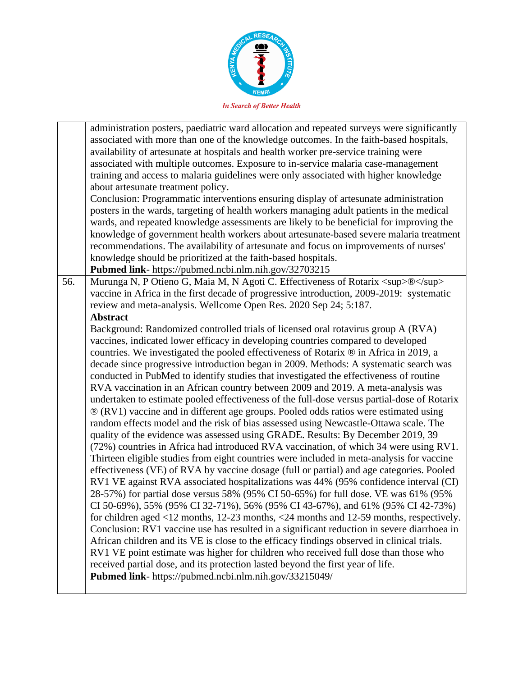

administration posters, paediatric ward allocation and repeated surveys were significantly associated with more than one of the knowledge outcomes. In the faith-based hospitals, availability of artesunate at hospitals and health worker pre-service training were associated with multiple outcomes. Exposure to in-service malaria case-management training and access to malaria guidelines were only associated with higher knowledge about artesunate treatment policy. Conclusion: Programmatic interventions ensuring display of artesunate administration posters in the wards, targeting of health workers managing adult patients in the medical wards, and repeated knowledge assessments are likely to be beneficial for improving the knowledge of government health workers about artesunate-based severe malaria treatment recommendations. The availability of artesunate and focus on improvements of nurses' knowledge should be prioritized at the faith-based hospitals. **Pubmed link**- https://pubmed.ncbi.nlm.nih.gov/32703215 56. Murunga N, P Otieno G, Maia M, N Agoti C. Effectiveness of Rotarix <sup> <sup>®</sup> </sup> vaccine in Africa in the first decade of progressive introduction, 2009-2019: systematic review and meta-analysis. Wellcome Open Res. 2020 Sep 24; 5:187. **Abstract** Background: Randomized controlled trials of licensed oral rotavirus group A (RVA) vaccines, indicated lower efficacy in developing countries compared to developed countries. We investigated the pooled effectiveness of Rotarix ® in Africa in 2019, a decade since progressive introduction began in 2009. Methods: A systematic search was conducted in PubMed to identify studies that investigated the effectiveness of routine RVA vaccination in an African country between 2009 and 2019. A meta-analysis was undertaken to estimate pooled effectiveness of the full-dose versus partial-dose of Rotarix ® (RV1) vaccine and in different age groups. Pooled odds ratios were estimated using random effects model and the risk of bias assessed using Newcastle-Ottawa scale. The quality of the evidence was assessed using GRADE. Results: By December 2019, 39 (72%) countries in Africa had introduced RVA vaccination, of which 34 were using RV1. Thirteen eligible studies from eight countries were included in meta-analysis for vaccine effectiveness (VE) of RVA by vaccine dosage (full or partial) and age categories. Pooled RV1 VE against RVA associated hospitalizations was 44% (95% confidence interval (CI) 28-57%) for partial dose versus 58% (95% CI 50-65%) for full dose. VE was 61% (95% CI 50-69%), 55% (95% CI 32-71%), 56% (95% CI 43-67%), and 61% (95% CI 42-73%) for children aged <12 months, 12-23 months, <24 months and 12-59 months, respectively. Conclusion: RV1 vaccine use has resulted in a significant reduction in severe diarrhoea in African children and its VE is close to the efficacy findings observed in clinical trials. RV1 VE point estimate was higher for children who received full dose than those who received partial dose, and its protection lasted beyond the first year of life. **Pubmed link**- https://pubmed.ncbi.nlm.nih.gov/33215049/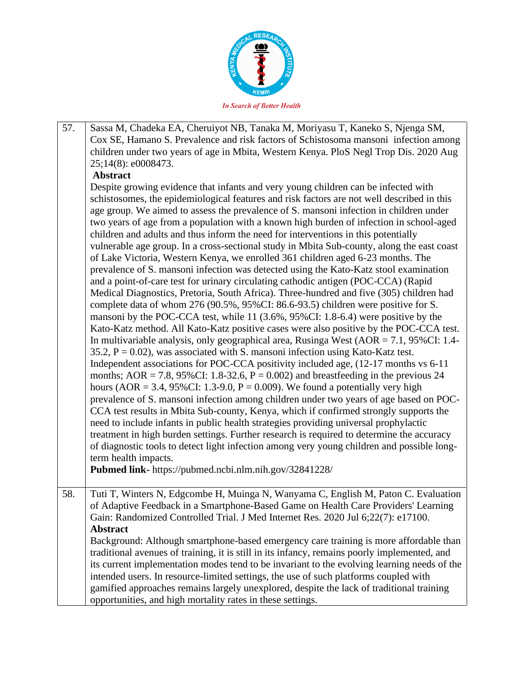

57. Sassa M, Chadeka EA, Cheruiyot NB, Tanaka M, Moriyasu T, Kaneko S, Njenga SM, Cox SE, Hamano S. Prevalence and risk factors of Schistosoma mansoni infection among children under two years of age in Mbita, Western Kenya. PloS Negl Trop Dis. 2020 Aug 25;14(8): e0008473. **Abstract** Despite growing evidence that infants and very young children can be infected with schistosomes, the epidemiological features and risk factors are not well described in this age group. We aimed to assess the prevalence of S. mansoni infection in children under two years of age from a population with a known high burden of infection in school-aged children and adults and thus inform the need for interventions in this potentially vulnerable age group. In a cross-sectional study in Mbita Sub-county, along the east coast of Lake Victoria, Western Kenya, we enrolled 361 children aged 6-23 months. The prevalence of S. mansoni infection was detected using the Kato-Katz stool examination and a point-of-care test for urinary circulating cathodic antigen (POC-CCA) (Rapid Medical Diagnostics, Pretoria, South Africa). Three-hundred and five (305) children had complete data of whom 276 (90.5%, 95%CI: 86.6-93.5) children were positive for S. mansoni by the POC-CCA test, while 11 (3.6%, 95%CI: 1.8-6.4) were positive by the Kato-Katz method. All Kato-Katz positive cases were also positive by the POC-CCA test. In multivariable analysis, only geographical area, Rusinga West  $(AOR = 7.1, 95\% CI: 1.4-$ 35.2,  $P = 0.02$ ), was associated with S. mansoni infection using Kato-Katz test. Independent associations for POC-CCA positivity included age, (12-17 months vs 6-11 months; AOR = 7.8, 95%CI: 1.8-32.6,  $P = 0.002$ ) and breastfeeding in the previous 24 hours (AOR = 3.4, 95%CI: 1.3-9.0,  $P = 0.009$ ). We found a potentially very high prevalence of S. mansoni infection among children under two years of age based on POC-CCA test results in Mbita Sub-county, Kenya, which if confirmed strongly supports the need to include infants in public health strategies providing universal prophylactic treatment in high burden settings. Further research is required to determine the accuracy of diagnostic tools to detect light infection among very young children and possible longterm health impacts. **Pubmed link-** https://pubmed.ncbi.nlm.nih.gov/32841228/ 58. Tuti T, Winters N, Edgcombe H, Muinga N, Wanyama C, English M, Paton C. Evaluation of Adaptive Feedback in a Smartphone-Based Game on Health Care Providers' Learning Gain: Randomized Controlled Trial. J Med Internet Res. 2020 Jul 6;22(7): e17100. **Abstract** Background: Although smartphone-based emergency care training is more affordable than traditional avenues of training, it is still in its infancy, remains poorly implemented, and its current implementation modes tend to be invariant to the evolving learning needs of the intended users. In resource-limited settings, the use of such platforms coupled with gamified approaches remains largely unexplored, despite the lack of traditional training opportunities, and high mortality rates in these settings.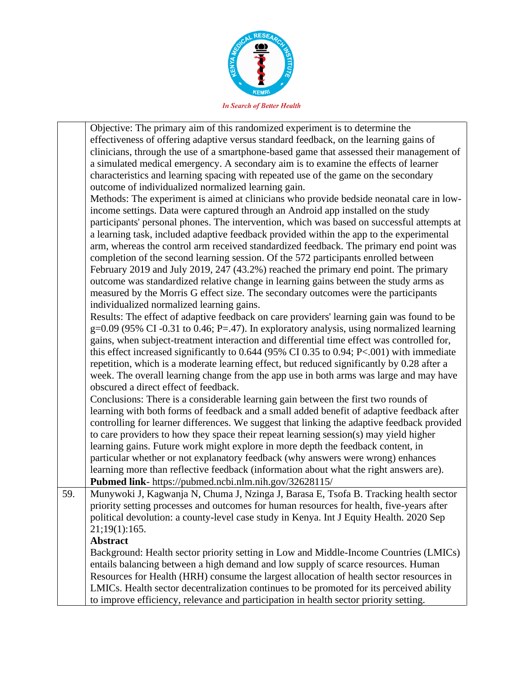

Objective: The primary aim of this randomized experiment is to determine the effectiveness of offering adaptive versus standard feedback, on the learning gains of clinicians, through the use of a smartphone-based game that assessed their management of a simulated medical emergency. A secondary aim is to examine the effects of learner characteristics and learning spacing with repeated use of the game on the secondary outcome of individualized normalized learning gain. Methods: The experiment is aimed at clinicians who provide bedside neonatal care in lowincome settings. Data were captured through an Android app installed on the study participants' personal phones. The intervention, which was based on successful attempts at a learning task, included adaptive feedback provided within the app to the experimental arm, whereas the control arm received standardized feedback. The primary end point was completion of the second learning session. Of the 572 participants enrolled between February 2019 and July 2019, 247 (43.2%) reached the primary end point. The primary outcome was standardized relative change in learning gains between the study arms as measured by the Morris G effect size. The secondary outcomes were the participants individualized normalized learning gains. Results: The effect of adaptive feedback on care providers' learning gain was found to be  $g=0.09$  (95% CI -0.31 to 0.46; P=.47). In exploratory analysis, using normalized learning gains, when subject-treatment interaction and differential time effect was controlled for, this effect increased significantly to 0.644 (95% CI 0.35 to 0.94; P<.001) with immediate repetition, which is a moderate learning effect, but reduced significantly by 0.28 after a week. The overall learning change from the app use in both arms was large and may have obscured a direct effect of feedback. Conclusions: There is a considerable learning gain between the first two rounds of learning with both forms of feedback and a small added benefit of adaptive feedback after controlling for learner differences. We suggest that linking the adaptive feedback provided to care providers to how they space their repeat learning session(s) may yield higher learning gains. Future work might explore in more depth the feedback content, in particular whether or not explanatory feedback (why answers were wrong) enhances learning more than reflective feedback (information about what the right answers are). **Pubmed link**- https://pubmed.ncbi.nlm.nih.gov/32628115/ 59. Munywoki J, Kagwanja N, Chuma J, Nzinga J, Barasa E, Tsofa B. Tracking health sector priority setting processes and outcomes for human resources for health, five-years after political devolution: a county-level case study in Kenya. Int J Equity Health. 2020 Sep 21;19(1):165. **Abstract** Background: Health sector priority setting in Low and Middle-Income Countries (LMICs) entails balancing between a high demand and low supply of scarce resources. Human Resources for Health (HRH) consume the largest allocation of health sector resources in LMICs. Health sector decentralization continues to be promoted for its perceived ability to improve efficiency, relevance and participation in health sector priority setting.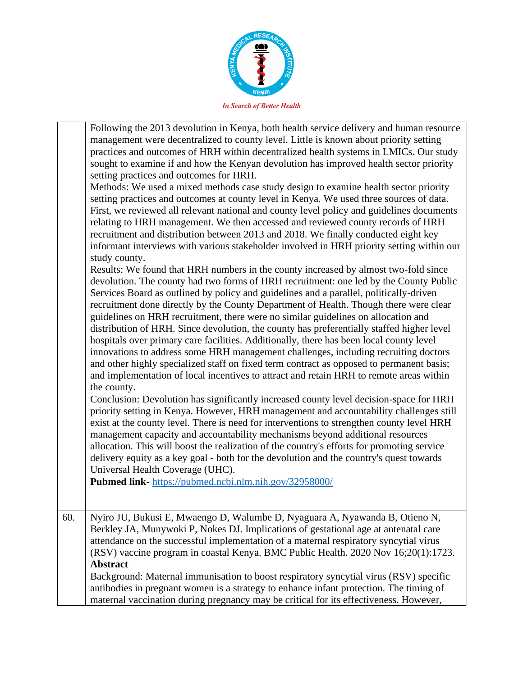

|     | Following the 2013 devolution in Kenya, both health service delivery and human resource<br>management were decentralized to county level. Little is known about priority setting<br>practices and outcomes of HRH within decentralized health systems in LMICs. Our study<br>sought to examine if and how the Kenyan devolution has improved health sector priority<br>setting practices and outcomes for HRH.<br>Methods: We used a mixed methods case study design to examine health sector priority<br>setting practices and outcomes at county level in Kenya. We used three sources of data.<br>First, we reviewed all relevant national and county level policy and guidelines documents<br>relating to HRH management. We then accessed and reviewed county records of HRH<br>recruitment and distribution between 2013 and 2018. We finally conducted eight key<br>informant interviews with various stakeholder involved in HRH priority setting within our<br>study county.<br>Results: We found that HRH numbers in the county increased by almost two-fold since<br>devolution. The county had two forms of HRH recruitment: one led by the County Public<br>Services Board as outlined by policy and guidelines and a parallel, politically-driven<br>recruitment done directly by the County Department of Health. Though there were clear<br>guidelines on HRH recruitment, there were no similar guidelines on allocation and<br>distribution of HRH. Since devolution, the county has preferentially staffed higher level<br>hospitals over primary care facilities. Additionally, there has been local county level<br>innovations to address some HRH management challenges, including recruiting doctors<br>and other highly specialized staff on fixed term contract as opposed to permanent basis;<br>and implementation of local incentives to attract and retain HRH to remote areas within<br>the county.<br>Conclusion: Devolution has significantly increased county level decision-space for HRH<br>priority setting in Kenya. However, HRH management and accountability challenges still<br>exist at the county level. There is need for interventions to strengthen county level HRH<br>management capacity and accountability mechanisms beyond additional resources<br>allocation. This will boost the realization of the country's efforts for promoting service<br>delivery equity as a key goal - both for the devolution and the country's quest towards<br>Universal Health Coverage (UHC).<br>Pubmed link-https://pubmed.ncbi.nlm.nih.gov/32958000/ |
|-----|--------------------------------------------------------------------------------------------------------------------------------------------------------------------------------------------------------------------------------------------------------------------------------------------------------------------------------------------------------------------------------------------------------------------------------------------------------------------------------------------------------------------------------------------------------------------------------------------------------------------------------------------------------------------------------------------------------------------------------------------------------------------------------------------------------------------------------------------------------------------------------------------------------------------------------------------------------------------------------------------------------------------------------------------------------------------------------------------------------------------------------------------------------------------------------------------------------------------------------------------------------------------------------------------------------------------------------------------------------------------------------------------------------------------------------------------------------------------------------------------------------------------------------------------------------------------------------------------------------------------------------------------------------------------------------------------------------------------------------------------------------------------------------------------------------------------------------------------------------------------------------------------------------------------------------------------------------------------------------------------------------------------------------------------------------------------------------------------------------------------------------------------------------------------------------------------------------------------------------------------------------------------------------------------------------------------------------------------------------------------------------------------------------------------------------------------------------------------------------------------------------------------------------------------------------------------------------------------|
|     |                                                                                                                                                                                                                                                                                                                                                                                                                                                                                                                                                                                                                                                                                                                                                                                                                                                                                                                                                                                                                                                                                                                                                                                                                                                                                                                                                                                                                                                                                                                                                                                                                                                                                                                                                                                                                                                                                                                                                                                                                                                                                                                                                                                                                                                                                                                                                                                                                                                                                                                                                                                            |
| 60. | Nyiro JU, Bukusi E, Mwaengo D, Walumbe D, Nyaguara A, Nyawanda B, Otieno N,<br>Berkley JA, Munywoki P, Nokes DJ. Implications of gestational age at antenatal care<br>attendance on the successful implementation of a maternal respiratory syncytial virus<br>(RSV) vaccine program in coastal Kenya. BMC Public Health. 2020 Nov 16;20(1):1723.<br><b>Abstract</b><br>Background: Maternal immunisation to boost respiratory syncytial virus (RSV) specific<br>antibodies in pregnant women is a strategy to enhance infant protection. The timing of<br>maternal vaccination during pregnancy may be critical for its effectiveness. However,                                                                                                                                                                                                                                                                                                                                                                                                                                                                                                                                                                                                                                                                                                                                                                                                                                                                                                                                                                                                                                                                                                                                                                                                                                                                                                                                                                                                                                                                                                                                                                                                                                                                                                                                                                                                                                                                                                                                           |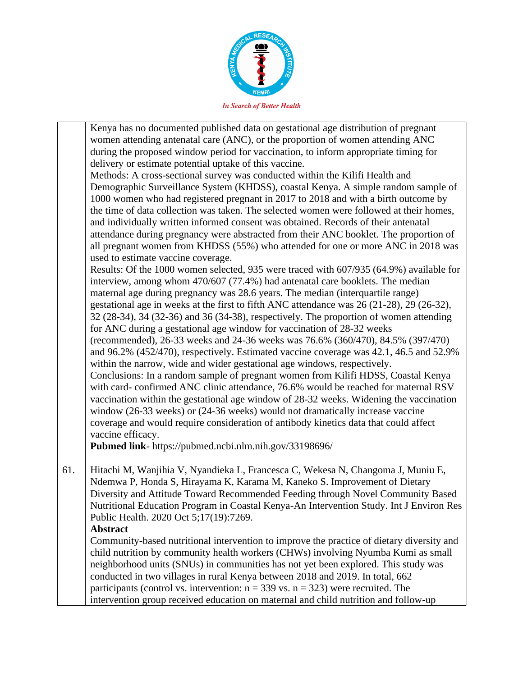

|     | Kenya has no documented published data on gestational age distribution of pregnant<br>women attending antenatal care (ANC), or the proportion of women attending ANC<br>during the proposed window period for vaccination, to inform appropriate timing for<br>delivery or estimate potential uptake of this vaccine.<br>Methods: A cross-sectional survey was conducted within the Kilifi Health and<br>Demographic Surveillance System (KHDSS), coastal Kenya. A simple random sample of<br>1000 women who had registered pregnant in 2017 to 2018 and with a birth outcome by<br>the time of data collection was taken. The selected women were followed at their homes,<br>and individually written informed consent was obtained. Records of their antenatal<br>attendance during pregnancy were abstracted from their ANC booklet. The proportion of<br>all pregnant women from KHDSS (55%) who attended for one or more ANC in 2018 was<br>used to estimate vaccine coverage.<br>Results: Of the 1000 women selected, 935 were traced with 607/935 (64.9%) available for<br>interview, among whom 470/607 (77.4%) had antenatal care booklets. The median<br>maternal age during pregnancy was 28.6 years. The median (interquartile range)<br>gestational age in weeks at the first to fifth ANC attendance was 26 (21-28), 29 (26-32),<br>32 (28-34), 34 (32-36) and 36 (34-38), respectively. The proportion of women attending<br>for ANC during a gestational age window for vaccination of 28-32 weeks<br>(recommended), 26-33 weeks and 24-36 weeks was 76.6% (360/470), 84.5% (397/470)<br>and 96.2% (452/470), respectively. Estimated vaccine coverage was 42.1, 46.5 and 52.9%<br>within the narrow, wide and wider gestational age windows, respectively.<br>Conclusions: In a random sample of pregnant women from Kilifi HDSS, Coastal Kenya<br>with card- confirmed ANC clinic attendance, 76.6% would be reached for maternal RSV<br>vaccination within the gestational age window of 28-32 weeks. Widening the vaccination<br>window (26-33 weeks) or (24-36 weeks) would not dramatically increase vaccine<br>coverage and would require consideration of antibody kinetics data that could affect<br>vaccine efficacy.<br>Pubmed link- https://pubmed.ncbi.nlm.nih.gov/33198696/ |
|-----|------------------------------------------------------------------------------------------------------------------------------------------------------------------------------------------------------------------------------------------------------------------------------------------------------------------------------------------------------------------------------------------------------------------------------------------------------------------------------------------------------------------------------------------------------------------------------------------------------------------------------------------------------------------------------------------------------------------------------------------------------------------------------------------------------------------------------------------------------------------------------------------------------------------------------------------------------------------------------------------------------------------------------------------------------------------------------------------------------------------------------------------------------------------------------------------------------------------------------------------------------------------------------------------------------------------------------------------------------------------------------------------------------------------------------------------------------------------------------------------------------------------------------------------------------------------------------------------------------------------------------------------------------------------------------------------------------------------------------------------------------------------------------------------------------------------------------------------------------------------------------------------------------------------------------------------------------------------------------------------------------------------------------------------------------------------------------------------------------------------------------------------------------------------------------------------------------------------------------------------------------------------------------------------------------------|
| 61. | Hitachi M, Wanjihia V, Nyandieka L, Francesca C, Wekesa N, Changoma J, Muniu E,<br>Ndemwa P, Honda S, Hirayama K, Karama M, Kaneko S. Improvement of Dietary<br>Diversity and Attitude Toward Recommended Feeding through Novel Community Based<br>Nutritional Education Program in Coastal Kenya-An Intervention Study. Int J Environ Res<br>Public Health. 2020 Oct 5;17(19):7269.<br><b>Abstract</b><br>Community-based nutritional intervention to improve the practice of dietary diversity and<br>child nutrition by community health workers (CHWs) involving Nyumba Kumi as small<br>neighborhood units (SNUs) in communities has not yet been explored. This study was<br>conducted in two villages in rural Kenya between 2018 and 2019. In total, 662<br>participants (control vs. intervention: $n = 339$ vs. $n = 323$ ) were recruited. The<br>intervention group received education on maternal and child nutrition and follow-up                                                                                                                                                                                                                                                                                                                                                                                                                                                                                                                                                                                                                                                                                                                                                                                                                                                                                                                                                                                                                                                                                                                                                                                                                                                                                                                                                           |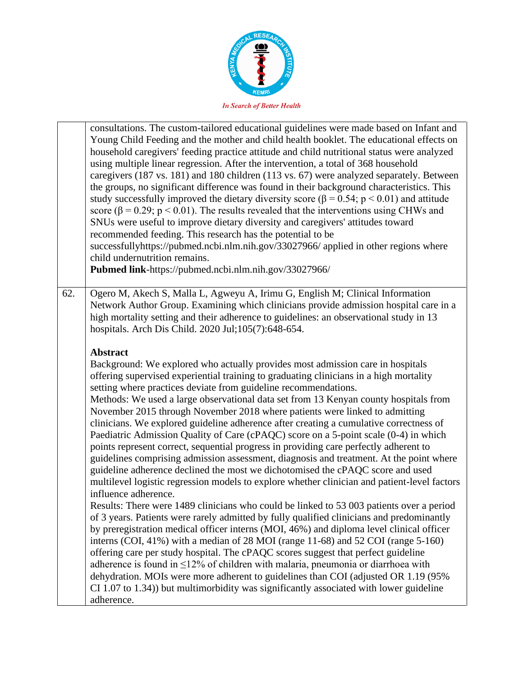

|     | consultations. The custom-tailored educational guidelines were made based on Infant and<br>Young Child Feeding and the mother and child health booklet. The educational effects on<br>household caregivers' feeding practice attitude and child nutritional status were analyzed<br>using multiple linear regression. After the intervention, a total of 368 household<br>caregivers (187 vs. 181) and 180 children (113 vs. 67) were analyzed separately. Between<br>the groups, no significant difference was found in their background characteristics. This<br>study successfully improved the dietary diversity score ( $\beta$ = 0.54; p < 0.01) and attitude<br>score ( $\beta$ = 0.29; $p$ < 0.01). The results revealed that the interventions using CHWs and<br>SNUs were useful to improve dietary diversity and caregivers' attitudes toward<br>recommended feeding. This research has the potential to be<br>successfullyhttps://pubmed.ncbi.nlm.nih.gov/33027966/ applied in other regions where<br>child undernutrition remains.<br>Pubmed link-https://pubmed.ncbi.nlm.nih.gov/33027966/                                                                                                                                                                                                                                                                                                                                                                                                                                                                                                                                                                                                                                                                      |
|-----|-------------------------------------------------------------------------------------------------------------------------------------------------------------------------------------------------------------------------------------------------------------------------------------------------------------------------------------------------------------------------------------------------------------------------------------------------------------------------------------------------------------------------------------------------------------------------------------------------------------------------------------------------------------------------------------------------------------------------------------------------------------------------------------------------------------------------------------------------------------------------------------------------------------------------------------------------------------------------------------------------------------------------------------------------------------------------------------------------------------------------------------------------------------------------------------------------------------------------------------------------------------------------------------------------------------------------------------------------------------------------------------------------------------------------------------------------------------------------------------------------------------------------------------------------------------------------------------------------------------------------------------------------------------------------------------------------------------------------------------------------------------------------------|
| 62. | Ogero M, Akech S, Malla L, Agweyu A, Irimu G, English M; Clinical Information<br>Network Author Group. Examining which clinicians provide admission hospital care in a<br>high mortality setting and their adherence to guidelines: an observational study in 13<br>hospitals. Arch Dis Child. 2020 Jul;105(7):648-654.                                                                                                                                                                                                                                                                                                                                                                                                                                                                                                                                                                                                                                                                                                                                                                                                                                                                                                                                                                                                                                                                                                                                                                                                                                                                                                                                                                                                                                                       |
|     | <b>Abstract</b><br>Background: We explored who actually provides most admission care in hospitals<br>offering supervised experiential training to graduating clinicians in a high mortality<br>setting where practices deviate from guideline recommendations.<br>Methods: We used a large observational data set from 13 Kenyan county hospitals from<br>November 2015 through November 2018 where patients were linked to admitting<br>clinicians. We explored guideline adherence after creating a cumulative correctness of<br>Paediatric Admission Quality of Care (cPAQC) score on a 5-point scale (0-4) in which<br>points represent correct, sequential progress in providing care perfectly adherent to<br>guidelines comprising admission assessment, diagnosis and treatment. At the point where<br>guideline adherence declined the most we dichotomised the cPAQC score and used<br>multilevel logistic regression models to explore whether clinician and patient-level factors<br>influence adherence.<br>Results: There were 1489 clinicians who could be linked to 53 003 patients over a period<br>of 3 years. Patients were rarely admitted by fully qualified clinicians and predominantly<br>by preregistration medical officer interns (MOI, 46%) and diploma level clinical officer<br>interns (COI, 41%) with a median of 28 MOI (range 11-68) and 52 COI (range 5-160)<br>offering care per study hospital. The cPAQC scores suggest that perfect guideline<br>adherence is found in $\leq$ 12% of children with malaria, pneumonia or diarrhoea with<br>dehydration. MOIs were more adherent to guidelines than COI (adjusted OR 1.19 (95%)<br>CI 1.07 to 1.34)) but multimorbidity was significantly associated with lower guideline<br>adherence. |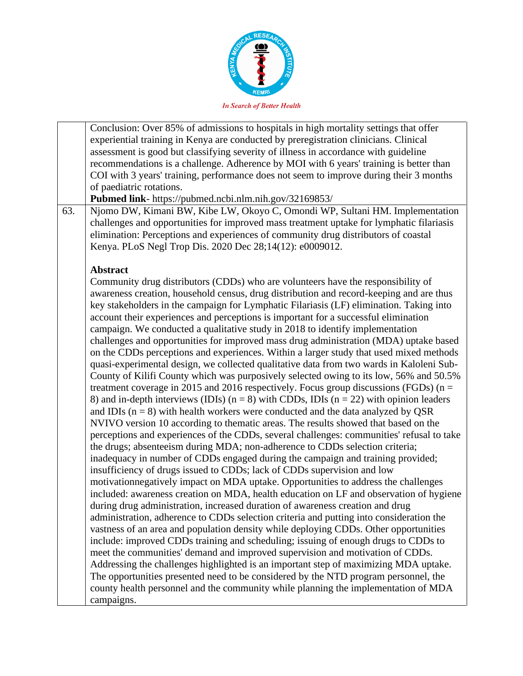

Conclusion: Over 85% of admissions to hospitals in high mortality settings that offer experiential training in Kenya are conducted by preregistration clinicians. Clinical assessment is good but classifying severity of illness in accordance with guideline recommendations is a challenge. Adherence by MOI with 6 years' training is better than COI with 3 years' training, performance does not seem to improve during their 3 months of paediatric rotations. **Pubmed link**- https://pubmed.ncbi.nlm.nih.gov/32169853/ 63. Njomo DW, Kimani BW, Kibe LW, Okoyo C, Omondi WP, Sultani HM. Implementation challenges and opportunities for improved mass treatment uptake for lymphatic filariasis elimination: Perceptions and experiences of community drug distributors of coastal Kenya. PLoS Negl Trop Dis. 2020 Dec 28;14(12): e0009012. **Abstract** Community drug distributors (CDDs) who are volunteers have the responsibility of awareness creation, household census, drug distribution and record-keeping and are thus key stakeholders in the campaign for Lymphatic Filariasis (LF) elimination. Taking into account their experiences and perceptions is important for a successful elimination campaign. We conducted a qualitative study in 2018 to identify implementation challenges and opportunities for improved mass drug administration (MDA) uptake based on the CDDs perceptions and experiences. Within a larger study that used mixed methods quasi-experimental design, we collected qualitative data from two wards in Kaloleni Sub-County of Kilifi County which was purposively selected owing to its low, 56% and 50.5% treatment coverage in 2015 and 2016 respectively. Focus group discussions (FGDs) ( $n =$ 8) and in-depth interviews (IDIs)  $(n = 8)$  with CDDs, IDIs  $(n = 22)$  with opinion leaders and IDIs  $(n = 8)$  with health workers were conducted and the data analyzed by OSR NVIVO version 10 according to thematic areas. The results showed that based on the perceptions and experiences of the CDDs, several challenges: communities' refusal to take the drugs; absenteeism during MDA; non-adherence to CDDs selection criteria; inadequacy in number of CDDs engaged during the campaign and training provided; insufficiency of drugs issued to CDDs; lack of CDDs supervision and low motivationnegatively impact on MDA uptake. Opportunities to address the challenges included: awareness creation on MDA, health education on LF and observation of hygiene during drug administration, increased duration of awareness creation and drug administration, adherence to CDDs selection criteria and putting into consideration the vastness of an area and population density while deploying CDDs. Other opportunities include: improved CDDs training and scheduling; issuing of enough drugs to CDDs to meet the communities' demand and improved supervision and motivation of CDDs. Addressing the challenges highlighted is an important step of maximizing MDA uptake. The opportunities presented need to be considered by the NTD program personnel, the county health personnel and the community while planning the implementation of MDA campaigns.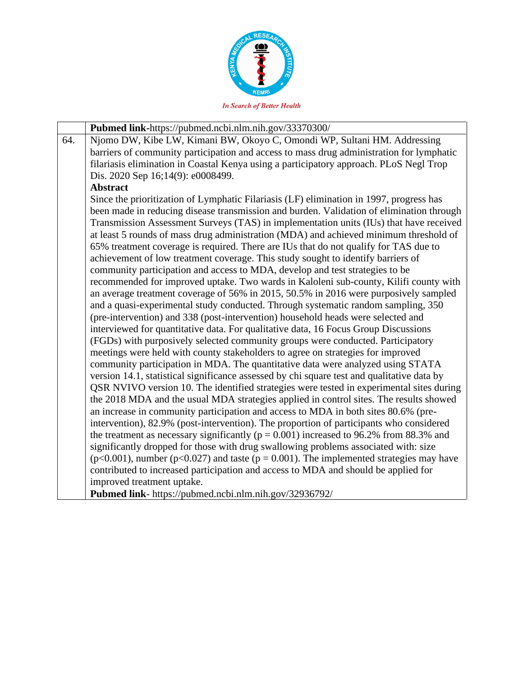

|     | Pubmed link-https://pubmed.ncbi.nlm.nih.gov/33370300/                                             |
|-----|---------------------------------------------------------------------------------------------------|
| 64. | Njomo DW, Kibe LW, Kimani BW, Okoyo C, Omondi WP, Sultani HM. Addressing                          |
|     | barriers of community participation and access to mass drug administration for lymphatic          |
|     | filariasis elimination in Coastal Kenya using a participatory approach. PLoS Negl Trop            |
|     | Dis. 2020 Sep 16;14(9): e0008499.                                                                 |
|     | <b>Abstract</b>                                                                                   |
|     | Since the prioritization of Lymphatic Filariasis (LF) elimination in 1997, progress has           |
|     | been made in reducing disease transmission and burden. Validation of elimination through          |
|     | Transmission Assessment Surveys (TAS) in implementation units (IUs) that have received            |
|     | at least 5 rounds of mass drug administration (MDA) and achieved minimum threshold of             |
|     | 65% treatment coverage is required. There are IUs that do not qualify for TAS due to              |
|     | achievement of low treatment coverage. This study sought to identify barriers of                  |
|     | community participation and access to MDA, develop and test strategies to be                      |
|     | recommended for improved uptake. Two wards in Kaloleni sub-county, Kilifi county with             |
|     | an average treatment coverage of 56% in 2015, 50.5% in 2016 were purposively sampled              |
|     | and a quasi-experimental study conducted. Through systematic random sampling, 350                 |
|     | (pre-intervention) and 338 (post-intervention) household heads were selected and                  |
|     | interviewed for quantitative data. For qualitative data, 16 Focus Group Discussions               |
|     | (FGDs) with purposively selected community groups were conducted. Participatory                   |
|     | meetings were held with county stakeholders to agree on strategies for improved                   |
|     | community participation in MDA. The quantitative data were analyzed using STATA                   |
|     | version 14.1, statistical significance assessed by chi square test and qualitative data by        |
|     | QSR NVIVO version 10. The identified strategies were tested in experimental sites during          |
|     | the 2018 MDA and the usual MDA strategies applied in control sites. The results showed            |
|     | an increase in community participation and access to MDA in both sites 80.6% (pre-                |
|     | intervention), 82.9% (post-intervention). The proportion of participants who considered           |
|     | the treatment as necessary significantly ( $p = 0.001$ ) increased to 96.2% from 88.3% and        |
|     | significantly dropped for those with drug swallowing problems associated with: size               |
|     | $(p<0.001)$ , number ( $p<0.027$ ) and taste ( $p = 0.001$ ). The implemented strategies may have |
|     | contributed to increased participation and access to MDA and should be applied for                |
|     | improved treatment uptake.                                                                        |
|     | Pubmed link- https://pubmed.ncbi.nlm.nih.gov/32936792/                                            |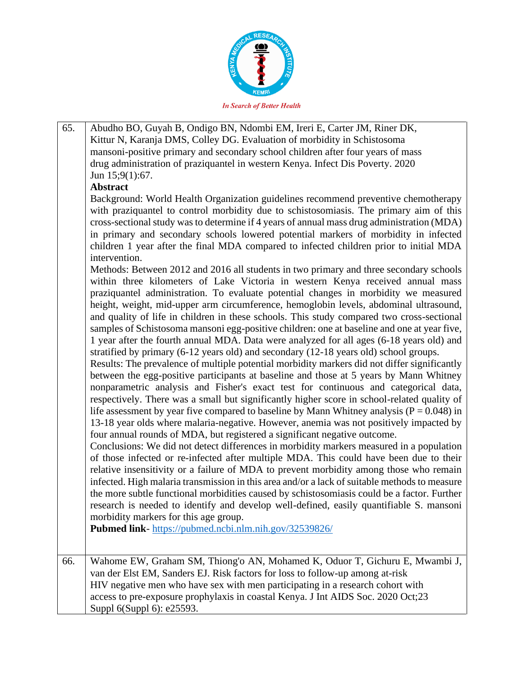

65. Abudho BO, Guyah B, Ondigo BN, Ndombi EM, Ireri E, Carter JM, Riner DK, Kittur N, Karanja DMS, Colley DG. Evaluation of morbidity in Schistosoma mansoni-positive primary and secondary school children after four years of mass drug administration of praziquantel in western Kenya. Infect Dis Poverty. 2020 Jun 15;9(1):67. **Abstract** Background: World Health Organization guidelines recommend preventive chemotherapy with praziquantel to control morbidity due to schistosomiasis. The primary aim of this cross-sectional study was to determine if 4 years of annual mass drug administration (MDA) in primary and secondary schools lowered potential markers of morbidity in infected children 1 year after the final MDA compared to infected children prior to initial MDA intervention. Methods: Between 2012 and 2016 all students in two primary and three secondary schools within three kilometers of Lake Victoria in western Kenya received annual mass praziquantel administration. To evaluate potential changes in morbidity we measured height, weight, mid-upper arm circumference, hemoglobin levels, abdominal ultrasound, and quality of life in children in these schools. This study compared two cross-sectional samples of Schistosoma mansoni egg-positive children: one at baseline and one at year five, 1 year after the fourth annual MDA. Data were analyzed for all ages (6-18 years old) and stratified by primary (6-12 years old) and secondary (12-18 years old) school groups. Results: The prevalence of multiple potential morbidity markers did not differ significantly between the egg-positive participants at baseline and those at 5 years by Mann Whitney nonparametric analysis and Fisher's exact test for continuous and categorical data, respectively. There was a small but significantly higher score in school-related quality of life assessment by year five compared to baseline by Mann Whitney analysis ( $P = 0.048$ ) in 13-18 year olds where malaria-negative. However, anemia was not positively impacted by four annual rounds of MDA, but registered a significant negative outcome. Conclusions: We did not detect differences in morbidity markers measured in a population of those infected or re-infected after multiple MDA. This could have been due to their relative insensitivity or a failure of MDA to prevent morbidity among those who remain infected. High malaria transmission in this area and/or a lack of suitable methods to measure the more subtle functional morbidities caused by schistosomiasis could be a factor. Further research is needed to identify and develop well-defined, easily quantifiable S. mansoni morbidity markers for this age group. **Pubmed link**- https://pubmed.ncbi.nlm.nih.gov/32539826/ 66. Wahome EW, Graham SM, Thiong'o AN, Mohamed K, Oduor T, Gichuru E, Mwambi J, van der Elst EM, Sanders EJ. Risk factors for loss to follow-up among at-risk HIV negative men who have sex with men participating in a research cohort with access to pre-exposure prophylaxis in coastal Kenya. J Int AIDS Soc. 2020 Oct;23 Suppl 6(Suppl 6): e25593.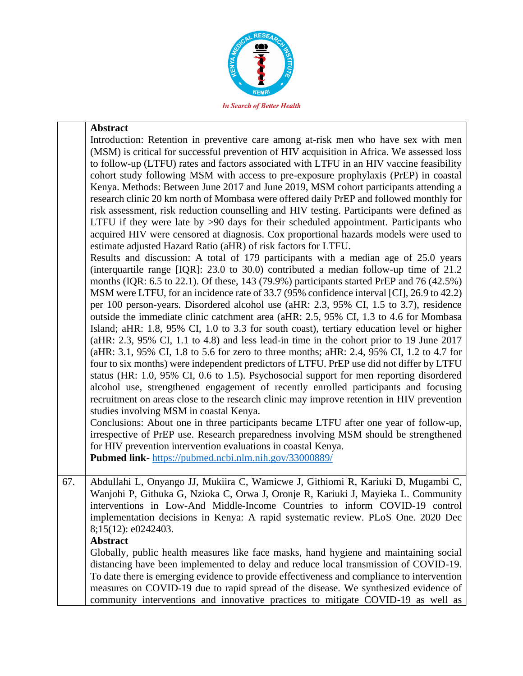

#### **Abstract**

Introduction: Retention in preventive care among at-risk men who have sex with men (MSM) is critical for successful prevention of HIV acquisition in Africa. We assessed loss to follow-up (LTFU) rates and factors associated with LTFU in an HIV vaccine feasibility cohort study following MSM with access to pre-exposure prophylaxis (PrEP) in coastal Kenya. Methods: Between June 2017 and June 2019, MSM cohort participants attending a research clinic 20 km north of Mombasa were offered daily PrEP and followed monthly for risk assessment, risk reduction counselling and HIV testing. Participants were defined as LTFU if they were late by >90 days for their scheduled appointment. Participants who acquired HIV were censored at diagnosis. Cox proportional hazards models were used to estimate adjusted Hazard Ratio (aHR) of risk factors for LTFU.

Results and discussion: A total of 179 participants with a median age of 25.0 years (interquartile range [IQR]: 23.0 to 30.0) contributed a median follow-up time of 21.2 months (IQR: 6.5 to 22.1). Of these, 143 (79.9%) participants started PrEP and 76 (42.5%) MSM were LTFU, for an incidence rate of 33.7 (95% confidence interval [CI], 26.9 to 42.2) per 100 person-years. Disordered alcohol use (aHR: 2.3, 95% CI, 1.5 to 3.7), residence outside the immediate clinic catchment area (aHR: 2.5, 95% CI, 1.3 to 4.6 for Mombasa Island; aHR: 1.8, 95% CI, 1.0 to 3.3 for south coast), tertiary education level or higher (aHR: 2.3, 95% CI, 1.1 to 4.8) and less lead-in time in the cohort prior to 19 June 2017 (aHR: 3.1, 95% CI, 1.8 to 5.6 for zero to three months; aHR: 2.4, 95% CI, 1.2 to 4.7 for four to six months) were independent predictors of LTFU. PrEP use did not differ by LTFU status (HR: 1.0, 95% CI, 0.6 to 1.5). Psychosocial support for men reporting disordered alcohol use, strengthened engagement of recently enrolled participants and focusing recruitment on areas close to the research clinic may improve retention in HIV prevention studies involving MSM in coastal Kenya.

Conclusions: About one in three participants became LTFU after one year of follow-up, irrespective of PrEP use. Research preparedness involving MSM should be strengthened for HIV prevention intervention evaluations in coastal Kenya.

**Pubmed link**- https://pubmed.ncbi.nlm.nih.gov/33000889/

67. Abdullahi L, Onyango JJ, Mukiira C, Wamicwe J, Githiomi R, Kariuki D, Mugambi C, Wanjohi P, Githuka G, Nzioka C, Orwa J, Oronje R, Kariuki J, Mayieka L. Community interventions in Low-And Middle-Income Countries to inform COVID-19 control implementation decisions in Kenya: A rapid systematic review. PLoS One. 2020 Dec 8;15(12): e0242403.

#### **Abstract**

Globally, public health measures like face masks, hand hygiene and maintaining social distancing have been implemented to delay and reduce local transmission of COVID-19. To date there is emerging evidence to provide effectiveness and compliance to intervention measures on COVID-19 due to rapid spread of the disease. We synthesized evidence of community interventions and innovative practices to mitigate COVID-19 as well as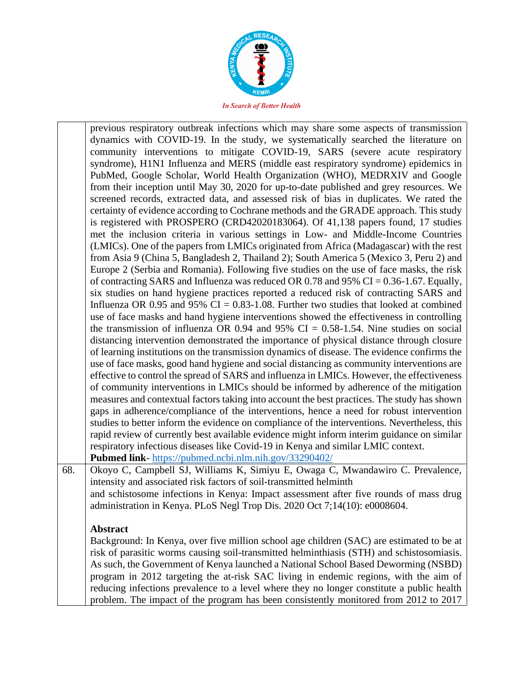

previous respiratory outbreak infections which may share some aspects of transmission dynamics with COVID-19. In the study, we systematically searched the literature on community interventions to mitigate COVID-19, SARS (severe acute respiratory syndrome), H1N1 Influenza and MERS (middle east respiratory syndrome) epidemics in PubMed, Google Scholar, World Health Organization (WHO), MEDRXIV and Google from their inception until May 30, 2020 for up-to-date published and grey resources. We screened records, extracted data, and assessed risk of bias in duplicates. We rated the certainty of evidence according to Cochrane methods and the GRADE approach. This study is registered with PROSPERO (CRD42020183064). Of 41,138 papers found, 17 studies met the inclusion criteria in various settings in Low- and Middle-Income Countries (LMICs). One of the papers from LMICs originated from Africa (Madagascar) with the rest from Asia 9 (China 5, Bangladesh 2, Thailand 2); South America 5 (Mexico 3, Peru 2) and Europe 2 (Serbia and Romania). Following five studies on the use of face masks, the risk of contracting SARS and Influenza was reduced OR 0.78 and 95% CI =  $0.36$ -1.67. Equally, six studies on hand hygiene practices reported a reduced risk of contracting SARS and Influenza OR 0.95 and 95% CI =  $0.83$ -1.08. Further two studies that looked at combined use of face masks and hand hygiene interventions showed the effectiveness in controlling the transmission of influenza OR 0.94 and 95%  $CI = 0.58-1.54$ . Nine studies on social distancing intervention demonstrated the importance of physical distance through closure of learning institutions on the transmission dynamics of disease. The evidence confirms the use of face masks, good hand hygiene and social distancing as community interventions are effective to control the spread of SARS and influenza in LMICs. However, the effectiveness of community interventions in LMICs should be informed by adherence of the mitigation measures and contextual factors taking into account the best practices. The study has shown gaps in adherence/compliance of the interventions, hence a need for robust intervention studies to better inform the evidence on compliance of the interventions. Nevertheless, this rapid review of currently best available evidence might inform interim guidance on similar respiratory infectious diseases like Covid-19 in Kenya and similar LMIC context. **Pubmed link**- https://pubmed.ncbi.nlm.nih.gov/33290402/

68. Okoyo C, Campbell SJ, Williams K, Simiyu E, Owaga C, Mwandawiro C. Prevalence, intensity and associated risk factors of soil-transmitted helminth and schistosome infections in Kenya: Impact assessment after five rounds of mass drug administration in Kenya. PLoS Negl Trop Dis. 2020 Oct 7;14(10): e0008604.

### **Abstract**

Background: In Kenya, over five million school age children (SAC) are estimated to be at risk of parasitic worms causing soil-transmitted helminthiasis (STH) and schistosomiasis. As such, the Government of Kenya launched a National School Based Deworming (NSBD) program in 2012 targeting the at-risk SAC living in endemic regions, with the aim of reducing infections prevalence to a level where they no longer constitute a public health problem. The impact of the program has been consistently monitored from 2012 to 2017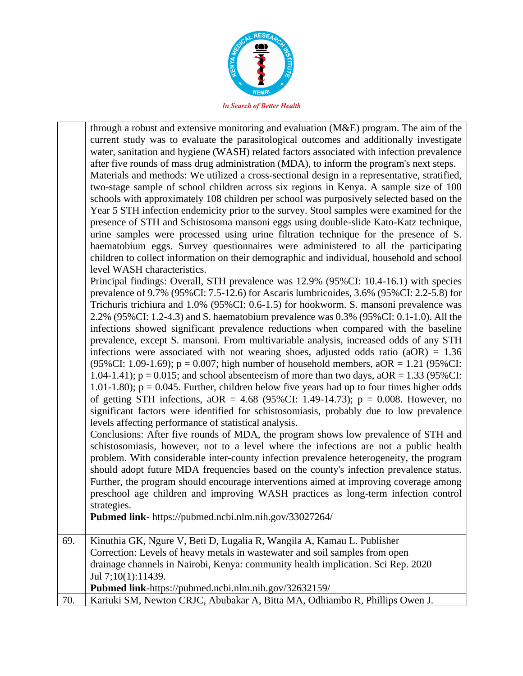

through a robust and extensive monitoring and evaluation (M&E) program. The aim of the current study was to evaluate the parasitological outcomes and additionally investigate water, sanitation and hygiene (WASH) related factors associated with infection prevalence after five rounds of mass drug administration (MDA), to inform the program's next steps. Materials and methods: We utilized a cross-sectional design in a representative, stratified, two-stage sample of school children across six regions in Kenya. A sample size of 100 schools with approximately 108 children per school was purposively selected based on the Year 5 STH infection endemicity prior to the survey. Stool samples were examined for the presence of STH and Schistosoma mansoni eggs using double-slide Kato-Katz technique, urine samples were processed using urine filtration technique for the presence of S. haematobium eggs. Survey questionnaires were administered to all the participating children to collect information on their demographic and individual, household and school level WASH characteristics. Principal findings: Overall, STH prevalence was 12.9% (95%CI: 10.4-16.1) with species prevalence of 9.7% (95%CI: 7.5-12.6) for Ascaris lumbricoides, 3.6% (95%CI: 2.2-5.8) for Trichuris trichiura and 1.0% (95%CI: 0.6-1.5) for hookworm. S. mansoni prevalence was 2.2% (95%CI: 1.2-4.3) and S. haematobium prevalence was 0.3% (95%CI: 0.1-1.0). All the infections showed significant prevalence reductions when compared with the baseline prevalence, except S. mansoni. From multivariable analysis, increased odds of any STH

infections were associated with not wearing shoes, adjusted odds ratio  $(aOR) = 1.36$ (95%CI: 1.09-1.69);  $p = 0.007$ ; high number of household members,  $aOR = 1.21$  (95%CI: 1.04-1.41);  $p = 0.015$ ; and school absenteeism of more than two days,  $aOR = 1.33$  (95%CI: 1.01-1.80);  $p = 0.045$ . Further, children below five years had up to four times higher odds of getting STH infections,  $aOR = 4.68$  (95%CI: 1.49-14.73);  $p = 0.008$ . However, no significant factors were identified for schistosomiasis, probably due to low prevalence levels affecting performance of statistical analysis.

Conclusions: After five rounds of MDA, the program shows low prevalence of STH and schistosomiasis, however, not to a level where the infections are not a public health problem. With considerable inter-county infection prevalence heterogeneity, the program should adopt future MDA frequencies based on the county's infection prevalence status. Further, the program should encourage interventions aimed at improving coverage among preschool age children and improving WASH practices as long-term infection control strategies.

**Pubmed link**- https://pubmed.ncbi.nlm.nih.gov/33027264/

| 69. | Kinuthia GK, Ngure V, Beti D, Lugalia R, Wangila A, Kamau L. Publisher           |
|-----|----------------------------------------------------------------------------------|
|     | Correction: Levels of heavy metals in wastewater and soil samples from open      |
|     | drainage channels in Nairobi, Kenya: community health implication. Sci Rep. 2020 |
|     | Jul 7;10(1):11439.                                                               |
|     | <b>Pubmed link-</b> https://pubmed.ncbi.nlm.nih.gov/32632159/                    |
| 70. | Kariuki SM, Newton CRJC, Abubakar A, Bitta MA, Odhiambo R, Phillips Owen J.      |